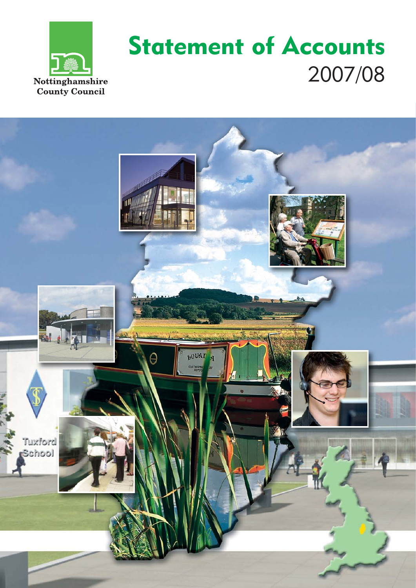

# Statement of Accounts 2007/08

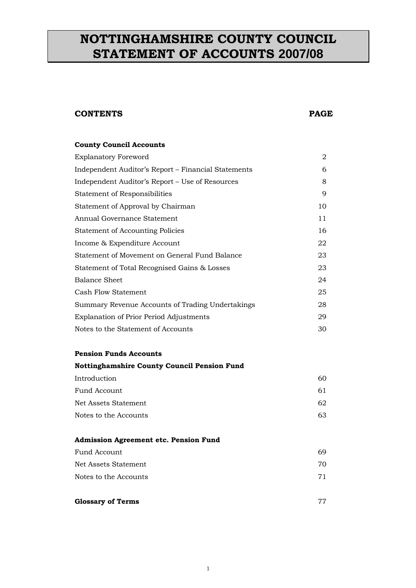## <span id="page-1-0"></span>**NOTTINGHAMSHIRE COUNTY COUNCIL STATEMENT OF ACCOUNTS 2007/08**

#### **CONTENTS PAGE**

| <b>County Council Accounts</b>                      |    |
|-----------------------------------------------------|----|
| <b>Explanatory Foreword</b>                         | 2  |
| Independent Auditor's Report – Financial Statements | 6  |
| Independent Auditor's Report – Use of Resources     | 8  |
| <b>Statement of Responsibilities</b>                | 9  |
| Statement of Approval by Chairman                   | 10 |
| Annual Governance Statement                         | 11 |
| <b>Statement of Accounting Policies</b>             | 16 |
| Income & Expenditure Account                        | 22 |
| Statement of Movement on General Fund Balance       | 23 |
| Statement of Total Recognised Gains & Losses        | 23 |
| <b>Balance Sheet</b>                                | 24 |
| Cash Flow Statement                                 | 25 |
| Summary Revenue Accounts of Trading Undertakings    | 28 |
| <b>Explanation of Prior Period Adjustments</b>      | 29 |
| Notes to the Statement of Accounts                  | 30 |
|                                                     |    |

#### **Pension Funds Accounts**

#### **Nottinghamshire County Council Pension Fund**

| Introduction          | 60 |
|-----------------------|----|
| Fund Account          | 61 |
| Net Assets Statement  | 62 |
| Notes to the Accounts | 63 |
|                       |    |

#### **Admission Agreement etc. Pension Fund**

| Fund Account          | 69  |
|-----------------------|-----|
| Net Assets Statement  | 70. |
| Notes to the Accounts | 71  |

#### **[Glossary of Terms](#page-1-0)** 77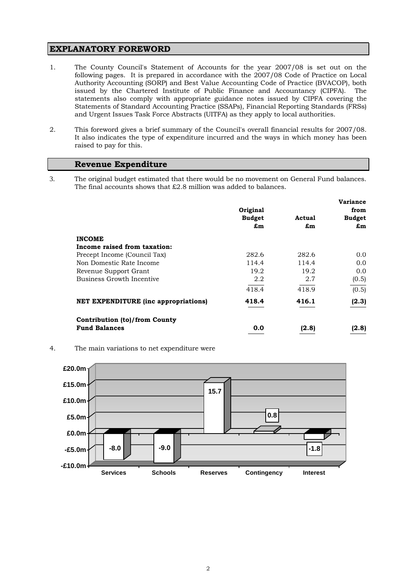#### <span id="page-2-0"></span>**EXPLANATORY FOREWORD**

- 1. The County Council's Statement of Accounts for the year 2007/08 is set out on the following pages. It is prepared in accordance with the 2007/08 Code of Practice on Local Authority Accounting (SORP) and Best Value Accounting Code of Practice (BVACOP), both issued by the Chartered Institute of Public Finance and Accountancy (CIPFA). The statements also comply with appropriate guidance notes issued by CIPFA covering the Statements of Standard Accounting Practice (SSAPs), Financial Reporting Standards (FRSs) and Urgent Issues Task Force Abstracts (UITFA) as they apply to local authorities.
- 2. This foreword gives a brief summary of the Council's overall financial results for 2007/08. It also indicates the type of expenditure incurred and the ways in which money has been raised to pay for this.

#### **Revenue Expenditure**

3. The original budget estimated that there would be no movement on General Fund balances. The final accounts shows that £2.8 million was added to balances.

|                                             |               |        | <b>Variance</b> |
|---------------------------------------------|---------------|--------|-----------------|
|                                             | Original      |        | from            |
|                                             | <b>Budget</b> | Actual | <b>Budget</b>   |
|                                             | £m            | £m     | £m              |
| <b>INCOME</b>                               |               |        |                 |
| Income raised from taxation:                |               |        |                 |
| Precept Income (Council Tax)                | 282.6         | 282.6  | 0.0             |
| Non Domestic Rate Income                    | 114.4         | 114.4  | 0.0             |
| Revenue Support Grant                       | 19.2          | 19.2   | 0.0             |
| Business Growth Incentive                   | 2.2           | 2.7    | (0.5)           |
|                                             | 418.4         | 418.9  | (0.5)           |
| <b>NET EXPENDITURE</b> (inc appropriations) | 418.4         | 416.1  | (2.3)           |
| Contribution (to)/from County               |               |        |                 |
| <b>Fund Balances</b>                        | 0.0           | (2.8)  | (2.8)           |

4. The main variations to net expenditure were

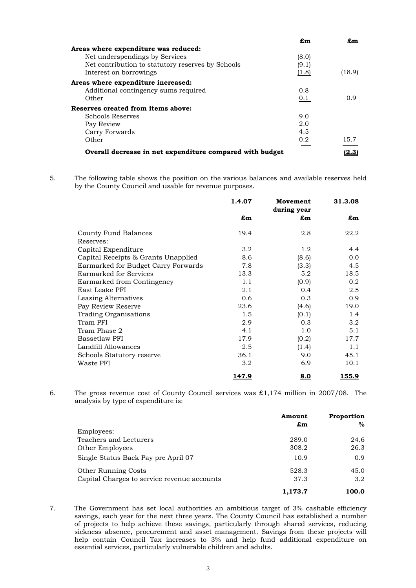|                                                          | £m    | £m     |
|----------------------------------------------------------|-------|--------|
| Areas where expenditure was reduced:                     |       |        |
| Net underspendings by Services                           | (8.0) |        |
| Net contribution to statutory reserves by Schools        | (9.1) |        |
| Interest on borrowings                                   | (1.8) | (18.9) |
| Areas where expenditure increased:                       |       |        |
| Additional contingency sums required                     | 0.8   |        |
| Other                                                    | 0.1   | 0.9    |
| Reserves created from items above:                       |       |        |
| Schools Reserves                                         | 9.0   |        |
| Pay Review                                               | 2.0   |        |
| Carry Forwards                                           | 4.5   |        |
| Other                                                    | 0.2   | 15.7   |
| Overall decrease in net expenditure compared with budget |       | 2.31   |

5. The following table shows the position on the various balances and available reserves held by the County Council and usable for revenue purposes.

|                                     | 1.4.07       | Movement<br>during year | 31.3.08      |
|-------------------------------------|--------------|-------------------------|--------------|
|                                     | £m           | $\mathbf{m}$            | £m           |
| County Fund Balances                | 19.4         | 2.8                     | 22.2         |
| Reserves:                           |              |                         |              |
| Capital Expenditure                 | 3.2          | 1.2                     | 4.4          |
| Capital Receipts & Grants Unapplied | 8.6          | (8.6)                   | 0.0          |
| Earmarked for Budget Carry Forwards | 7.8          | (3.3)                   | 4.5          |
| Earmarked for Services              | 13.3         | 5.2                     | 18.5         |
| Earmarked from Contingency          | 1.1          | (0.9)                   | 0.2          |
| East Leake PFI                      | 2.1          | 0.4                     | 2.5          |
| Leasing Alternatives                | 0.6          | 0.3                     | 0.9          |
| Pay Review Reserve                  | 23.6         | (4.6)                   | 19.0         |
| <b>Trading Organisations</b>        | 1.5          | (0.1)                   | 1.4          |
| Tram PFI                            | 2.9          | 0.3                     | 3.2          |
| Tram Phase 2                        | 4.1          | 1.0                     | 5.1          |
| <b>Bassetlaw PFI</b>                | 17.9         | (0.2)                   | 17.7         |
| Landfill Allowances                 | 2.5          | (1.4)                   | 1.1          |
| Schools Statutory reserve           | 36.1         | 9.0                     | 45.1         |
| Waste PFI                           | 3.2          | 6.9                     | 10.1         |
|                                     | <u>147.9</u> | 8.0                     | <u>155.9</u> |

6. The gross revenue cost of County Council services was £1,174 million in 2007/08. The analysis by type of expenditure is:

|                                             | Amount | Proportion |
|---------------------------------------------|--------|------------|
|                                             | £m     | %          |
| Employees:                                  |        |            |
| Teachers and Lecturers                      | 289.0  | 24.6       |
| <b>Other Employees</b>                      | 308.2  | 26.3       |
| Single Status Back Pay pre April 07         | 10.9   | 0.9        |
| <b>Other Running Costs</b>                  | 528.3  | 45.0       |
| Capital Charges to service revenue accounts | 37.3   | 3.2        |
|                                             | .73.7  |            |

7. The Government has set local authorities an ambitious target of 3% cashable efficiency savings, each year for the next three years. The County Council has established a number of projects to help achieve these savings, particularly through shared services, reducing sickness absence, procurement and asset management. Savings from these projects will help contain Council Tax increases to 3% and help fund additional expenditure on essential services, particularly vulnerable children and adults.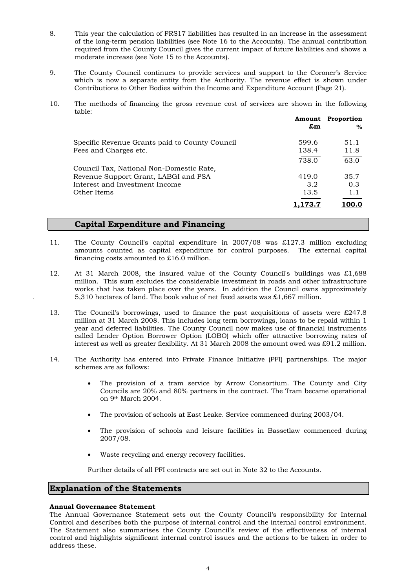- 8. This year the calculation of FRS17 liabilities has resulted in an increase in the assessment of the long-term pension liabilities (see Note 16 to the Accounts). The annual contribution required from the County Council gives the current impact of future liabilities and shows a moderate increase (see Note 15 to the Accounts).
- 9. The County Council continues to provide services and support to the Coroner's Service which is now a separate entity from the Authority. The revenue effect is shown under Contributions to Other Bodies within the Income and Expenditure Account (Page 21).
- 10. The methods of financing the gross revenue cost of services are shown in the following table:

|                                                | Amount<br>£m     | Proportion<br>$\%$ |
|------------------------------------------------|------------------|--------------------|
| Specific Revenue Grants paid to County Council | 599.6            | 51.1               |
| Fees and Charges etc.                          | 138.4            | 11.8               |
|                                                | 738.0            | 63.0               |
| Council Tax, National Non-Domestic Rate,       |                  |                    |
| Revenue Support Grant, LABGI and PSA           | 419.0            | 35.7               |
| Interest and Investment Income                 | 3.2 <sub>1</sub> | 0.3                |
| Other Items                                    | 13.5             | 1.1                |
|                                                |                  |                    |

#### **Capital Expenditure and Financing**

- 11. The County Council's capital expenditure in 2007/08 was £127.3 million excluding amounts counted as capital expenditure for control purposes. The external capital financing costs amounted to £16.0 million.
- 12. At 31 March 2008, the insured value of the County Council's buildings was £1,688 million. This sum excludes the considerable investment in roads and other infrastructure works that has taken place over the years. In addition the Council owns approximately 5,310 hectares of land. The book value of net fixed assets was £1,667 million.
- 13. The Council's borrowings, used to finance the past acquisitions of assets were £247.8 million at 31 March 2008. This includes long term borrowings, loans to be repaid within 1 year and deferred liabilities. The County Council now makes use of financial instruments called Lender Option Borrower Option (LOBO) which offer attractive borrowing rates of interest as well as greater flexibility. At 31 March 2008 the amount owed was £91.2 million.
- 14. The Authority has entered into Private Finance Initiative (PFI) partnerships. The major schemes are as follows:
	- The provision of a tram service by Arrow Consortium. The County and City Councils are 20% and 80% partners in the contract. The Tram became operational on 9th March 2004.
	- The provision of schools at East Leake. Service commenced during 2003/04.
	- The provision of schools and leisure facilities in Bassetlaw commenced during 2007/08.
	- Waste recycling and energy recovery facilities.

Further details of all PFI contracts are set out in Note 32 to the Accounts.

#### **Explanation of the Statements**

#### **Annual Governance Statement**

The Annual Governance Statement sets out the County Council's responsibility for Internal Control and describes both the purpose of internal control and the internal control environment. The Statement also summarises the County Council's review of the effectiveness of internal control and highlights significant internal control issues and the actions to be taken in order to address these.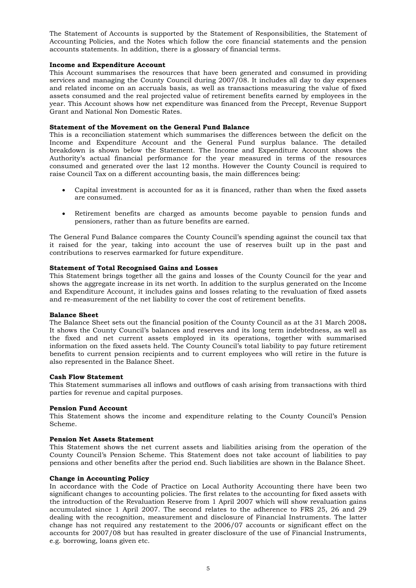The Statement of Accounts is supported by the Statement of Responsibilities, the Statement of Accounting Policies, and the Notes which follow the core financial statements and the pension accounts statements. In addition, there is a glossary of financial terms.

#### **Income and Expenditure Account**

This Account summarises the resources that have been generated and consumed in providing services and managing the County Council during 2007/08. It includes all day to day expenses and related income on an accruals basis, as well as transactions measuring the value of fixed assets consumed and the real projected value of retirement benefits earned by employees in the year. This Account shows how net expenditure was financed from the Precept, Revenue Support Grant and National Non Domestic Rates.

#### **Statement of the Movement on the General Fund Balance**

This is a reconciliation statement which summarises the differences between the deficit on the Income and Expenditure Account and the General Fund surplus balance. The detailed breakdown is shown below the Statement. The Income and Expenditure Account shows the Authority's actual financial performance for the year measured in terms of the resources consumed and generated over the last 12 months. However the County Council is required to raise Council Tax on a different accounting basis, the main differences being:

- Capital investment is accounted for as it is financed, rather than when the fixed assets are consumed.
- Retirement benefits are charged as amounts become payable to pension funds and pensioners, rather than as future benefits are earned.

The General Fund Balance compares the County Council's spending against the council tax that it raised for the year, taking into account the use of reserves built up in the past and contributions to reserves earmarked for future expenditure.

#### **Statement of Total Recognised Gains and Losses**

This Statement brings together all the gains and losses of the County Council for the year and shows the aggregate increase in its net worth. In addition to the surplus generated on the Income and Expenditure Account, it includes gains and losses relating to the revaluation of fixed assets and re-measurement of the net liability to cover the cost of retirement benefits.

#### **Balance Sheet**

The Balance Sheet sets out the financial position of the County Council as at the 31 March 2008**.**  It shows the County Council's balances and reserves and its long term indebtedness, as well as the fixed and net current assets employed in its operations, together with summarised information on the fixed assets held. The County Council's total liability to pay future retirement benefits to current pension recipients and to current employees who will retire in the future is also represented in the Balance Sheet.

#### **Cash Flow Statement**

This Statement summarises all inflows and outflows of cash arising from transactions with third parties for revenue and capital purposes.

#### **Pension Fund Account**

This Statement shows the income and expenditure relating to the County Council's Pension Scheme.

#### **Pension Net Assets Statement**

This Statement shows the net current assets and liabilities arising from the operation of the County Council's Pension Scheme. This Statement does not take account of liabilities to pay pensions and other benefits after the period end. Such liabilities are shown in the Balance Sheet.

#### **Change in Accounting Policy**

In accordance with the Code of Practice on Local Authority Accounting there have been two significant changes to accounting policies. The first relates to the accounting for fixed assets with the introduction of the Revaluation Reserve from 1 April 2007 which will show revaluation gains accumulated since 1 April 2007. The second relates to the adherence to FRS 25, 26 and 29 dealing with the recognition, measurement and disclosure of Financial Instruments. The latter change has not required any restatement to the 2006/07 accounts or significant effect on the accounts for 2007/08 but has resulted in greater disclosure of the use of Financial Instruments, e.g. borrowing, loans given etc.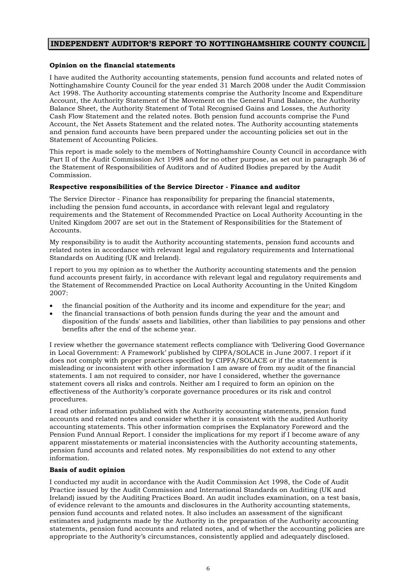#### <span id="page-6-0"></span>**INDEPENDENT AUDITOR'S REPORT TO NOTTINGHAMSHIRE COUNTY COUNCIL**

#### **Opinion on the financial statements**

I have audited the Authority accounting statements, pension fund accounts and related notes of Nottinghamshire County Council for the year ended 31 March 2008 under the Audit Commission Act 1998. The Authority accounting statements comprise the Authority Income and Expenditure Account, the Authority Statement of the Movement on the General Fund Balance, the Authority Balance Sheet, the Authority Statement of Total Recognised Gains and Losses, the Authority Cash Flow Statement and the related notes. Both pension fund accounts comprise the Fund Account, the Net Assets Statement and the related notes. The Authority accounting statements and pension fund accounts have been prepared under the accounting policies set out in the Statement of Accounting Policies.

This report is made solely to the members of Nottinghamshire County Council in accordance with Part II of the Audit Commission Act 1998 and for no other purpose, as set out in paragraph 36 of the Statement of Responsibilities of Auditors and of Audited Bodies prepared by the Audit Commission.

#### **Respective responsibilities of the Service Director - Finance and auditor**

The Service Director - Finance has responsibility for preparing the financial statements, including the pension fund accounts, in accordance with relevant legal and regulatory requirements and the Statement of Recommended Practice on Local Authority Accounting in the United Kingdom 2007 are set out in the Statement of Responsibilities for the Statement of Accounts.

My responsibility is to audit the Authority accounting statements, pension fund accounts and related notes in accordance with relevant legal and regulatory requirements and International Standards on Auditing (UK and Ireland).

I report to you my opinion as to whether the Authority accounting statements and the pension fund accounts present fairly, in accordance with relevant legal and regulatory requirements and the Statement of Recommended Practice on Local Authority Accounting in the United Kingdom 2007:

- the financial position of the Authority and its income and expenditure for the year; and
- the financial transactions of both pension funds during the year and the amount and disposition of the funds' assets and liabilities, other than liabilities to pay pensions and other benefits after the end of the scheme year.

I review whether the governance statement reflects compliance with 'Delivering Good Governance in Local Government: A Framework' published by CIPFA/SOLACE in June 2007. I report if it does not comply with proper practices specified by CIPFA/SOLACE or if the statement is misleading or inconsistent with other information I am aware of from my audit of the financial statements. I am not required to consider, nor have I considered, whether the governance statement covers all risks and controls. Neither am I required to form an opinion on the effectiveness of the Authority's corporate governance procedures or its risk and control procedures.

I read other information published with the Authority accounting statements, pension fund accounts and related notes and consider whether it is consistent with the audited Authority accounting statements. This other information comprises the Explanatory Foreword and the Pension Fund Annual Report. I consider the implications for my report if I become aware of any apparent misstatements or material inconsistencies with the Authority accounting statements, pension fund accounts and related notes. My responsibilities do not extend to any other information.

#### **Basis of audit opinion**

I conducted my audit in accordance with the Audit Commission Act 1998, the Code of Audit Practice issued by the Audit Commission and International Standards on Auditing (UK and Ireland) issued by the Auditing Practices Board. An audit includes examination, on a test basis, of evidence relevant to the amounts and disclosures in the Authority accounting statements, pension fund accounts and related notes. It also includes an assessment of the significant estimates and judgments made by the Authority in the preparation of the Authority accounting statements, pension fund accounts and related notes, and of whether the accounting policies are appropriate to the Authority's circumstances, consistently applied and adequately disclosed.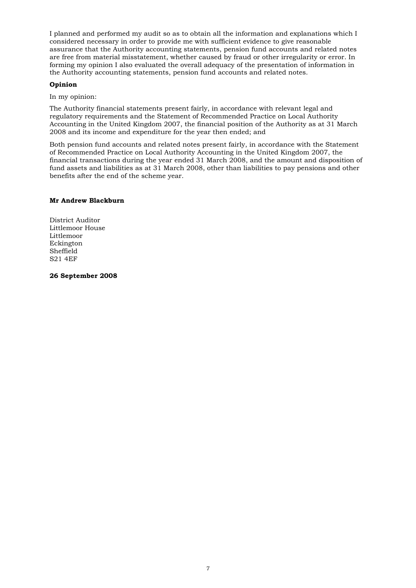I planned and performed my audit so as to obtain all the information and explanations which I considered necessary in order to provide me with sufficient evidence to give reasonable assurance that the Authority accounting statements, pension fund accounts and related notes are free from material misstatement, whether caused by fraud or other irregularity or error. In forming my opinion I also evaluated the overall adequacy of the presentation of information in the Authority accounting statements, pension fund accounts and related notes.

#### **Opinion**

In my opinion:

The Authority financial statements present fairly, in accordance with relevant legal and regulatory requirements and the Statement of Recommended Practice on Local Authority Accounting in the United Kingdom 2007, the financial position of the Authority as at 31 March 2008 and its income and expenditure for the year then ended; and

Both pension fund accounts and related notes present fairly, in accordance with the Statement of Recommended Practice on Local Authority Accounting in the United Kingdom 2007, the financial transactions during the year ended 31 March 2008, and the amount and disposition of fund assets and liabilities as at 31 March 2008, other than liabilities to pay pensions and other benefits after the end of the scheme year.

#### **Mr Andrew Blackburn**

District Auditor Littlemoor House Littlemoor Eckington Sheffield S21 4EF

**26 September 2008**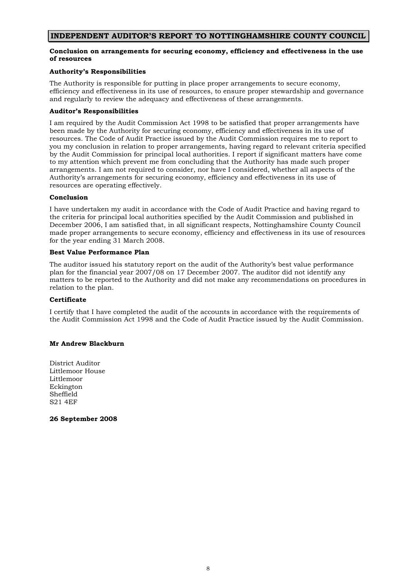#### **INDEPENDENT AUDITOR'S REPORT TO NOTTINGHAMSHIRE COUNTY COUNCIL**

#### **Conclusion on arrangements for securing economy, efficiency and effectiveness in the use of resources**

#### **Authority's Responsibilities**

The Authority is responsible for putting in place proper arrangements to secure economy, efficiency and effectiveness in its use of resources, to ensure proper stewardship and governance and regularly to review the adequacy and effectiveness of these arrangements.

#### **Auditor's Responsibilities**

I am required by the Audit Commission Act 1998 to be satisfied that proper arrangements have been made by the Authority for securing economy, efficiency and effectiveness in its use of resources. The Code of Audit Practice issued by the Audit Commission requires me to report to you my conclusion in relation to proper arrangements, having regard to relevant criteria specified by the Audit Commission for principal local authorities. I report if significant matters have come to my attention which prevent me from concluding that the Authority has made such proper arrangements. I am not required to consider, nor have I considered, whether all aspects of the Authority's arrangements for securing economy, efficiency and effectiveness in its use of resources are operating effectively.

#### **Conclusion**

I have undertaken my audit in accordance with the Code of Audit Practice and having regard to the criteria for principal local authorities specified by the Audit Commission and published in December 2006, I am satisfied that, in all significant respects, Nottinghamshire County Council made proper arrangements to secure economy, efficiency and effectiveness in its use of resources for the year ending 31 March 2008.

#### **Best Value Performance Plan**

The auditor issued his statutory report on the audit of the Authority's best value performance plan for the financial year 2007/08 on 17 December 2007. The auditor did not identify any matters to be reported to the Authority and did not make any recommendations on procedures in relation to the plan.

#### **Certificate**

I certify that I have completed the audit of the accounts in accordance with the requirements of the Audit Commission Act 1998 and the Code of Audit Practice issued by the Audit Commission.

#### **Mr Andrew Blackburn**

District Auditor Littlemoor House Littlemoor Eckington Sheffield S21 4EF

**26 September 2008**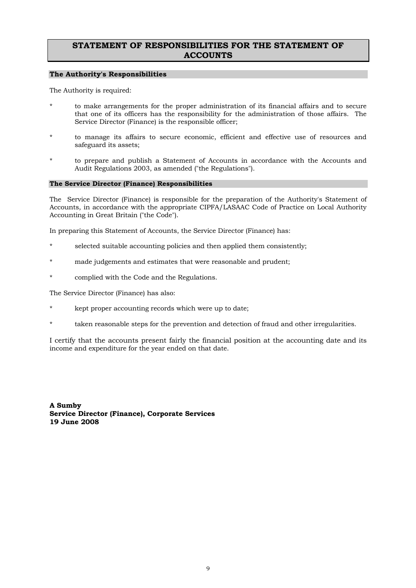#### <span id="page-9-0"></span>**STATEMENT OF RESPONSIBILITIES FOR THE STATEMENT OF ACCOUNTS**

#### **The Authority's Responsibilities**

The Authority is required:

- to make arrangements for the proper administration of its financial affairs and to secure that one of its officers has the responsibility for the administration of those affairs. The Service Director (Finance) is the responsible officer;
- to manage its affairs to secure economic, efficient and effective use of resources and safeguard its assets;
- to prepare and publish a Statement of Accounts in accordance with the Accounts and Audit Regulations 2003, as amended ("the Regulations").

#### **The Service Director (Finance) Responsibilities**

The Service Director (Finance) is responsible for the preparation of the Authority's Statement of Accounts, in accordance with the appropriate CIPFA/LASAAC Code of Practice on Local Authority Accounting in Great Britain ("the Code").

In preparing this Statement of Accounts, the Service Director (Finance) has:

- selected suitable accounting policies and then applied them consistently;
- made judgements and estimates that were reasonable and prudent;
- complied with the Code and the Regulations.

The Service Director (Finance) has also:

- kept proper accounting records which were up to date;
- taken reasonable steps for the prevention and detection of fraud and other irregularities.

I certify that the accounts present fairly the financial position at the accounting date and its income and expenditure for the year ended on that date.

**A Sumby Service Director (Finance), Corporate Services 19 June 2008**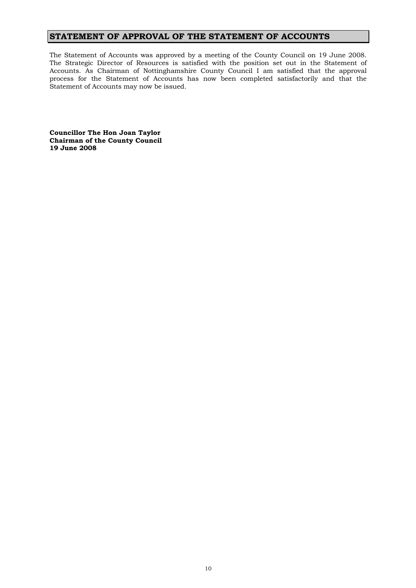### <span id="page-10-0"></span>**STATEMENT OF APPROVAL OF THE STATEMENT OF ACCOUNTS**

The Statement of Accounts was approved by a meeting of the County Council on 19 June 2008. The Strategic Director of Resources is satisfied with the position set out in the Statement of Accounts. As Chairman of Nottinghamshire County Council I am satisfied that the approval process for the Statement of Accounts has now been completed satisfactorily and that the Statement of Accounts may now be issued.

**Councillor The Hon Joan Taylor Chairman of the County Council 19 June 2008**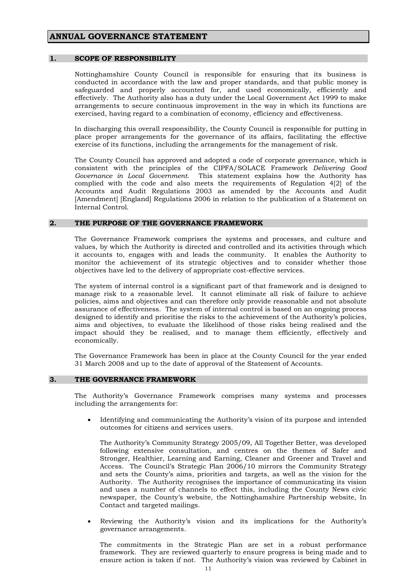#### <span id="page-11-0"></span>**ANNUAL GOVERNANCE STATEMENT**

#### **1. SCOPE OF RESPONSIBILITY**

Nottinghamshire County Council is responsible for ensuring that its business is conducted in accordance with the law and proper standards, and that public money is safeguarded and properly accounted for, and used economically, efficiently and effectively. The Authority also has a duty under the Local Government Act 1999 to make arrangements to secure continuous improvement in the way in which its functions are exercised, having regard to a combination of economy, efficiency and effectiveness.

 In discharging this overall responsibility, the County Council is responsible for putting in place proper arrangements for the governance of its affairs, facilitating the effective exercise of its functions, including the arrangements for the management of risk.

 The County Council has approved and adopted a code of corporate governance, which is consistent with the principles of the CIPFA/SOLACE Framework *Delivering Good Governance in Local Government.* This statement explains how the Authority has complied with the code and also meets the requirements of Regulation 4[2] of the Accounts and Audit Regulations 2003 as amended by the Accounts and Audit [Amendment] [England] Regulations 2006 in relation to the publication of a Statement on Internal Control.

#### **2. THE PURPOSE OF THE GOVERNANCE FRAMEWORK**

The Governance Framework comprises the systems and processes, and culture and values, by which the Authority is directed and controlled and its activities through which it accounts to, engages with and leads the community. It enables the Authority to monitor the achievement of its strategic objectives and to consider whether those objectives have led to the delivery of appropriate cost-effective services.

 The system of internal control is a significant part of that framework and is designed to manage risk to a reasonable level. It cannot eliminate all risk of failure to achieve policies, aims and objectives and can therefore only provide reasonable and not absolute assurance of effectiveness. The system of internal control is based on an ongoing process designed to identify and prioritise the risks to the achievement of the Authority's policies, aims and objectives, to evaluate the likelihood of those risks being realised and the impact should they be realised, and to manage them efficiently, effectively and economically.

 The Governance Framework has been in place at the County Council for the year ended 31 March 2008 and up to the date of approval of the Statement of Accounts.

#### **3. THE GOVERNANCE FRAMEWORK**

The Authority's Governance Framework comprises many systems and processes including the arrangements for:

• Identifying and communicating the Authority's vision of its purpose and intended outcomes for citizens and services users.

The Authority's Community Strategy 2005/09, All Together Better, was developed following extensive consultation, and centres on the themes of Safer and Stronger, Healthier, Learning and Earning, Cleaner and Greener and Travel and Access. The Council's Strategic Plan 2006/10 mirrors the Community Strategy and sets the County's aims, priorities and targets, as well as the vision for the Authority. The Authority recognises the importance of communicating its vision and uses a number of channels to effect this, including the County News civic newspaper, the County's website, the Nottinghamshire Partnership website, In Contact and targeted mailings.

• Reviewing the Authority's vision and its implications for the Authority's governance arrangements.

The commitments in the Strategic Plan are set in a robust performance framework. They are reviewed quarterly to ensure progress is being made and to ensure action is taken if not. The Authority's vision was reviewed by Cabinet in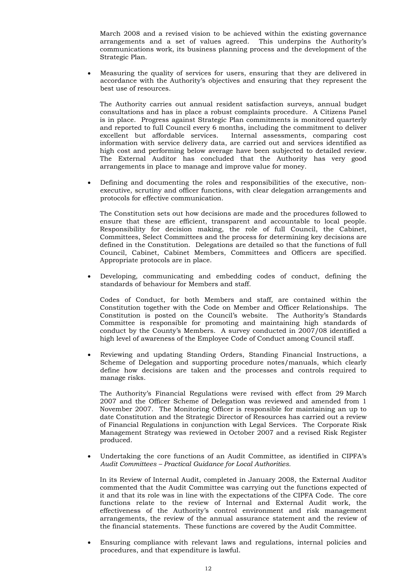March 2008 and a revised vision to be achieved within the existing governance arrangements and a set of values agreed. This underpins the Authority's communications work, its business planning process and the development of the Strategic Plan.

• Measuring the quality of services for users, ensuring that they are delivered in accordance with the Authority's objectives and ensuring that they represent the best use of resources.

The Authority carries out annual resident satisfaction surveys, annual budget consultations and has in place a robust complaints procedure. A Citizens Panel is in place. Progress against Strategic Plan commitments is monitored quarterly and reported to full Council every 6 months, including the commitment to deliver excellent but affordable services. Internal assessments, comparing cost information with service delivery data, are carried out and services identified as high cost and performing below average have been subjected to detailed review. The External Auditor has concluded that the Authority has very good arrangements in place to manage and improve value for money.

• Defining and documenting the roles and responsibilities of the executive, nonexecutive, scrutiny and officer functions, with clear delegation arrangements and protocols for effective communication.

The Constitution sets out how decisions are made and the procedures followed to ensure that these are efficient, transparent and accountable to local people. Responsibility for decision making, the role of full Council, the Cabinet, Committees, Select Committees and the process for determining key decisions are defined in the Constitution. Delegations are detailed so that the functions of full Council, Cabinet, Cabinet Members, Committees and Officers are specified. Appropriate protocols are in place.

• Developing, communicating and embedding codes of conduct, defining the standards of behaviour for Members and staff.

 Codes of Conduct, for both Members and staff, are contained within the Constitution together with the Code on Member and Officer Relationships. The Constitution is posted on the Council's website. The Authority's Standards Committee is responsible for promoting and maintaining high standards of conduct by the County's Members. A survey conducted in 2007/08 identified a high level of awareness of the Employee Code of Conduct among Council staff.

• Reviewing and updating Standing Orders, Standing Financial Instructions, a Scheme of Delegation and supporting procedure notes/manuals, which clearly define how decisions are taken and the processes and controls required to manage risks.

 The Authority's Financial Regulations were revised with effect from 29 March 2007 and the Officer Scheme of Delegation was reviewed and amended from 1 November 2007. The Monitoring Officer is responsible for maintaining an up to date Constitution and the Strategic Director of Resources has carried out a review of Financial Regulations in conjunction with Legal Services. The Corporate Risk Management Strategy was reviewed in October 2007 and a revised Risk Register produced.

• Undertaking the core functions of an Audit Committee, as identified in CIPFA's *Audit Committees – Practical Guidance for Local Authorities.*

In its Review of Internal Audit, completed in January 2008, the External Auditor commented that the Audit Committee was carrying out the functions expected of it and that its role was in line with the expectations of the CIPFA Code. The core functions relate to the review of Internal and External Audit work, the effectiveness of the Authority's control environment and risk management arrangements, the review of the annual assurance statement and the review of the financial statements. These functions are covered by the Audit Committee.

• Ensuring compliance with relevant laws and regulations, internal policies and procedures, and that expenditure is lawful.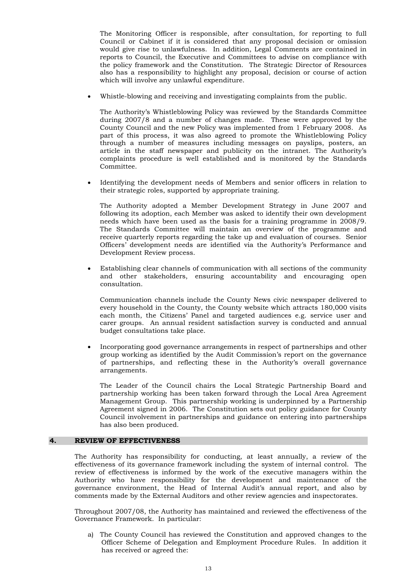The Monitoring Officer is responsible, after consultation, for reporting to full Council or Cabinet if it is considered that any proposal decision or omission would give rise to unlawfulness. In addition, Legal Comments are contained in reports to Council, the Executive and Committees to advise on compliance with the policy framework and the Constitution. The Strategic Director of Resources also has a responsibility to highlight any proposal, decision or course of action which will involve any unlawful expenditure.

• Whistle-blowing and receiving and investigating complaints from the public.

The Authority's Whistleblowing Policy was reviewed by the Standards Committee during 2007/8 and a number of changes made. These were approved by the County Council and the new Policy was implemented from 1 February 2008. As part of this process, it was also agreed to promote the Whistleblowing Policy through a number of measures including messages on payslips, posters, an article in the staff newspaper and publicity on the intranet. The Authority's complaints procedure is well established and is monitored by the Standards Committee.

• Identifying the development needs of Members and senior officers in relation to their strategic roles, supported by appropriate training.

The Authority adopted a Member Development Strategy in June 2007 and following its adoption, each Member was asked to identify their own development needs which have been used as the basis for a training programme in 2008/9. The Standards Committee will maintain an overview of the programme and receive quarterly reports regarding the take up and evaluation of courses. Senior Officers' development needs are identified via the Authority's Performance and Development Review process.

• Establishing clear channels of communication with all sections of the community and other stakeholders, ensuring accountability and encouraging open consultation.

Communication channels include the County News civic newspaper delivered to every household in the County, the County website which attracts 180,000 visits each month, the Citizens' Panel and targeted audiences e.g. service user and carer groups. An annual resident satisfaction survey is conducted and annual budget consultations take place.

• Incorporating good governance arrangements in respect of partnerships and other group working as identified by the Audit Commission's report on the governance of partnerships, and reflecting these in the Authority's overall governance arrangements.

The Leader of the Council chairs the Local Strategic Partnership Board and partnership working has been taken forward through the Local Area Agreement Management Group. This partnership working is underpinned by a Partnership Agreement signed in 2006. The Constitution sets out policy guidance for County Council involvement in partnerships and guidance on entering into partnerships has also been produced.

#### **4. REVIEW OF EFFECTIVENESS**

The Authority has responsibility for conducting, at least annually, a review of the effectiveness of its governance framework including the system of internal control. The review of effectiveness is informed by the work of the executive managers within the Authority who have responsibility for the development and maintenance of the governance environment, the Head of Internal Audit's annual report, and also by comments made by the External Auditors and other review agencies and inspectorates.

 Throughout 2007/08, the Authority has maintained and reviewed the effectiveness of the Governance Framework. In particular:

a) The County Council has reviewed the Constitution and approved changes to the Officer Scheme of Delegation and Employment Procedure Rules. In addition it has received or agreed the: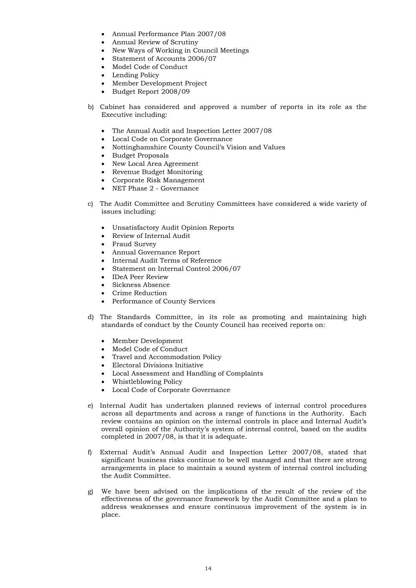- Annual Performance Plan 2007/08
- Annual Review of Scrutiny
- New Ways of Working in Council Meetings
- Statement of Accounts 2006/07
- Model Code of Conduct
- Lending Policy
- Member Development Project
- Budget Report 2008/09
- b) Cabinet has considered and approved a number of reports in its role as the Executive including:
	- The Annual Audit and Inspection Letter 2007/08
	- Local Code on Corporate Governance
	- Nottinghamshire County Council's Vision and Values
	- Budget Proposals
	- New Local Area Agreement
	- Revenue Budget Monitoring
	- Corporate Risk Management
	- NET Phase 2 Governance
- c) The Audit Committee and Scrutiny Committees have considered a wide variety of issues including:
	- Unsatisfactory Audit Opinion Reports
	- Review of Internal Audit
	- Fraud Survey
	- Annual Governance Report
	- Internal Audit Terms of Reference
	- Statement on Internal Control 2006/07
	- IDeA Peer Review
	- Sickness Absence
	- Crime Reduction
	- Performance of County Services
- d) The Standards Committee, in its role as promoting and maintaining high standards of conduct by the County Council has received reports on:
	- Member Development
	- Model Code of Conduct
	- Travel and Accommodation Policy
	- Electoral Divisions Initiative
	- Local Assessment and Handling of Complaints
	- Whistleblowing Policy
	- Local Code of Corporate Governance
- e) Internal Audit has undertaken planned reviews of internal control procedures across all departments and across a range of functions in the Authority. Each review contains an opinion on the internal controls in place and Internal Audit's overall opinion of the Authority's system of internal control, based on the audits completed in 2007/08, is that it is adequate.
- f) External Audit's Annual Audit and Inspection Letter 2007/08, stated that significant business risks continue to be well managed and that there are strong arrangements in place to maintain a sound system of internal control including the Audit Committee.
- g) We have been advised on the implications of the result of the review of the effectiveness of the governance framework by the Audit Committee and a plan to address weaknesses and ensure continuous improvement of the system is in place.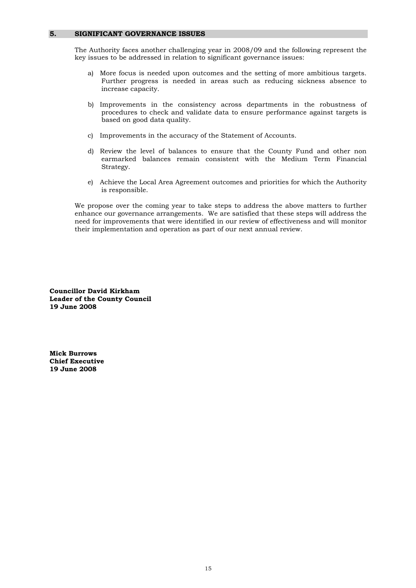#### **5. SIGNIFICANT GOVERNANCE ISSUES**

The Authority faces another challenging year in 2008/09 and the following represent the key issues to be addressed in relation to significant governance issues:

- a) More focus is needed upon outcomes and the setting of more ambitious targets. Further progress is needed in areas such as reducing sickness absence to increase capacity.
- b) Improvements in the consistency across departments in the robustness of procedures to check and validate data to ensure performance against targets is based on good data quality.
- c) Improvements in the accuracy of the Statement of Accounts.
- d) Review the level of balances to ensure that the County Fund and other non earmarked balances remain consistent with the Medium Term Financial Strategy.
- e) Achieve the Local Area Agreement outcomes and priorities for which the Authority is responsible.

 We propose over the coming year to take steps to address the above matters to further enhance our governance arrangements. We are satisfied that these steps will address the need for improvements that were identified in our review of effectiveness and will monitor their implementation and operation as part of our next annual review.

**Councillor David Kirkham Leader of the County Council 19 June 2008** 

**Mick Burrows Chief Executive 19 June 2008**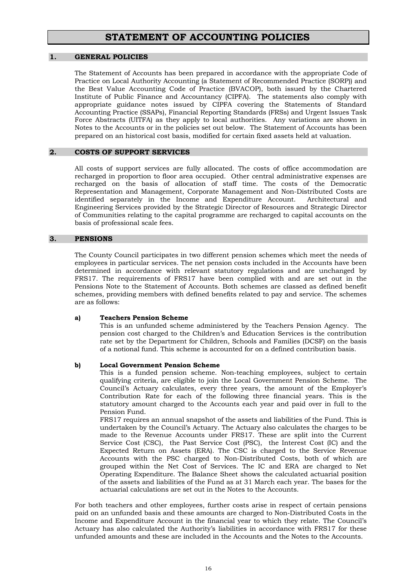### **STATEMENT OF ACCOUNTING POLICIES**

#### **1. GENERAL POLICIES**

The Statement of Accounts has been prepared in accordance with the appropriate Code of Practice on Local Authority Accounting (a Statement of Recommended Practice (SORP)) and the Best Value Accounting Code of Practice (BVACOP), both issued by the Chartered Institute of Public Finance and Accountancy (CIPFA). The statements also comply with appropriate guidance notes issued by CIPFA covering the Statements of Standard Accounting Practice (SSAPs), Financial Reporting Standards (FRSs) and Urgent Issues Task Force Abstracts (UITFA) as they apply to local authorities. Any variations are shown in Notes to the Accounts or in the policies set out below. The Statement of Accounts has been prepared on an historical cost basis, modified for certain fixed assets held at valuation.

#### **2. COSTS OF SUPPORT SERVICES**

 All costs of support services are fully allocated. The costs of office accommodation are recharged in proportion to floor area occupied. Other central administrative expenses are recharged on the basis of allocation of staff time. The costs of the Democratic Representation and Management, Corporate Management and Non-Distributed Costs are identified separately in the Income and Expenditure Account. Architectural and Engineering Services provided by the Strategic Director of Resources and Strategic Director of Communities relating to the capital programme are recharged to capital accounts on the basis of professional scale fees.

#### **3. PENSIONS**

 The County Council participates in two different pension schemes which meet the needs of employees in particular services. The net pension costs included in the Accounts have been determined in accordance with relevant statutory regulations and are unchanged by FRS17. The requirements of FRS17 have been complied with and are set out in the Pensions Note to the Statement of Accounts. Both schemes are classed as defined benefit schemes, providing members with defined benefits related to pay and service. The schemes are as follows:

#### **a) Teachers Pension Scheme**

This is an unfunded scheme administered by the Teachers Pension Agency. The pension cost charged to the Children's and Education Services is the contribution rate set by the Department for Children, Schools and Families (DCSF) on the basis of a notional fund. This scheme is accounted for on a defined contribution basis.

#### **b) Local Government Pension Scheme**

This is a funded pension scheme. Non-teaching employees, subject to certain qualifying criteria, are eligible to join the Local Government Pension Scheme. The Council's Actuary calculates, every three years, the amount of the Employer's Contribution Rate for each of the following three financial years. This is the statutory amount charged to the Accounts each year and paid over in full to the Pension Fund.

 FRS17 requires an annual snapshot of the assets and liabilities of the Fund. This is undertaken by the Council's Actuary. The Actuary also calculates the charges to be made to the Revenue Accounts under FRS17. These are split into the Current Service Cost (CSC), the Past Service Cost (PSC), the Interest Cost (IC) and the Expected Return on Assets (ERA). The CSC is charged to the Service Revenue Accounts with the PSC charged to Non-Distributed Costs, both of which are grouped within the Net Cost of Services. The IC and ERA are charged to Net Operating Expenditure. The Balance Sheet shows the calculated actuarial position of the assets and liabilities of the Fund as at 31 March each year. The bases for the actuarial calculations are set out in the Notes to the Accounts.

For both teachers and other employees, further costs arise in respect of certain pensions paid on an unfunded basis and these amounts are charged to Non-Distributed Costs in the Income and Expenditure Account in the financial year to which they relate. The Council's Actuary has also calculated the Authority's liabilities in accordance with FRS17 for these unfunded amounts and these are included in the Accounts and the Notes to the Accounts.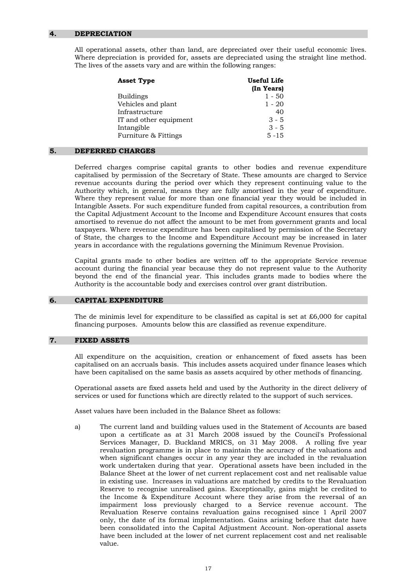#### **4. DEPRECIATION**

 All operational assets, other than land, are depreciated over their useful economic lives. Where depreciation is provided for, assets are depreciated using the straight line method. The lives of the assets vary and are within the following ranges:

| <b>Asset Type</b>      | Useful Life<br>(In Years) |
|------------------------|---------------------------|
| Buildings              | $1 - 50$                  |
| Vehicles and plant     | $1 - 20$                  |
| Infrastructure         | 40                        |
| IT and other equipment | $3 - 5$                   |
| Intangible             | $3 - 5$                   |
| Furniture & Fittings   | $5 - 15$                  |

#### **5. DEFERRED CHARGES**

 Deferred charges comprise capital grants to other bodies and revenue expenditure capitalised by permission of the Secretary of State. These amounts are charged to Service revenue accounts during the period over which they represent continuing value to the Authority which, in general, means they are fully amortised in the year of expenditure. Where they represent value for more than one financial year they would be included in Intangible Assets. For such expenditure funded from capital resources, a contribution from the Capital Adjustment Account to the Income and Expenditure Account ensures that costs amortised to revenue do not affect the amount to be met from government grants and local taxpayers. Where revenue expenditure has been capitalised by permission of the Secretary of State, the charges to the Income and Expenditure Account may be increased in later years in accordance with the regulations governing the Minimum Revenue Provision.

 Capital grants made to other bodies are written off to the appropriate Service revenue account during the financial year because they do not represent value to the Authority beyond the end of the financial year. This includes grants made to bodies where the Authority is the accountable body and exercises control over grant distribution.

#### **6. CAPITAL EXPENDITURE**

The de minimis level for expenditure to be classified as capital is set at  $£6,000$  for capital financing purposes. Amounts below this are classified as revenue expenditure.

#### **7. FIXED ASSETS**

All expenditure on the acquisition, creation or enhancement of fixed assets has been capitalised on an accruals basis. This includes assets acquired under finance leases which have been capitalised on the same basis as assets acquired by other methods of financing.

 Operational assets are fixed assets held and used by the Authority in the direct delivery of services or used for functions which are directly related to the support of such services.

Asset values have been included in the Balance Sheet as follows:

a) The current land and building values used in the Statement of Accounts are based upon a certificate as at 31 March 2008 issued by the Council's Professional Services Manager, D. Buckland MRICS, on 31 May 2008. A rolling five year revaluation programme is in place to maintain the accuracy of the valuations and when significant changes occur in any year they are included in the revaluation work undertaken during that year. Operational assets have been included in the Balance Sheet at the lower of net current replacement cost and net realisable value in existing use. Increases in valuations are matched by credits to the Revaluation Reserve to recognise unrealised gains. Exceptionally, gains might be credited to the Income & Expenditure Account where they arise from the reversal of an impairment loss previously charged to a Service revenue account. The Revaluation Reserve contains revaluation gains recognised since 1 April 2007 only, the date of its formal implementation. Gains arising before that date have been consolidated into the Capital Adjustment Account. Non-operational assets have been included at the lower of net current replacement cost and net realisable value.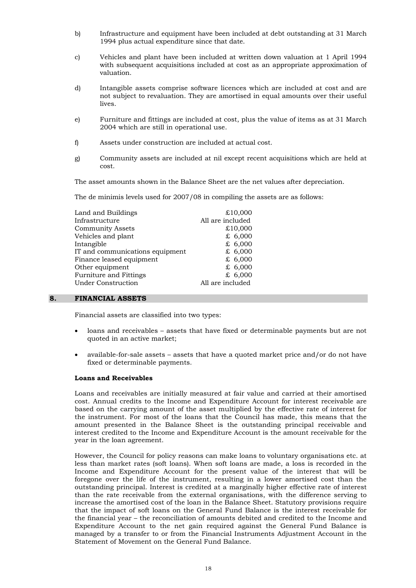- b) Infrastructure and equipment have been included at debt outstanding at 31 March 1994 plus actual expenditure since that date.
- c) Vehicles and plant have been included at written down valuation at 1 April 1994 with subsequent acquisitions included at cost as an appropriate approximation of valuation.
- d) Intangible assets comprise software licences which are included at cost and are not subject to revaluation. They are amortised in equal amounts over their useful lives.
- e) Furniture and fittings are included at cost, plus the value of items as at 31 March 2004 which are still in operational use.
- f) Assets under construction are included at actual cost.
- g) Community assets are included at nil except recent acquisitions which are held at cost.

The asset amounts shown in the Balance Sheet are the net values after depreciation.

The de minimis levels used for 2007/08 in compiling the assets are as follows:

| Land and Buildings              | £10,000          |
|---------------------------------|------------------|
| Infrastructure                  | All are included |
| <b>Community Assets</b>         | £10,000          |
| Vehicles and plant              | £ $6,000$        |
| Intangible                      | £ $6,000$        |
| IT and communications equipment | £ $6,000$        |
| Finance leased equipment        | £ $6,000$        |
| Other equipment                 | £ $6,000$        |
| Furniture and Fittings          | £ $6,000$        |
| <b>Under Construction</b>       | All are included |
|                                 |                  |

#### **8. FINANCIAL ASSETS**

Financial assets are classified into two types:

- loans and receivables assets that have fixed or determinable payments but are not quoted in an active market;
- available-for-sale assets assets that have a quoted market price and/or do not have fixed or determinable payments.

#### **Loans and Receivables**

Loans and receivables are initially measured at fair value and carried at their amortised cost. Annual credits to the Income and Expenditure Account for interest receivable are based on the carrying amount of the asset multiplied by the effective rate of interest for the instrument. For most of the loans that the Council has made, this means that the amount presented in the Balance Sheet is the outstanding principal receivable and interest credited to the Income and Expenditure Account is the amount receivable for the year in the loan agreement.

However, the Council for policy reasons can make loans to voluntary organisations etc. at less than market rates (soft loans). When soft loans are made, a loss is recorded in the Income and Expenditure Account for the present value of the interest that will be foregone over the life of the instrument, resulting in a lower amortised cost than the outstanding principal. Interest is credited at a marginally higher effective rate of interest than the rate receivable from the external organisations, with the difference serving to increase the amortised cost of the loan in the Balance Sheet. Statutory provisions require that the impact of soft loans on the General Fund Balance is the interest receivable for the financial year – the reconciliation of amounts debited and credited to the Income and Expenditure Account to the net gain required against the General Fund Balance is managed by a transfer to or from the Financial Instruments Adjustment Account in the Statement of Movement on the General Fund Balance.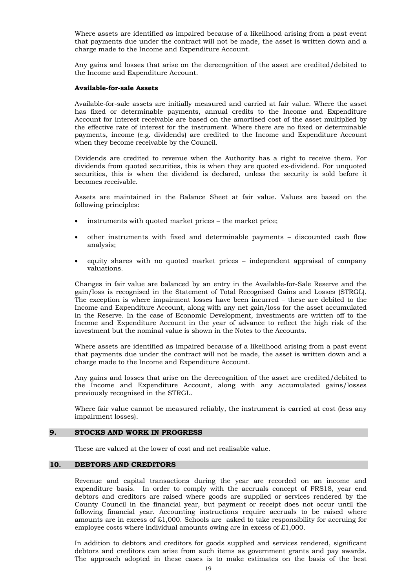Where assets are identified as impaired because of a likelihood arising from a past event that payments due under the contract will not be made, the asset is written down and a charge made to the Income and Expenditure Account.

Any gains and losses that arise on the derecognition of the asset are credited/debited to the Income and Expenditure Account.

#### **Available-for-sale Assets**

Available-for-sale assets are initially measured and carried at fair value. Where the asset has fixed or determinable payments, annual credits to the Income and Expenditure Account for interest receivable are based on the amortised cost of the asset multiplied by the effective rate of interest for the instrument. Where there are no fixed or determinable payments, income (e.g. dividends) are credited to the Income and Expenditure Account when they become receivable by the Council.

Dividends are credited to revenue when the Authority has a right to receive them. For dividends from quoted securities, this is when they are quoted ex-dividend. For unquoted securities, this is when the dividend is declared, unless the security is sold before it becomes receivable.

Assets are maintained in the Balance Sheet at fair value. Values are based on the following principles:

- instruments with quoted market prices the market price;
- other instruments with fixed and determinable payments discounted cash flow analysis;
- equity shares with no quoted market prices independent appraisal of company valuations.

Changes in fair value are balanced by an entry in the Available-for-Sale Reserve and the gain/loss is recognised in the Statement of Total Recognised Gains and Losses (STRGL). The exception is where impairment losses have been incurred – these are debited to the Income and Expenditure Account, along with any net gain/loss for the asset accumulated in the Reserve. In the case of Economic Development, investments are written off to the Income and Expenditure Account in the year of advance to reflect the high risk of the investment but the nominal value is shown in the Notes to the Accounts.

Where assets are identified as impaired because of a likelihood arising from a past event that payments due under the contract will not be made, the asset is written down and a charge made to the Income and Expenditure Account.

Any gains and losses that arise on the derecognition of the asset are credited/debited to the Income and Expenditure Account, along with any accumulated gains/losses previously recognised in the STRGL.

Where fair value cannot be measured reliably, the instrument is carried at cost (less any impairment losses).

#### **9. STOCKS AND WORK IN PROGRESS**

These are valued at the lower of cost and net realisable value.

#### **10. DEBTORS AND CREDITORS**

 Revenue and capital transactions during the year are recorded on an income and expenditure basis. In order to comply with the accruals concept of FRS18, year end debtors and creditors are raised where goods are supplied or services rendered by the County Council in the financial year, but payment or receipt does not occur until the following financial year. Accounting instructions require accruals to be raised where amounts are in excess of £1,000. Schools are asked to take responsibility for accruing for employee costs where individual amounts owing are in excess of  $\text{\pounds}1,000$ .

 In addition to debtors and creditors for goods supplied and services rendered, significant debtors and creditors can arise from such items as government grants and pay awards. The approach adopted in these cases is to make estimates on the basis of the best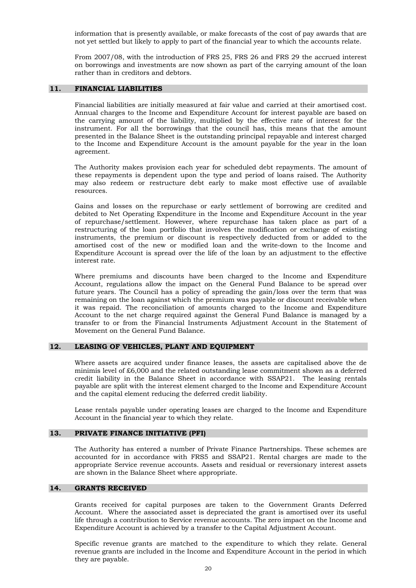information that is presently available, or make forecasts of the cost of pay awards that are not yet settled but likely to apply to part of the financial year to which the accounts relate.

 From 2007/08, with the introduction of FRS 25, FRS 26 and FRS 29 the accrued interest on borrowings and investments are now shown as part of the carrying amount of the loan rather than in creditors and debtors.

#### **11. FINANCIAL LIABILITIES**

 Financial liabilities are initially measured at fair value and carried at their amortised cost. Annual charges to the Income and Expenditure Account for interest payable are based on the carrying amount of the liability, multiplied by the effective rate of interest for the instrument. For all the borrowings that the council has, this means that the amount presented in the Balance Sheet is the outstanding principal repayable and interest charged to the Income and Expenditure Account is the amount payable for the year in the loan agreement.

The Authority makes provision each year for scheduled debt repayments. The amount of these repayments is dependent upon the type and period of loans raised. The Authority may also redeem or restructure debt early to make most effective use of available resources.

Gains and losses on the repurchase or early settlement of borrowing are credited and debited to Net Operating Expenditure in the Income and Expenditure Account in the year of repurchase/settlement. However, where repurchase has taken place as part of a restructuring of the loan portfolio that involves the modification or exchange of existing instruments, the premium or discount is respectively deducted from or added to the amortised cost of the new or modified loan and the write-down to the Income and Expenditure Account is spread over the life of the loan by an adjustment to the effective interest rate.

Where premiums and discounts have been charged to the Income and Expenditure Account, regulations allow the impact on the General Fund Balance to be spread over future years. The Council has a policy of spreading the gain/loss over the term that was remaining on the loan against which the premium was payable or discount receivable when it was repaid. The reconciliation of amounts charged to the Income and Expenditure Account to the net charge required against the General Fund Balance is managed by a transfer to or from the Financial Instruments Adjustment Account in the Statement of Movement on the General Fund Balance.

#### **12. LEASING OF VEHICLES, PLANT AND EQUIPMENT**

 Where assets are acquired under finance leases, the assets are capitalised above the de minimis level of £6,000 and the related outstanding lease commitment shown as a deferred credit liability in the Balance Sheet in accordance with SSAP21. The leasing rentals payable are split with the interest element charged to the Income and Expenditure Account and the capital element reducing the deferred credit liability.

 Lease rentals payable under operating leases are charged to the Income and Expenditure Account in the financial year to which they relate.

#### **13. PRIVATE FINANCE INITIATIVE (PFI)**

 The Authority has entered a number of Private Finance Partnerships. These schemes are accounted for in accordance with FRS5 and SSAP21. Rental charges are made to the appropriate Service revenue accounts. Assets and residual or reversionary interest assets are shown in the Balance Sheet where appropriate.

#### **14. GRANTS RECEIVED**

 Grants received for capital purposes are taken to the Government Grants Deferred Account. Where the associated asset is depreciated the grant is amortised over its useful life through a contribution to Service revenue accounts. The zero impact on the Income and Expenditure Account is achieved by a transfer to the Capital Adjustment Account.

 Specific revenue grants are matched to the expenditure to which they relate. General revenue grants are included in the Income and Expenditure Account in the period in which they are payable.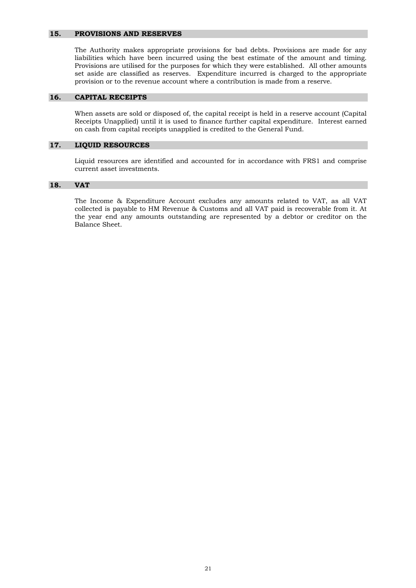#### **15. PROVISIONS AND RESERVES**

 The Authority makes appropriate provisions for bad debts. Provisions are made for any liabilities which have been incurred using the best estimate of the amount and timing. Provisions are utilised for the purposes for which they were established. All other amounts set aside are classified as reserves. Expenditure incurred is charged to the appropriate provision or to the revenue account where a contribution is made from a reserve.

#### **16. CAPITAL RECEIPTS**

 When assets are sold or disposed of, the capital receipt is held in a reserve account (Capital Receipts Unapplied) until it is used to finance further capital expenditure. Interest earned on cash from capital receipts unapplied is credited to the General Fund.

#### **17. LIQUID RESOURCES**

 Liquid resources are identified and accounted for in accordance with FRS1 and comprise current asset investments.

#### **18. VAT**

The Income & Expenditure Account excludes any amounts related to VAT, as all VAT collected is payable to HM Revenue & Customs and all VAT paid is recoverable from it. At the year end any amounts outstanding are represented by a debtor or creditor on the Balance Sheet.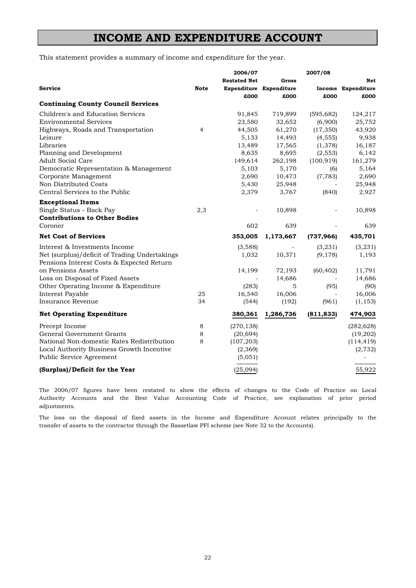### **INCOME AND EXPENDITURE ACCOUNT**

This statement provides a summary of income and expenditure for the year.

| <b>Restated Net</b><br>Gross                                                          | <b>Net</b> |
|---------------------------------------------------------------------------------------|------------|
|                                                                                       |            |
| <b>Service</b><br><b>Note</b><br>Expenditure Expenditure<br><b>Income Expenditure</b> |            |
| £000<br>£000<br>£000                                                                  | £000       |
| <b>Continuing County Council Services</b>                                             |            |
| Children's and Education Services<br>91,845<br>719,899<br>(595, 682)                  | 124,217    |
| <b>Environmental Services</b><br>(6,900)<br>23,580<br>32,652                          | 25,752     |
| 61,270<br>Highways, Roads and Transportation<br>4<br>44,505<br>(17, 350)              | 43,920     |
| Leisure<br>5,133<br>14,493<br>(4, 555)                                                | 9,938      |
| Libraries<br>13,489<br>17,565<br>(1,378)                                              | 16,187     |
| Planning and Development<br>8,635<br>8,695<br>(2, 553)                                | 6,142      |
| <b>Adult Social Care</b><br>149,614<br>262,198<br>(100, 919)                          | 161,279    |
| Democratic Representation & Management<br>5,170<br>5,103<br>(6)                       | 5,164      |
| Corporate Management<br>2,690<br>10,473<br>(7, 783)                                   | 2,690      |
| Non Distributed Costs<br>5,430<br>25,948                                              | 25,948     |
| Central Services to the Public<br>2,379<br>3,767<br>(840)                             | 2,927      |
| <b>Exceptional Items</b>                                                              |            |
| Single Status - Back Pay<br>2,3<br>10,898<br>$\overline{a}$                           | 10,898     |
| <b>Contributions to Other Bodies</b>                                                  |            |
| Coroner<br>602<br>639                                                                 | 639        |
| <b>Net Cost of Services</b><br>353,005<br>1,173,667<br>(737, 966)                     | 435,701    |
| Interest & Investments Income<br>(3,588)<br>(3,231)                                   | (3,231)    |
| Net (surplus)/deficit of Trading Undertakings<br>1,032<br>10,371<br>(9, 178)          | 1,193      |
| Pensions Interest Costs & Expected Return                                             |            |
| on Pensions Assets<br>14,199<br>72,193<br>(60, 402)                                   | 11,791     |
| Loss on Disposal of Fixed Assets<br>14,686                                            | 14,686     |
| Other Operating Income & Expenditure<br>(283)<br>5<br>(95)                            | (90)       |
| Interest Payable<br>25<br>16,540<br>16,006                                            | 16,006     |
| Insurance Revenue<br>34<br>(192)<br>(961)<br>(544)                                    | (1, 153)   |
| <b>Net Operating Expenditure</b><br>1,286,736<br>(811, 833)<br>380,361                | 474,903    |
| Precept Income<br>8<br>(270, 138)                                                     | (282, 628) |
| General Government Grants<br>8<br>(20, 694)                                           | (19,202)   |
| National Non-domestic Rates Redistribution<br>8<br>(107, 203)                         | (114, 419) |
| Local Authority Business Growth Incentive<br>(2,369)                                  | (2, 732)   |
| Public Service Agreement<br>(5,051)                                                   |            |
| (Surplus)/Deficit for the Year<br>(25,094)                                            | 55,922     |

adjustments. The 2006/07 figures have been restated to show the effects of changes to the Code of Practice on Local Authority Accounts and the Best Value Accounting Code of Practice, see explanation of prior period

transfer of assets to the contractor through the Bassetlaw PFI scheme (see Note 32 to the Accounts). The loss on the disposal of fixed assets in the Income and Expenditure Account relates principally to the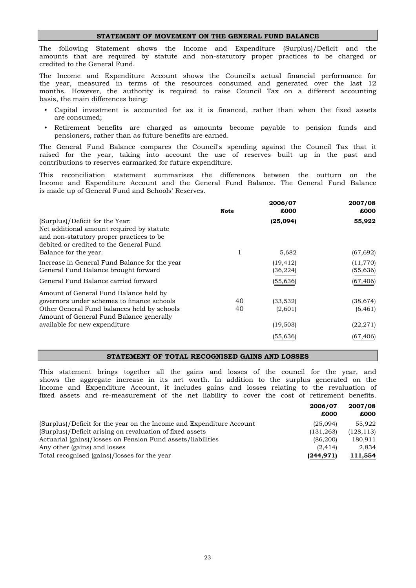#### **STATEMENT OF MOVEMENT ON THE GENERAL FUND BALANCE**

credited to the General Fund. The following Statement shows the Income and Expenditure (Surplus)/Deficit and the amounts that are required by statute and non-statutory proper practices to be charged or

basis, the main differences being: months. However, the authority is required to raise Council Tax on a different accounting The Income and Expenditure Account shows the Council's actual financial performance for the year, measured in terms of the resources consumed and generated over the last 12

- Capital investment is accounted for as it is financed, rather than when the fixed assets are consumed;
- Retirement benefits are charged as amounts become payable to pension funds and pensioners, rather than as future benefits are earned.

contributions to reserves earmarked for future expenditure. raised for the year, taking into account the use of reserves built up in the past and The General Fund Balance compares the Council's spending against the Council Tax that it

is made up of General Fund and Schools' Reserves. Income and Expenditure Account and the General Fund Balance. The General Fund Balance This reconciliation statement summarises the differences between the outturn on the

|                                                                                                                                                                                              | <b>Note</b> | 2006/07<br>£000        | 2007/08<br>£000       |
|----------------------------------------------------------------------------------------------------------------------------------------------------------------------------------------------|-------------|------------------------|-----------------------|
| (Surplus)/Deficit for the Year:<br>Net additional amount required by statute<br>and non-statutory proper practices to be<br>debited or credited to the General Fund<br>Balance for the year. | 1           | (25,094)<br>5,682      | 55,922<br>(67, 692)   |
| Increase in General Fund Balance for the year<br>General Fund Balance brought forward                                                                                                        |             | (19, 412)<br>(36, 224) | (11,770)<br>(55, 636) |
| General Fund Balance carried forward<br>Amount of General Fund Balance held by                                                                                                               |             | (55, 636)              | (67, 406)             |
| governors under schemes to finance schools                                                                                                                                                   | 40          | (33, 532)              | (38, 674)             |
| Other General Fund balances held by schools<br>Amount of General Fund Balance generally                                                                                                      | 40          | (2,601)                | (6, 461)              |
| available for new expenditure                                                                                                                                                                |             | (19, 503)              | (22, 271)             |
|                                                                                                                                                                                              |             | (55, 636)              | (67, 406)             |

#### **STATEMENT OF TOTAL RECOGNISED GAINS AND LOSSES**

fixed assets and re-measurement of the net liability to cover the cost of retirement benefits. This statement brings together all the gains and losses of the council for the year, and shows the aggregate increase in its net worth. In addition to the surplus generated on the Income and Expenditure Account, it includes gains and losses relating to the revaluation of

|                                                                      | 2006/07<br>£000 | 2007/08<br>£000 |
|----------------------------------------------------------------------|-----------------|-----------------|
| (Surplus)/Deficit for the year on the Income and Expenditure Account | (25,094)        | 55.922          |
| (Surplus)/Deficit arising on revaluation of fixed assets             | (131, 263)      | (128, 113)      |
| Actuarial (gains)/losses on Pension Fund assets/liabilities          | (86, 200)       | 180.911         |
| Any other (gains) and losses                                         | (2.414)         | 2.834           |
| Total recognised (gains)/losses for the year                         | (244, 971)      | 111,554         |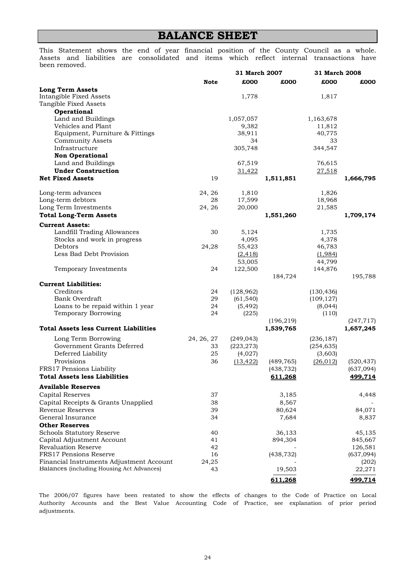### **BALANCE SHEET**

been removed. Assets and liabilities are consolidated and items which reflect internal transactions have This Statement shows the end of year financial position of the County Council as a whole.

|                                                       |             | 31 March 2007     |                          | 31 March 2008     |                          |
|-------------------------------------------------------|-------------|-------------------|--------------------------|-------------------|--------------------------|
|                                                       | <b>Note</b> | £000              | £000                     | £000              | £000                     |
| <b>Long Term Assets</b>                               |             |                   |                          |                   |                          |
| <b>Intangible Fixed Assets</b>                        |             | 1,778             |                          | 1,817             |                          |
| Tangible Fixed Assets                                 |             |                   |                          |                   |                          |
| Operational                                           |             |                   |                          |                   |                          |
| Land and Buildings                                    |             | 1,057,057         |                          | 1,163,678         |                          |
| Vehicles and Plant<br>Equipment, Furniture & Fittings |             | 9,382<br>38,911   |                          | 11,812<br>40,775  |                          |
| <b>Community Assets</b>                               |             | 34                |                          | 33                |                          |
| Infrastructure                                        |             | 305,748           |                          | 344,547           |                          |
| <b>Non Operational</b>                                |             |                   |                          |                   |                          |
| Land and Buildings                                    |             | 67,519            |                          | 76,615            |                          |
| <b>Under Construction</b>                             |             | <u>31,422</u>     |                          | 27,518            |                          |
| <b>Net Fixed Assets</b>                               | 19          |                   | 1,511,851                |                   | 1,666,795                |
| Long-term advances                                    | 24, 26      | 1,810             |                          | 1,826             |                          |
| Long-term debtors                                     | 28          | 17,599            |                          | 18,968            |                          |
| Long Term Investments                                 | 24, 26      | 20,000            |                          | 21,585            |                          |
| <b>Total Long-Term Assets</b>                         |             |                   | 1,551,260                |                   | 1,709,174                |
| <b>Current Assets:</b>                                |             |                   |                          |                   |                          |
| Landfill Trading Allowances                           | 30          | 5,124             |                          | 1,735             |                          |
| Stocks and work in progress                           |             | 4,095             |                          | 4,378             |                          |
| Debtors                                               | 24,28       | 55,423            |                          | 46,783            |                          |
| Less Bad Debt Provision                               |             | (2, 418)          |                          | (1,984)           |                          |
| Temporary Investments                                 | 24          | 53,005<br>122,500 |                          | 44,799<br>144,876 |                          |
|                                                       |             |                   | 184,724                  |                   | 195,788                  |
| <b>Current Liabilities:</b>                           |             |                   |                          |                   |                          |
| Creditors                                             | 24          | (128, 962)        |                          | (130, 436)        |                          |
| Bank Overdraft                                        | 29          | (61, 540)         |                          | (109, 127)        |                          |
| Loans to be repaid within 1 year                      | 24          | (5, 492)          |                          | (8,044)           |                          |
| Temporary Borrowing                                   | 24          | (225)             |                          | (110)             |                          |
| <b>Total Assets less Current Liabilities</b>          |             |                   | (196, 219)<br>1,539,765  |                   | (247, 717)<br>1,657,245  |
|                                                       |             |                   |                          |                   |                          |
| Long Term Borrowing                                   | 24, 26, 27  | (249, 043)        |                          | (236, 187)        |                          |
| Government Grants Deferred                            | 33          | (223, 273)        |                          | (254, 635)        |                          |
| Deferred Liability<br>Provisions                      | 25          | (4,027)           |                          | (3,603)           |                          |
| FRS17 Pensions Liability                              | 36          | (13, 422)         | (489, 765)<br>(438, 732) | (26, 012)         | (520, 437)<br>(637, 094) |
| <b>Total Assets less Liabilities</b>                  |             |                   | 611,268                  |                   | <u>499,714</u>           |
| <b>Available Reserves</b>                             |             |                   |                          |                   |                          |
| Capital Reserves                                      | 37          |                   | 3,185                    |                   | 4,448                    |
| Capital Receipts & Grants Unapplied                   | 38          |                   | 8,567                    |                   |                          |
| Revenue Reserves                                      | 39          |                   | 80,624                   |                   | 84,071                   |
| General Insurance                                     | 34          |                   | 7,684                    |                   | 8,837                    |
| <b>Other Reserves</b>                                 |             |                   |                          |                   |                          |
| <b>Schools Statutory Reserve</b>                      | 40          |                   | 36,133                   |                   | 45,135                   |
| Capital Adjustment Account                            | 41          |                   | 894,304                  |                   | 845,667                  |
| <b>Revaluation Reserve</b>                            | 42          |                   |                          |                   | 126,581                  |
| FRS17 Pensions Reserve                                | 16          |                   | (438, 732)               |                   | (637, 094)               |
| Financial Instruments Adjustment Account              | 24,25       |                   |                          |                   | (202)                    |
| Balances (including Housing Act Advances)             | 43          |                   | 19,503                   |                   | 22,271                   |
|                                                       |             |                   | 611,268                  |                   | 499,714                  |

adjustments. The 2006/07 figures have been restated to show the effects of changes to the Code of Practice on Local Authority Accounts and the Best Value Accounting Code of Practice, see explanation of prior period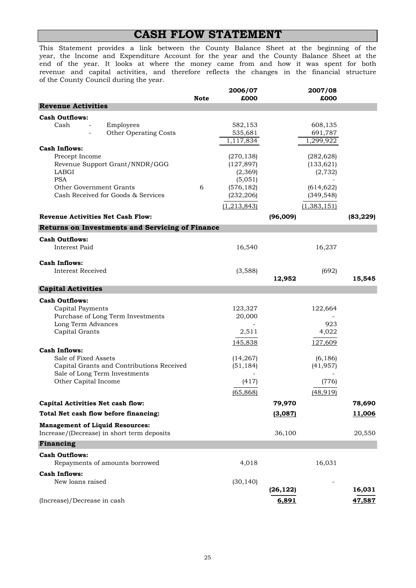### **CASH FLOW STATEMENT**

of the County Council during the year. This Statement provides a link between the County Balance Sheet at the beginning of the year, the Income and Expenditure Account for the year and the County Balance Sheet at the revenue and capital activities, and therefore reflects the changes in the financial structure end of the year. It looks at where the money came from and how it was spent for both

|                                                                                      | <b>Note</b> | 2006/07<br>£000        |           | 2007/08<br>£000 |           |
|--------------------------------------------------------------------------------------|-------------|------------------------|-----------|-----------------|-----------|
| <b>Revenue Activities</b>                                                            |             |                        |           |                 |           |
| <b>Cash Outflows:</b>                                                                |             |                        |           |                 |           |
| Cash<br>Employees                                                                    |             | 582,153                |           | 608,135         |           |
| Other Operating Costs                                                                |             | 535,681                |           | 691,787         |           |
| <b>Cash Inflows:</b>                                                                 |             | 1,117,834              |           | 1,299,922       |           |
| Precept Income                                                                       |             | (270, 138)             |           | (282, 628)      |           |
| Revenue Support Grant/NNDR/GGG                                                       |             | (127, 897)             |           | (133, 621)      |           |
| LABGI                                                                                |             | (2,369)                |           | (2, 732)        |           |
| <b>PSA</b>                                                                           |             | (5,051)                |           |                 |           |
| Other Government Grants                                                              | 6           | (576, 182)             |           | (614, 622)      |           |
| Cash Received for Goods & Services                                                   |             | (232, 206)             |           | (349, 548)      |           |
|                                                                                      |             | (1,213,843)            |           | (1,383,151)     |           |
| <b>Revenue Activities Net Cash Flow:</b>                                             |             |                        | (96,009)  |                 | (83, 229) |
| <b>Returns on Investments and Servicing of Finance</b>                               |             |                        |           |                 |           |
| <b>Cash Outflows:</b>                                                                |             |                        |           |                 |           |
| Interest Paid                                                                        |             | 16,540                 |           | 16,237          |           |
|                                                                                      |             |                        |           |                 |           |
| <b>Cash Inflows:</b><br>Interest Received                                            |             | (3,588)                |           | (692)           |           |
|                                                                                      |             |                        | 12,952    |                 | 15,545    |
| <b>Capital Activities</b>                                                            |             |                        |           |                 |           |
| <b>Cash Outflows:</b>                                                                |             |                        |           |                 |           |
| Capital Payments                                                                     |             | 123,327                |           | 122,664         |           |
| Purchase of Long Term Investments                                                    |             | 20,000                 |           |                 |           |
| Long Term Advances                                                                   |             |                        |           | 923             |           |
| Capital Grants                                                                       |             | 2,511                  |           | 4,022           |           |
|                                                                                      |             | 145,838                |           | 127,609         |           |
| <b>Cash Inflows:</b>                                                                 |             |                        |           |                 |           |
| Sale of Fixed Assets<br>Capital Grants and Contributions Received                    |             | (14, 267)<br>(51, 184) |           | (6, 186)        |           |
| Sale of Long Term Investments                                                        |             |                        |           | (41, 957)       |           |
| Other Capital Income                                                                 |             | (417)                  |           | (776)           |           |
|                                                                                      |             | (65, 868)              |           | (48, 919)       |           |
| Capital Activities Net cash flow:                                                    |             |                        | 79,970    |                 | 78,690    |
| Total Net cash flow before financing:                                                |             |                        | (3,087)   |                 | 11,006    |
|                                                                                      |             |                        |           |                 |           |
| <b>Management of Liquid Resources:</b><br>Increase/(Decrease) in short term deposits |             |                        | 36,100    |                 | 20,550    |
| Financing                                                                            |             |                        |           |                 |           |
| <b>Cash Outflows:</b>                                                                |             |                        |           |                 |           |
| Repayments of amounts borrowed                                                       |             | 4,018                  |           | 16,031          |           |
| <b>Cash Inflows:</b>                                                                 |             |                        |           |                 |           |
| New loans raised                                                                     |             | (30, 140)              |           |                 |           |
|                                                                                      |             |                        | (26, 122) |                 | 16,031    |
| (Increase)/Decrease in cash                                                          |             |                        | 6,891     |                 | 47,587    |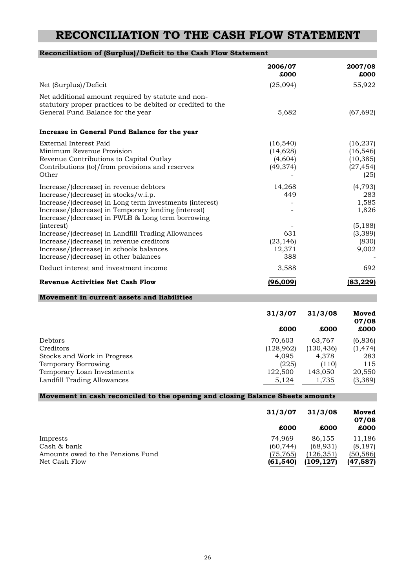### **RECONCILIATION TO THE CASH FLOW STATEMENT**

| Reconciliation of (Surplus)/Deficit to the Cash Flow Statement                                                                                                                                                                                        |                                                            |                                                            |                                                          |
|-------------------------------------------------------------------------------------------------------------------------------------------------------------------------------------------------------------------------------------------------------|------------------------------------------------------------|------------------------------------------------------------|----------------------------------------------------------|
|                                                                                                                                                                                                                                                       | 2006/07<br>£000                                            |                                                            | 2007/08<br>£000                                          |
| Net (Surplus)/Deficit                                                                                                                                                                                                                                 | (25,094)                                                   |                                                            | 55,922                                                   |
| Net additional amount required by statute and non-<br>statutory proper practices to be debited or credited to the<br>General Fund Balance for the year                                                                                                | 5,682                                                      |                                                            | (67, 692)                                                |
| Increase in General Fund Balance for the year                                                                                                                                                                                                         |                                                            |                                                            |                                                          |
| External Interest Paid<br>Minimum Revenue Provision<br>Revenue Contributions to Capital Outlay<br>Contributions (to)/from provisions and reserves<br>Other                                                                                            | (16, 540)<br>(14, 628)<br>(4,604)<br>(49, 374)             |                                                            | (16, 237)<br>(16, 546)<br>(10, 385)<br>(27, 454)<br>(25) |
| Increase/(decrease) in revenue debtors<br>Increase/(decrease) in stocks/w.i.p.<br>Increase/(decrease) in Long term investments (interest)<br>Increase/(decrease) in Temporary lending (interest)<br>Increase/(decrease) in PWLB & Long term borrowing | 14,268<br>449                                              |                                                            | (4, 793)<br>283<br>1,585<br>1,826                        |
| (interest)<br>Increase/(decrease) in Landfill Trading Allowances<br>Increase/(decrease) in revenue creditors<br>Increase/(decrease) in schools balances<br>Increase/(decrease) in other balances                                                      | 631<br>(23, 146)<br>12,371<br>388                          |                                                            | (5, 188)<br>(3,389)<br>(830)<br>9,002                    |
| Deduct interest and investment income                                                                                                                                                                                                                 | 3,588                                                      |                                                            | 692                                                      |
| <b>Revenue Activities Net Cash Flow</b>                                                                                                                                                                                                               | (96,009)                                                   |                                                            | (83, 229)                                                |
| Movement in current assets and liabilities                                                                                                                                                                                                            |                                                            |                                                            |                                                          |
|                                                                                                                                                                                                                                                       | 31/3/07                                                    | 31/3/08                                                    | Moved<br>07/08                                           |
|                                                                                                                                                                                                                                                       | £000                                                       | £000                                                       | £000                                                     |
| Debtors<br>Creditors<br>Stocks and Work in Progress<br><b>Temporary Borrowing</b><br>Temporary Loan Investments<br>Landfill Trading Allowances                                                                                                        | 70,603<br>(128, 962)<br>4,095<br>(225)<br>122,500<br>5,124 | 63,767<br>(130, 436)<br>4,378<br>(110)<br>143,050<br>1,735 | (6,836)<br>(1, 474)<br>283<br>115<br>20,550<br>(3, 389)  |
| Movement in cash reconciled to the opening and closing Balance Sheets amounts                                                                                                                                                                         |                                                            |                                                            |                                                          |
|                                                                                                                                                                                                                                                       | 31/3/07<br>£000                                            | 31/3/08<br>£000                                            | Moved<br>07/08<br>£000                                   |
| Imprests<br>Cash & bank<br>Amounts owed to the Pensions Fund<br>$N_{0}$ $C_{0}$ $h$ $\Gamma$ l $\sim$                                                                                                                                                 | 74,969<br>(60, 744)<br>(75, 765)<br>EAN)                   | 86,155<br>(68, 931)<br>(126, 351)<br>(100, 107)            | 11,186<br>(8, 187)<br>(50, 586)<br>147E97                |

| Amounts owed to the Pensions Fund<br>Net Cash Flow | (75, 765)<br>(61, 540) | (126, 351)<br>(109, 127) | $\cdots$<br>(50, 586)<br><u>(47,587)</u> |
|----------------------------------------------------|------------------------|--------------------------|------------------------------------------|
|                                                    |                        |                          |                                          |
|                                                    |                        |                          |                                          |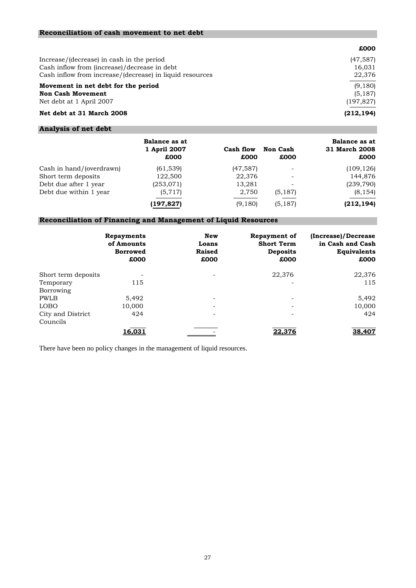| £000       |
|------------|
| (47, 587)  |
| 16.031     |
| 22,376     |
| (9,180)    |
| (5, 187)   |
| (197, 827) |
| (212, 194) |
|            |

#### **Analysis of net debt**

|                          | Balance as at<br>1 April 2007<br>£000 | Cash flow<br>£000 | <b>Non Cash</b><br>£000  | Balance as at<br>31 March 2008<br>£000 |
|--------------------------|---------------------------------------|-------------------|--------------------------|----------------------------------------|
| Cash in hand/(overdrawn) | (61, 539)                             | (47, 587)         |                          | (109, 126)                             |
| Short term deposits      | 122,500                               | 22,376            | $\overline{\phantom{a}}$ | 144,876                                |
| Debt due after 1 year    | (253,071)                             | 13,281            | $\overline{\phantom{0}}$ | (239, 790)                             |
| Debt due within 1 year   | (5,717)                               | 2,750             | (5, 187)                 | (8, 154)                               |
|                          | (197,827)                             | (9,180)           | (5, 187)                 | (212, 194)                             |

#### **Reconciliation of Financing and Management of Liquid Resources**

|                     | Repayments<br>of Amounts<br><b>Borrowed</b><br>£000 | New<br>Loans<br>Raised<br>£000 | <b>Repayment of</b><br><b>Short Term</b><br><b>Deposits</b><br>£000 | (Increase)/Decrease<br>in Cash and Cash<br><b>Equivalents</b><br>£000 |
|---------------------|-----------------------------------------------------|--------------------------------|---------------------------------------------------------------------|-----------------------------------------------------------------------|
| Short term deposits |                                                     |                                | 22,376                                                              | 22,376                                                                |
| Temporary           | 115                                                 |                                |                                                                     | 115                                                                   |
| Borrowing           |                                                     |                                |                                                                     |                                                                       |
| <b>PWLB</b>         | 5,492                                               | $\overline{\phantom{0}}$       | ۰                                                                   | 5,492                                                                 |
| <b>LOBO</b>         | 10.000                                              | ۰                              | $\overline{\phantom{a}}$                                            | 10,000                                                                |
| City and District   | 424                                                 | ۰                              | ۰                                                                   | 424                                                                   |
| Councils            |                                                     |                                |                                                                     |                                                                       |
|                     | 16,031                                              |                                | 22,376                                                              | 38,407                                                                |

There have been no policy changes in the management of liquid resources.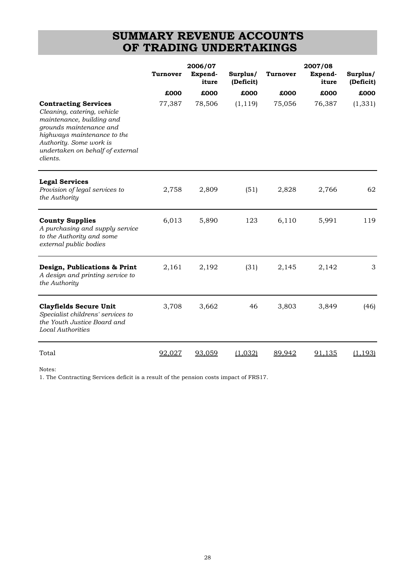### **SUMMARY REVENUE ACCOUNTS OF TRADING UNDERTAKINGS**

|                                                                                                                                                                                                                              | <b>Turnover</b> | 2006/07<br>Expend-<br>iture | Surplus/<br>(Deficit) | <b>Turnover</b> | 2007/08<br>Expend-<br>iture | Surplus/<br>(Deficit) |
|------------------------------------------------------------------------------------------------------------------------------------------------------------------------------------------------------------------------------|-----------------|-----------------------------|-----------------------|-----------------|-----------------------------|-----------------------|
|                                                                                                                                                                                                                              | £000            | £000                        | £000                  | £000            | £000                        | £000                  |
| <b>Contracting Services</b><br>Cleaning, catering, vehicle<br>maintenance, building and<br>grounds maintenance and<br>highways maintenance to the<br>Authority. Some work is<br>undertaken on behalf of external<br>clients. | 77,387          | 78,506                      | (1, 119)              | 75,056          | 76,387                      | (1, 331)              |
| <b>Legal Services</b><br>Provision of legal services to<br>the Authority                                                                                                                                                     | 2,758           | 2,809                       | (51)                  | 2,828           | 2,766                       | 62                    |
| <b>County Supplies</b><br>A purchasing and supply service<br>to the Authority and some<br>external public bodies                                                                                                             | 6,013           | 5,890                       | 123                   | 6,110           | 5,991                       | 119                   |
| Design, Publications & Print<br>A design and printing service to<br>the Authority                                                                                                                                            | 2,161           | 2,192                       | (31)                  | 2,145           | 2,142                       | 3                     |
| <b>Clayfields Secure Unit</b><br>Specialist childrens' services to<br>the Youth Justice Board and<br><b>Local Authorities</b>                                                                                                | 3,708           | 3,662                       | 46                    | 3,803           | 3,849                       | (46)                  |
| Total                                                                                                                                                                                                                        | 92,027          | 93,059                      | (1,032)               | 89,942          | <u>91.135</u>               | (1, 193)              |

Notes:

1. The Contracting Services deficit is a result of the pension costs impact of FRS17.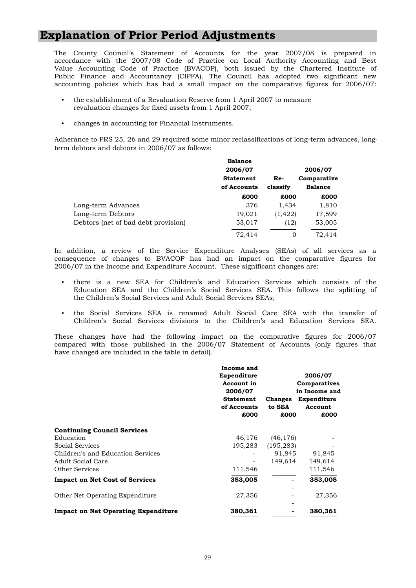### **Explanation of Prior Period Adjustments**

Public Finance and Accountancy (CIPFA). The Council has adopted two significant new accounting policies which has had a small impact on the comparative figures for 2006/07: The County Council's Statement of Accounts for the year 2007/08 is prepared in accordance with the 2007/08 Code of Practice on Local Authority Accounting and Best Value Accounting Code of Practice (BVACOP), both issued by the Chartered Institute of

- the establishment of a Revaluation Reserve from 1 April 2007 to measure revaluation changes for fixed assets from 1 April 2007;
- changes in accounting for Financial Instruments.

Adherance to FRS 25, 26 and 29 required some minor reclassifications of long-term advances, longterm debtors and debtors in 2006/07 as follows:

|                                     | <b>Balance</b>   |          |                |
|-------------------------------------|------------------|----------|----------------|
|                                     | 2006/07          |          | 2006/07        |
|                                     | <b>Statement</b> | Re-      | Comparative    |
|                                     | of Accounts      | classify | <b>Balance</b> |
|                                     | £000             | £000     | £000           |
| Long-term Advances                  | 376              | 1,434    | 1,810          |
| Long-term Debtors                   | 19,021           | (1, 422) | 17,599         |
| Debtors (net of bad debt provision) | 53,017           | (12)     | 53,005         |
|                                     | 72.414           | 0        | 72.414         |

2006/07 in the Income and Expenditure Account. These significant changes are: In addition, a review of the Service Expenditure Analyses (SEAs) of all services as a consequence of changes to BVACOP has had an impact on the comparative figures for

- the Children's Social Services and Adult Social Services SEAs; there is a new SEA for Children's and Education Services which consists of the Education SEA and the Children's Social Services SEA. This follows the splitting of
- the Social Services SEA is renamed Adult Social Care SEA with the transfer of Children's Social Services divisions to the Children's and Education Services SEA.

have changed are included in the table in detail). These changes have had the following impact on the comparative figures for 2006/07 compared with those published in the 2006/07 Statement of Accounts (only figures that

|                                            | Income and<br>Expenditure<br>Account in<br>2006/07<br><b>Statement</b><br>of Accounts<br>£000 | <b>Changes</b><br>to SEA<br>£000 | 2006/07<br>Comparatives<br>in Income and<br>Expenditure<br>Account<br>£000 |
|--------------------------------------------|-----------------------------------------------------------------------------------------------|----------------------------------|----------------------------------------------------------------------------|
| <b>Continuing Council Services</b>         |                                                                                               |                                  |                                                                            |
| Education                                  | 46,176                                                                                        | (46, 176)                        |                                                                            |
| Social Services                            | 195,283                                                                                       | (195, 283)                       |                                                                            |
| Children's and Education Services          |                                                                                               | 91,845                           | 91,845                                                                     |
| Adult Social Care                          |                                                                                               | 149,614                          | 149,614                                                                    |
| Other Services                             | 111,546                                                                                       |                                  | 111,546                                                                    |
| <b>Impact on Net Cost of Services</b>      | 353,005                                                                                       |                                  | 353,005                                                                    |
| Other Net Operating Expenditure            | 27,356                                                                                        |                                  | 27,356                                                                     |
|                                            |                                                                                               |                                  |                                                                            |
| <b>Impact on Net Operating Expenditure</b> | 380,361                                                                                       |                                  | 380,361                                                                    |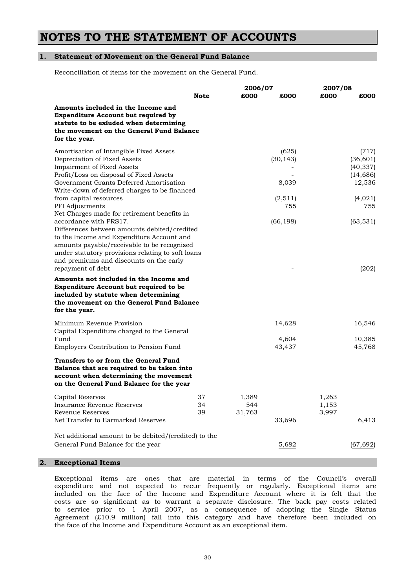### **NOTES TO THE STATEMENT OF ACCOUNTS**

#### **1. Statement of Movement on the General Fund Balance**

Reconciliation of items for the movement on the General Fund.

|                                                                                                                                                                                                                                                                                                                   |                | 2006/07<br>2007/08     |                             |                         |                                                        |
|-------------------------------------------------------------------------------------------------------------------------------------------------------------------------------------------------------------------------------------------------------------------------------------------------------------------|----------------|------------------------|-----------------------------|-------------------------|--------------------------------------------------------|
|                                                                                                                                                                                                                                                                                                                   | Note           | £000                   | £000                        | £000                    | £000                                                   |
| Amounts included in the Income and<br>Expenditure Account but required by<br>statute to be exluded when determining<br>the movement on the General Fund Balance<br>for the year.                                                                                                                                  |                |                        |                             |                         |                                                        |
| Amortisation of Intangible Fixed Assets<br>Depreciation of Fixed Assets<br><b>Impairment of Fixed Assets</b><br>Profit/Loss on disposal of Fixed Assets<br>Government Grants Deferred Amortisation                                                                                                                |                |                        | (625)<br>(30, 143)<br>8,039 |                         | (717)<br>(36, 601)<br>(40, 337)<br>(14, 686)<br>12,536 |
| Write-down of deferred charges to be financed<br>from capital resources<br>PFI Adjustments                                                                                                                                                                                                                        |                |                        | (2,511)<br>755              |                         | (4,021)<br>755                                         |
| Net Charges made for retirement benefits in<br>accordance with FRS17.<br>Differences between amounts debited/credited<br>to the Income and Expenditure Account and<br>amounts payable/receivable to be recognised<br>under statutory provisions relating to soft loans<br>and premiums and discounts on the early |                |                        | (66, 198)                   |                         | (63, 531)                                              |
| repayment of debt<br>Amounts not included in the Income and<br>Expenditure Account but required to be<br>included by statute when determining<br>the movement on the General Fund Balance<br>for the year.                                                                                                        |                |                        |                             |                         | (202)                                                  |
| Minimum Revenue Provision                                                                                                                                                                                                                                                                                         |                |                        | 14,628                      |                         | 16,546                                                 |
| Capital Expenditure charged to the General<br>Fund<br>Employers Contribution to Pension Fund                                                                                                                                                                                                                      |                |                        | 4,604<br>43,437             |                         | 10,385<br>45,768                                       |
| Transfers to or from the General Fund<br>Balance that are required to be taken into<br>account when determining the movement<br>on the General Fund Balance for the year                                                                                                                                          |                |                        |                             |                         |                                                        |
| Capital Reserves<br>Insurance Revenue Reserves<br><b>Revenue Reserves</b>                                                                                                                                                                                                                                         | 37<br>34<br>39 | 1,389<br>544<br>31,763 |                             | 1,263<br>1,153<br>3,997 |                                                        |
| Net Transfer to Earmarked Reserves                                                                                                                                                                                                                                                                                |                |                        | 33,696                      |                         | 6,413                                                  |
| Net additional amount to be debited/(credited) to the<br>General Fund Balance for the year                                                                                                                                                                                                                        |                |                        | 5,682                       |                         | (67, 692)                                              |
| <b>Exceptional Items</b>                                                                                                                                                                                                                                                                                          |                |                        |                             |                         |                                                        |

the face of the Income and Expenditure Account as an exceptional item. expenditure and not expected to recur frequently or regularly. Exceptional items are Exceptional items are ones that are material in terms of the Council's overall included on the face of the Income and Expenditure Account where it is felt that the costs are so significant as to warrant a separate disclosure. The back pay costs related to service prior to 1 April 2007, as a consequence of adopting the Single Status Agreement (£10.9 million) fall into this category and have therefore been included on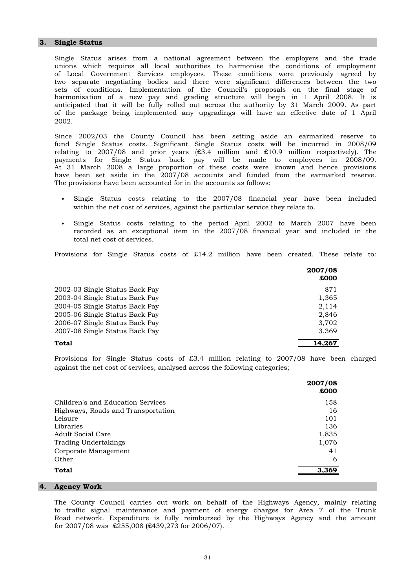#### **3. Single Status**

2002. two separate negotiating bodies and there were significant differences between the two Single Status arises from a national agreement between the employers and the trade of the package being implemented any upgradings will have an effective date of 1 April sets of conditions. Implementation of the Council's proposals on the final stage of harmonisation of a new pay and grading structure will begin in 1 April 2008. It is anticipated that it will be fully rolled out across the authority by 31 March 2009. As part unions which requires all local authorities to harmonise the conditions of employment of Local Government Services employees. These conditions were previously agreed by

The provisions have been accounted for in the accounts as follows: Since 2002/03 the County Council has been setting aside an earmarked reserve to payments for Single Status back pay will be made to employees in 2008/09. At 31 March 2008 a large proportion of these costs were known and hence provisions have been set aside in the 2007/08 accounts and funded from the earmarked reserve. fund Single Status costs. Significant Single Status costs will be incurred in 2008/09 relating to 2007/08 and prior years  $(\text{\pounds}3.4 \text{ million and } \text{\pounds}10.9 \text{ million respectively})$ . The

- within the net cost of services, against the particular service they relate to. Single Status costs relating to the 2007/08 financial year have been included
- Single Status costs relating to the period April 2002 to March 2007 have been total net cost of services. recorded as an exceptional item in the 2007/08 financial year and included in the

Provisions for Single Status costs of £14.2 million have been created. These relate to:

|                                | 2007/08<br>£000 |
|--------------------------------|-----------------|
| 2002-03 Single Status Back Pay | 871             |
| 2003-04 Single Status Back Pay | 1,365           |
| 2004-05 Single Status Back Pay | 2,114           |
| 2005-06 Single Status Back Pay | 2,846           |
| 2006-07 Single Status Back Pay | 3,702           |
| 2007-08 Single Status Back Pay | 3,369           |
| Total                          | 14.267          |

against the net cost of services, analysed across the following categories; Provisions for Single Status costs of £3.4 million relating to 2007/08 have been charged

|                                    | 2007/08<br>£000 |
|------------------------------------|-----------------|
| Children's and Education Services  | 158             |
| Highways, Roads and Transportation | 16              |
| Leisure                            | 101             |
| Libraries                          | 136             |
| Adult Social Care                  | 1,835           |
| <b>Trading Undertakings</b>        | 1,076           |
| Corporate Management               | 41              |
| Other                              | 6               |
| <b>Total</b>                       | 3.369           |

#### **4. Agency Work**

for 2007/08 was £255,008 (£439,273 for 2006/07). The County Council carries out work on behalf of the Highways Agency, mainly relating Road network. Expenditure is fully reimbursed by the Highways Agency and the amount to traffic signal maintenance and payment of energy charges for Area 7 of the Trunk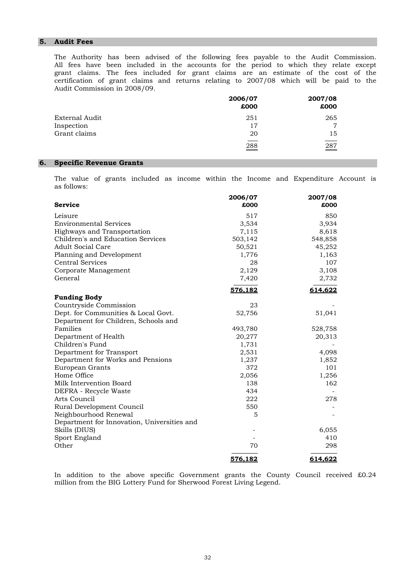#### **5. Audit Fees**

Audit Commission in 2008/09. The Authority has been advised of the following fees payable to the Audit Commission. All fees have been included in the accounts for the period to which they relate except grant claims. The fees included for grant claims are an estimate of the cost of the certification of grant claims and returns relating to 2007/08 which will be paid to the

|                | 2006/07<br>£000 | 2007/08<br>£000 |
|----------------|-----------------|-----------------|
| External Audit | 251             | 265             |
| Inspection     | 17              | 7               |
| Grant claims   | 20              | 15              |
|                | 288             | 287             |

#### **6. Specific Revenue Grants**

as follows: The value of grants included as income within the Income and Expenditure Account is

|                                             | 2006/07 | 2007/08 |
|---------------------------------------------|---------|---------|
| <b>Service</b>                              | £000    | £000    |
| Leisure                                     | 517     | 850     |
| <b>Environmental Services</b>               | 3,534   | 3,934   |
| Highways and Transportation                 | 7,115   | 8,618   |
| Children's and Education Services           | 503,142 | 548,858 |
| <b>Adult Social Care</b>                    | 50,521  | 45,252  |
| Planning and Development                    | 1,776   | 1,163   |
| <b>Central Services</b>                     | 28      | 107     |
| Corporate Management                        | 2,129   | 3,108   |
| General                                     | 7,420   | 2,732   |
|                                             | 576,182 | 614,622 |
| <b>Funding Body</b>                         |         |         |
| Countryside Commission                      | 23      |         |
| Dept. for Communities & Local Govt.         | 52,756  | 51,041  |
| Department for Children, Schools and        |         |         |
| Families                                    | 493,780 | 528,758 |
| Department of Health                        | 20,277  | 20,313  |
| Children's Fund                             | 1,731   |         |
| Department for Transport                    | 2,531   | 4,098   |
| Department for Works and Pensions           | 1,237   | 1,852   |
| European Grants                             | 372     | 101     |
| Home Office                                 | 2,056   | 1,256   |
| Milk Intervention Board                     | 138     | 162     |
| DEFRA - Recycle Waste                       | 434     |         |
| Arts Council                                | 222     | 278     |
| Rural Development Council                   | 550     |         |
| Neighbourhood Renewal                       | 5       |         |
| Department for Innovation, Universities and |         |         |
| Skills (DIUS)                               |         | 6,055   |
| Sport England                               |         | 410     |
| Other                                       | 70      | 298     |
|                                             | 576.182 | 614,622 |

million from the BIG Lottery Fund for Sherwood Forest Living Legend. In addition to the above specific Government grants the County Council received £0.24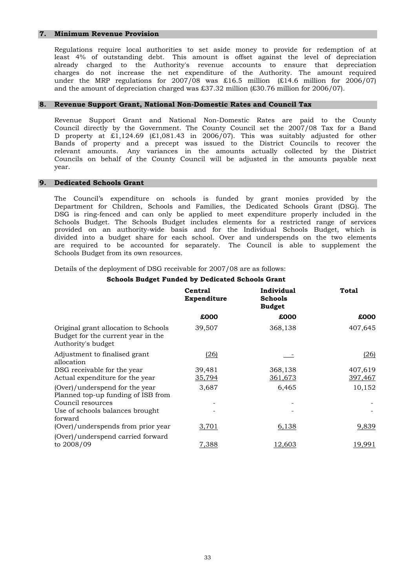#### **7. Minimum Revenue Provision**

and the amount of depreciation charged was £37.32 million (£30.76 million for 2006/07). least 4% of outstanding debt. This amount is offset against the level of depreciation Regulations require local authorities to set aside money to provide for redemption of at already charged to the Authority's revenue accounts to ensure that depreciation charges do not increase the net expenditure of the Authority. The amount required under the MRP regulations for  $2007/08$  was £16.5 million (£14.6 million for  $2006/07$ )

#### **8. Revenue Support Grant, National Non-Domestic Rates and Council Tax**

year. relevant amounts. Any variances in the amounts actually collected by the District Councils on behalf of the County Council will be adjusted in the amounts payable next Bands of property and a precept was issued to the District Councils to recover the Council directly by the Government. The County Council set the 2007/08 Tax for a Band D property at £1,124.69 (£1,081.43 in 2006/07). This was suitably adjusted for other Revenue Support Grant and National Non-Domestic Rates are paid to the County

#### **9. Dedicated Schools Grant**

Schools Budget from its own resources. Department for Children, Schools and Families, the Dedicated Schools Grant (DSG). The are required to be accounted for separately. The Council is able to supplement the DSG is ring-fenced and can only be applied to meet expenditure properly included in the Schools Budget. The Schools Budget includes elements for a restricted range of services provided on an authority-wide basis and for the Individual Schools Budget, which is divided into a budget share for each school. Over and underspends on the two elements The Council's expenditure on schools is funded by grant monies provided by the

Details of the deployment of DSG receivable for 2007/08 are as follows:

#### **Schools Budget Funded by Dedicated Schools Grant**

|                                                                                                  | Central<br>Expenditure | Individual<br><b>Schools</b><br><b>Budget</b> | Total              |
|--------------------------------------------------------------------------------------------------|------------------------|-----------------------------------------------|--------------------|
|                                                                                                  | £000                   | £000                                          | £000               |
| Original grant allocation to Schools<br>Budget for the current year in the<br>Authority's budget | 39,507                 | 368,138                                       | 407,645            |
| Adjustment to finalised grant<br>allocation                                                      | (26)                   |                                               | (26)               |
| DSG receivable for the year<br>Actual expenditure for the year                                   | 39,481<br>35,794       | 368,138<br>361,673                            | 407,619<br>397,467 |
| (Over)/underspend for the year<br>Planned top-up funding of ISB from                             | 3,687                  | 6,465                                         | 10,152             |
| Council resources<br>Use of schools balances brought<br>forward                                  |                        |                                               |                    |
| (Over)/underspends from prior year                                                               | 3,701                  | 6,138                                         | 9,839              |
| (Over)/underspend carried forward<br>to 2008/09                                                  | 7,388                  | 12,603                                        | 19,991             |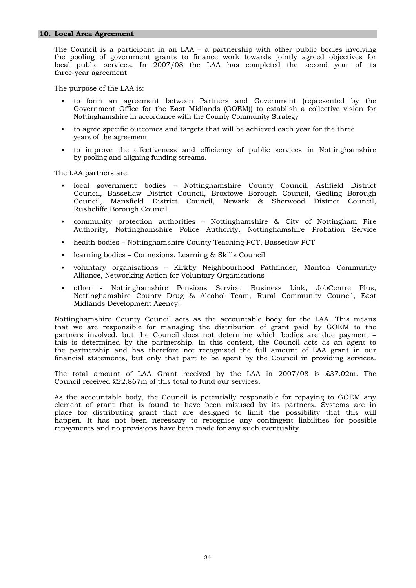#### **10. Local Area Agreement**

three-year agreement. local public services. In 2007/08 the LAA has completed the second year of its The Council is a participant in an LAA – a partnership with other public bodies involving the pooling of government grants to finance work towards jointly agreed objectives for

The purpose of the LAA is:

- to form an agreement between Partners and Government (represented by the Nottinghamshire in accordance with the County Community Strategy Government Office for the East Midlands (GOEM)) to establish a collective vision for
- to agree specific outcomes and targets that will be achieved each year for the three years of the agreement
- by pooling and aligning funding streams. to improve the effectiveness and efficiency of public services in Nottinghamshire

The LAA partners are:

- Rushcliffe Borough Council local government bodies – Nottinghamshire County Council, Ashfield District Council, Bassetlaw District Council, Broxtowe Borough Council, Gedling Borough Council, Mansfield District Council, Newark & Sherwood District Council,
- community protection authorities Nottinghamshire & City of Nottingham Fire Authority, Nottinghamshire Police Authority, Nottinghamshire Probation Service
- health bodies Nottinghamshire County Teaching PCT, Bassetlaw PCT
- learning bodies Connexions, Learning & Skills Council
- Alliance, Networking Action for Voluntary Organisations voluntary organisations – Kirkby Neighbourhood Pathfinder, Manton Community
- Midlands Development Agency. other - Nottinghamshire Pensions Service, Business Link, JobCentre Plus, Nottinghamshire County Drug & Alcohol Team, Rural Community Council, East

the partnership and has therefore not recognised the full amount of LAA grant in our Nottinghamshire County Council acts as the accountable body for the LAA. This means that we are responsible for managing the distribution of grant paid by GOEM to the partners involved, but the Council does not determine which bodies are due payment – this is determined by the partnership. In this context, the Council acts as an agent to financial statements, but only that part to be spent by the Council in providing services.

Council received £22.867m of this total to fund our services. The total amount of LAA Grant received by the LAA in 2007/08 is £37.02m. The

repayments and no provisions have been made for any such eventuality. element of grant that is found to have been misused by its partners. Systems are in place for distributing grant that are designed to limit the possibility that this will happen. It has not been necessary to recognise any contingent liabilities for possible As the accountable body, the Council is potentially responsible for repaying to GOEM any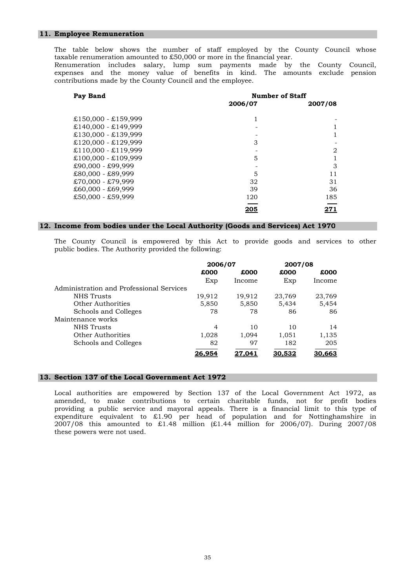#### **11. Employee Remuneration**

taxable renumeration amounted to £50,000 or more in the financial year. The table below shows the number of staff employed by the County Council whose Renumeration includes salary, lump sum payments made by the County Council,

contributions made by the County Council and the employee. expenses and the money value of benefits in kind. The amounts exclude pension

| Pay Band              | <b>Number of Staff</b> |                |  |
|-----------------------|------------------------|----------------|--|
|                       | 2006/07                | 2007/08        |  |
|                       |                        |                |  |
| $£150,000 - £159,999$ |                        |                |  |
| $£140,000 - £149,999$ |                        |                |  |
| $£130,000 - £139,999$ |                        |                |  |
| $£120,000 - £129,999$ | 3                      |                |  |
| $£110,000 - £119,999$ |                        | $\overline{2}$ |  |
| $£100,000 - £109,999$ | 5                      |                |  |
| $£90,000 - £99,999$   |                        | 3              |  |
| £80,000 - £89,999     | 5                      | 11             |  |
| £70,000 - £79,999     | 32                     | 31             |  |
| $£60,000 - £69,999$   | 39                     | 36             |  |
| $£50,000 - £59,999$   | 120                    | 185            |  |
|                       | <u> 205</u>            |                |  |

#### **12. Income from bodies under the Local Authority (Goods and Services) Act 1970**

public bodies. The Authority provided the following: The County Council is empowered by this Act to provide goods and services to other

|                                          | 2006/07        |        | 2007/08 |        |
|------------------------------------------|----------------|--------|---------|--------|
|                                          | £000           | £000   | £000    | £000   |
|                                          | Exp            | Income | Exp     | Income |
| Administration and Professional Services |                |        |         |        |
| <b>NHS</b> Trusts                        | 19,912         | 19,912 | 23,769  | 23,769 |
| <b>Other Authorities</b>                 | 5,850          | 5,850  | 5,434   | 5,454  |
| Schools and Colleges                     | 78             | 78     | 86      | 86     |
| Maintenance works                        |                |        |         |        |
| NHS Trusts                               | $\overline{4}$ | 10     | 10      | 14     |
| Other Authorities                        | 1,028          | 1,094  | 1,051   | 1,135  |
| Schools and Colleges                     | 82             | 97     | 182     | 205    |
|                                          | 26,954         | 27.041 | 30,532  | 30,663 |

#### **13. Section 137 of the Local Government Act 1972**

these powers were not used. amended, to make contributions to certain charitable funds, not for profit bodies providing a public service and mayoral appeals. There is a financial limit to this type of expenditure equivalent to £1.90 per head of population and for Nottinghamshire in 2007/08 this amounted to £1.48 million (£1.44 million for 2006/07). During 2007/08 Local authorities are empowered by Section 137 of the Local Government Act 1972, as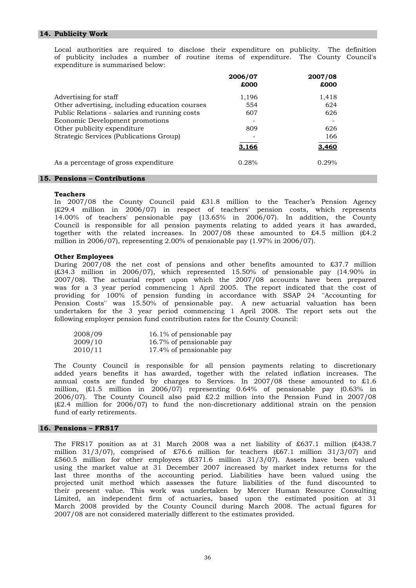# **14. Publicity Work**

expenditure is summarised below: Local authorities are required to disclose their expenditure on publicity. The definition of publicity includes a number of routine items of expenditure. The County Council's

|                                                                                  | 2006/07<br>£000 | 2007/08<br>£000 |  |
|----------------------------------------------------------------------------------|-----------------|-----------------|--|
| Advertising for staff<br>Other advertising, including education courses          | 1,196<br>554    | 1,418<br>624    |  |
| Public Relations - salaries and running costs<br>Economic Development promotions | 607             | 626             |  |
| Other publicity expenditure<br>Strategic Services (Publications Group)           | 809             | 626<br>166      |  |
|                                                                                  | 3.166           | 3.460           |  |
| As a percentage of gross expenditure                                             | 0.28%           | 0.29%           |  |
| 15. Pensions – Contributions                                                     |                 |                 |  |

# **Teachers**

million in 2006/07), representing  $2.00\%$  of pensionable pay  $(1.97\%$  in 2006/07). Council is responsible for all pension payments relating to added years it has awarded, together with the related increases. In 2007/08 these amounted to £4.5 million (£4.2 In 2007/08 the County Council paid £31.8 million to the Teacher's Pension Agency (£29.4 million in 2006/07) in respect of teachers' pension costs, which represents 14.00% of teachers' pensionable pay (13.65% in 2006/07). In addition, the County

#### **Other Employees**

following employer pension fund contribution rates for the County Council: undertaken for the 3 year period commencing 1 April 2008. The report sets out the 2007/08). The actuarial report upon which the 2007/08 accounts have been prepared was for a 3 year period commencing 1 April 2005. The report indicated that the cost of providing for 100% of pension funding in accordance with SSAP 24 ''Accounting for Pension Costs'' was 15.50% of pensionable pay. A new actuarial valuation has been During 2007/08 the net cost of pensions and other benefits amounted to £37.7 million (£34.3 million in 2006/07), which represented 15.50% of pensionable pay (14.90% in

| 2008/09 | 16.1% of pensionable pay |
|---------|--------------------------|
| 2009/10 | 16.7% of pensionable pay |
| 2010/11 | 17.4% of pensionable pay |

fund of early retirements. million, (£1.5 million in 2006/07) representing 0.64% of pensionable pay (0.63% in 2006/07). The County Council also paid £2.2 million into the Pension Fund in 2007/08 (£2.4 million for 2006/07) to fund the non-discretionary additional strain on the pension The County Council is responsible for all pension payments relating to discretionary added years benefits it has awarded, together with the related inflation increases. The annual costs are funded by charges to Services. In 2007/08 these amounted to £1.6

#### **16. Pensions – FRS17**

2007/08 are not considered materially different to the estimates provided. projected unit method which assesses the future liabilities of the fund discounted to their present value. This work was undertaken by Mercer Human Resource Consulting Limited, an independent firm of actuaries, based upon the estimated position at 31 March 2008 provided by the County Council during March 2008. The actual figures for million 31/3/07), comprised of £76.6 million for teachers  $(E67.1$  million 31/3/07) and £560.5 million for other employees (£371.6 million 31/3/07). Assets have been valued using the market value at 31 December 2007 increased by market index returns for the last three months of the accounting period. Liabilities have been valued using the The FRS17 position as at 31 March 2008 was a net liability of £637.1 million (£438.7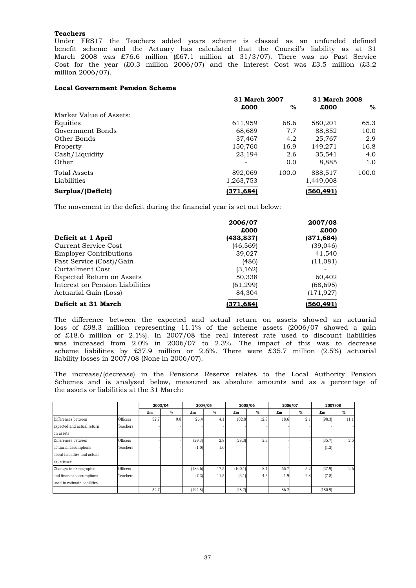# **Teachers**

million 2006/07). Under FRS17 the Teachers added years scheme is classed as an unfunded defined benefit scheme and the Actuary has calculated that the Council's liability as at 31 March 2008 was £76.6 million (£67.1 million at 31/3/07). There was no Past Service Cost for the year (£0.3 million 2006/07) and the Interest Cost was £3.5 million (£3.2

# **Local Government Pension Scheme**

|                         | 31 March 2007 |       | 31 March 2008 |       |
|-------------------------|---------------|-------|---------------|-------|
|                         | £000          | $\%$  | £000          | $\%$  |
| Market Value of Assets: |               |       |               |       |
| Equities                | 611,959       | 68.6  | 580,201       | 65.3  |
| Government Bonds        | 68,689        | 7.7   | 88,852        | 10.0  |
| Other Bonds             | 37,467        | 4.2   | 25.767        | 2.9   |
| Property                | 150,760       | 16.9  | 149,271       | 16.8  |
| Cash/Liquidity          | 23,194        | 2.6   | 35,541        | 4.0   |
| Other                   | ۰             | 0.0   | 8,885         | 1.0   |
| <b>Total Assets</b>     | 892,069       | 100.0 | 888,517       | 100.0 |
| Liabilities             | 1,263,753     |       | 1,449,008     |       |
| Surplus/(Deficit)       | (371, 684)    |       | (560,491)     |       |

The movement in the deficit during the financial year is set out below:

|                                  | 2006/07    | 2007/08    |
|----------------------------------|------------|------------|
|                                  | £000       | £000       |
| Deficit at 1 April               | (433, 837) | (371, 684) |
| Current Service Cost             | (46, 569)  | (39,046)   |
| <b>Employer Contributions</b>    | 39,027     | 41,540     |
| Past Service (Cost)/Gain         | (486)      | (11,081)   |
| Curtailment Cost                 | (3, 162)   |            |
| <b>Expected Return on Assets</b> | 50,338     | 60,402     |
| Interest on Pension Liabilities  | (61, 299)  | (68, 695)  |
| Actuarial Gain (Loss)            | 84,304     | (171, 927) |
| Deficit at 31 March              | (371.684)  | (560.491)  |

liability losses in 2007/08 (None in 2006/07). scheme liabilities by £37.9 million or 2.6%. There were £35.7 million (2.5%) actuarial The difference between the expected and actual return on assets showed an actuarial loss of £98.3 million representing 11.1% of the scheme assets (2006/07 showed a gain of £18.6 million or 2.1%). In 2007/08 the real interest rate used to discount liabilities was increased from 2.0% in 2006/07 to 2.3%. The impact of this was to decrease

the assets or liabilities at the 31 March: The increase/(decrease) in the Pensions Reserve relates to the Local Authority Pension Schemes and is analysed below, measured as absolute amounts and as a percentage of

|                              |          |      | 2003/04 | 2004/05 |      |         | 2005/06 |      | 2006/07 | 2007/08 |      |
|------------------------------|----------|------|---------|---------|------|---------|---------|------|---------|---------|------|
|                              |          | £m   | $\%$    | £m      | %    | £m      | $\%$    | £m   | $\%$    | £m      | %    |
| Differences between          | Officers | 52.7 | 9.8     | 26.4    | 4.1  | 102.8   | 12.8    | 18.6 | 2.1     | (98.3)  | 11.1 |
| expected and actual return   | Teachers |      |         |         |      |         |         |      |         |         |      |
| on assets                    |          |      |         |         |      |         |         |      |         |         |      |
| Differences between          | Officers |      |         | (29.3)  | 2.8  | (28.3)  | 2.3     |      |         | (35.7)  | 2.5  |
| actuarial assumptions        | Teachers |      |         | (1.0)   | 1.6  |         |         |      |         | (1.2)   |      |
| about liabilities and actual |          |      |         |         |      |         |         |      |         |         |      |
| experience                   |          |      |         |         |      |         |         |      |         |         |      |
| Changes in demographic       | Officers |      |         | (183.6) | 17.5 | (100.1) | 8.1     | 65.7 | 5.2     | (37.9)  | 2.6  |
| and financial assumptions    | Teachers |      |         | (7.3)   | 11.5 | (3.1)   | 4.5     | 1.9  | 2.8     | (7.8)   |      |
| used to estimate liabilities |          |      |         |         |      |         |         |      |         |         |      |
|                              |          | 52.7 |         | (194.8) |      | (28.7)  |         | 86.2 |         | (180.9) |      |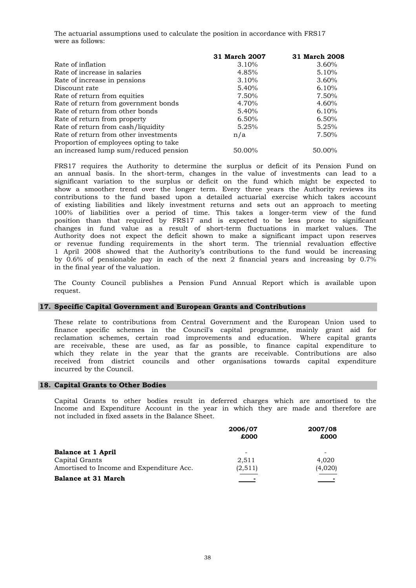The actuarial assumptions used to calculate the position in accordance with FRS17 were as follows:

|                                        | 31 March 2007 | 31 March 2008 |
|----------------------------------------|---------------|---------------|
| Rate of inflation                      | 3.10%         | 3.60%         |
| Rate of increase in salaries           | 4.85%         | 5.10%         |
| Rate of increase in pensions           | 3.10%         | 3.60%         |
| Discount rate                          | 5.40%         | 6.10%         |
| Rate of return from equities           | 7.50%         | 7.50%         |
| Rate of return from government bonds   | 4.70%         | 4.60%         |
| Rate of return from other bonds        | 5.40%         | 6.10%         |
| Rate of return from property           | 6.50%         | 6.50%         |
| Rate of return from cash/liquidity     | 5.25%         | 5.25%         |
| Rate of return from other investments  | n/a           | 7.50%         |
| Proportion of employees opting to take |               |               |
| an increased lump sum/reduced pension  | 50.00%        | 50.00%        |

in the final year of the valuation. Authority does not expect the deficit shown to make a significant impact upon reserves or revenue funding requirements in the short term. The triennial revaluation effective 1 April 2008 showed that the Authority's contributions to the fund would be increasing by 0.6% of pensionable pay in each of the next 2 financial years and increasing by 0.7% of existing liabilities and likely investment returns and sets out an approach to meeting 100% of liabilities over a period of time. This takes a longer-term view of the fund position than that required by FRS17 and is expected to be less prone to significant changes in fund value as a result of short-term fluctuations in market values. The an annual basis. In the short-term, changes in the value of investments can lead to a significant variation to the surplus or deficit on the fund which might be expected to show a smoother trend over the longer term. Every three years the Authority reviews its contributions to the fund based upon a detailed actuarial exercise which takes account FRS17 requires the Authority to determine the surplus or deficit of its Pension Fund on

request. The County Council publishes a Pension Fund Annual Report which is available upon

#### **17. Specific Capital Government and European Grants and Contributions**

incurred by the Council. are receivable, these are used, as far as possible, to finance capital expenditure to which they relate in the year that the grants are receivable. Contributions are also received from district councils and other organisations towards capital expenditure These relate to contributions from Central Government and the European Union used to finance specific schemes in the Council's capital programme, mainly grant aid for reclamation schemes, certain road improvements and education. Where capital grants

#### **18. Capital Grants to Other Bodies**

not included in fixed assets in the Balance Sheet. Income and Expenditure Account in the year in which they are made and therefore are Capital Grants to other bodies result in deferred charges which are amortised to the

|                                          | 2006/07  | 2007/08 |
|------------------------------------------|----------|---------|
|                                          | £000     | £000    |
| <b>Balance at 1 April</b>                |          |         |
| Capital Grants                           | 2,511    | 4.020   |
| Amortised to Income and Expenditure Acc. | (2, 511) | (4,020) |
| <b>Balance at 31 March</b>               |          |         |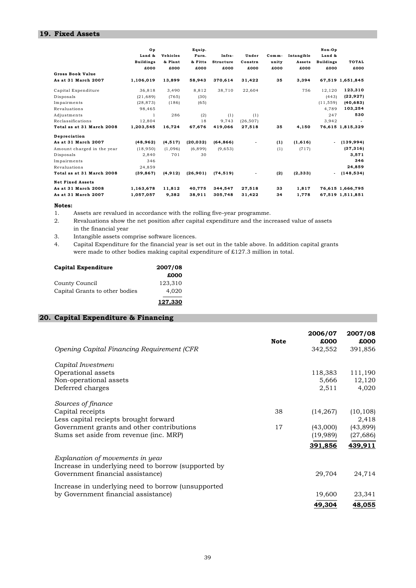# **19. Fixed Assets**

|                            | Op<br>Land &<br><b>Buildings</b><br>£000 | <b>Vehicles</b><br>& Plant<br>£000 | Equip.<br>Furn.<br>& Fitts<br>£000 | Infra-<br><b>Structure</b><br>£000 | Under<br>Constrn<br>£000 | $Comm-$<br>unity<br>£000 | Intangible<br>Assets<br>£000 | Non-Op<br>Land &<br><b>Buildings</b><br>£000 | TOTAL<br>£000    |
|----------------------------|------------------------------------------|------------------------------------|------------------------------------|------------------------------------|--------------------------|--------------------------|------------------------------|----------------------------------------------|------------------|
| <b>Gross Book Value</b>    |                                          |                                    |                                    |                                    |                          |                          |                              |                                              |                  |
| As at 31 March 2007        | 1,106,019                                | 13,899                             | 58,943                             | 370.614                            | 31,422                   | 35                       | 3,394                        |                                              | 67,519 1,651,845 |
| Capital Expenditure        | 36,818                                   | 3,490                              | 8,812                              | 38.710                             | 22,604                   |                          | 756                          | 12,120                                       | 123,310          |
| Disposals                  | (21, 689)                                | (765)                              | (30)                               |                                    |                          |                          |                              | (443)                                        | (22, 927)        |
| Impairments                | (28, 873)                                | (186)                              | (65)                               |                                    |                          |                          |                              | (11, 559)                                    | (40, 683)        |
| Revaluations               | 98,465                                   |                                    |                                    |                                    |                          |                          |                              | 4.789                                        | 103,254          |
| Adjustments                | 1                                        | 286                                | (2)                                | (1)                                | (1)                      |                          |                              | 247                                          | 530              |
| Reclassifications          | 12.804                                   |                                    | 18                                 | 9.743                              | (26.507)                 |                          |                              | 3.942                                        |                  |
| Total as at 31 March 2008  | 1,203,545                                | 16,724                             | 67,676                             | 419.066                            | 27,518                   | 35                       | 4,150                        |                                              | 76,615 1,815,329 |
| Depreciation               |                                          |                                    |                                    |                                    |                          |                          |                              |                                              |                  |
| As at 31 March 2007        | (48, 962)                                | (4, 517)                           | (20, 032)                          | (64, 866)                          |                          | (1)                      | (1,616)                      | $\blacksquare$                               | (139, 994)       |
| Amount charged in the year | (18, 950)                                | (1,096)                            | (6, 899)                           | (9,653)                            |                          | (1)                      | (717)                        |                                              | (37, 316)        |
| Disposals                  | 2.840                                    | 701                                | 30                                 |                                    |                          |                          |                              |                                              | 3,571            |
| Impairments                | 346                                      |                                    |                                    |                                    |                          |                          |                              |                                              | 346              |
| Revaluations               | 24.859                                   |                                    |                                    |                                    |                          |                          |                              |                                              | 24,859           |
| Total as at 31 March 2008  | (39, 867)                                | (4, 912)                           | (26, 901)                          | (74, 519)                          |                          | (2)                      | (2, 333)                     | $\blacksquare$                               | (148, 534)       |
| <b>Net Fixed Assets</b>    |                                          |                                    |                                    |                                    |                          |                          |                              |                                              |                  |
| As at 31 March 2008        | 1,163,678                                | 11.812                             | 40.775                             | 344.547                            | 27,518                   | 33                       | 1.817                        |                                              | 76,615 1,666,795 |
| As at 31 March 2007        | 1,057,057                                | 9,382                              | 38,911                             | 305,748                            | 31,422                   | 34                       | 1,778                        |                                              | 67,519 1,511,851 |

#### **Notes:**

1. Assets are revalued in accordance with the rolling five–year programme.

2. Revaluations show the net position after capital expenditure and the increased value of assets in the financial year

- 3. Intangible assets comprise software licences.
- 4. Capital Expenditure for the financial year is set out in the table above. In addition capital grants were made to other bodies making capital expenditure of £127.3 million in total.

| <b>Capital Expenditure</b>     | 2007/08 |
|--------------------------------|---------|
|                                | £000    |
| County Council                 | 123,310 |
| Capital Grants to other bodies | 4.020   |
|                                | 127,330 |

# **20. Capital Expenditure & Financing**

|                                                     |             | 2006/07   | 2007/08   |
|-----------------------------------------------------|-------------|-----------|-----------|
|                                                     | <b>Note</b> | £000      | £000      |
| Opening Capital Financing Requirement (CFR          |             | 342,552   | 391,856   |
| Capital Investment                                  |             |           |           |
| Operational assets                                  |             | 118,383   | 111,190   |
| Non-operational assets                              |             | 5,666     | 12,120    |
| Deferred charges                                    |             | 2,511     | 4,020     |
| Sources of finance                                  |             |           |           |
| Capital receipts                                    | 38          | (14, 267) | (10, 108) |
| Less capital reciepts brought forward               |             |           | 2,418     |
| Government grants and other contributions           | 17          | (43,000)  | (43, 899) |
| Sums set aside from revenue (inc. MRP)              |             | (19,989)  | (27, 686) |
|                                                     |             | 391,856   | 439,911   |
| Explanation of movements in year                    |             |           |           |
| Increase in underlying need to borrow (supported by |             |           |           |
| Government financial assistance)                    |             | 29,704    | 24,714    |
| Increase in underlying need to borrow (unsupported  |             |           |           |
| by Government financial assistance)                 |             | 19,600    | 23,341    |
|                                                     |             | 49,304    | 48,055    |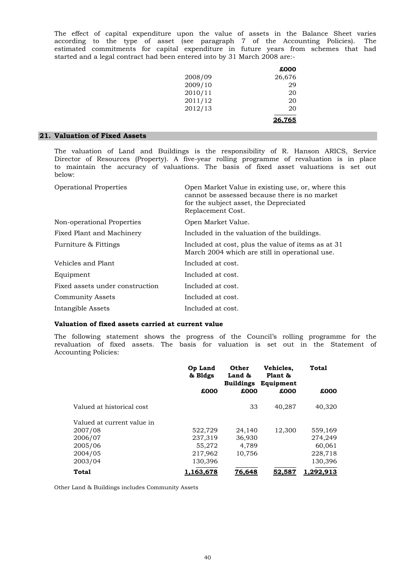started and a legal contract had been entered into by 31 March 2008 are:- The effect of capital expenditure upon the value of assets in the Balance Sheet varies according to the type of asset (see paragraph 7 of the Accounting Policies). The estimated commitments for capital expenditure in future years from schemes that had

|         | £000   |
|---------|--------|
| 2008/09 | 26,676 |
| 2009/10 | 29     |
| 2010/11 | 20     |
| 2011/12 | 20     |
| 2012/13 | 20     |
|         | 26,765 |

# **21. Valuation of Fixed Assets**

below: The valuation of Land and Buildings is the responsibility of R. Hanson ARICS, Service Director of Resources (Property). A five-year rolling programme of revaluation is in place to maintain the accuracy of valuations. The basis of fixed asset valuations is set out

| <b>Operational Properties</b>   | Open Market Value in existing use, or, where this<br>cannot be assessed because there is no market<br>for the subject asset, the Depreciated<br>Replacement Cost. |
|---------------------------------|-------------------------------------------------------------------------------------------------------------------------------------------------------------------|
| Non-operational Properties      | Open Market Value.                                                                                                                                                |
| Fixed Plant and Machinery       | Included in the valuation of the buildings.                                                                                                                       |
| Furniture & Fittings            | Included at cost, plus the value of items as at 31<br>March 2004 which are still in operational use.                                                              |
| Vehicles and Plant              | Included at cost.                                                                                                                                                 |
| Equipment                       | Included at cost.                                                                                                                                                 |
| Fixed assets under construction | Included at cost.                                                                                                                                                 |
| Community Assets                | Included at cost.                                                                                                                                                 |
| Intangible Assets               | Included at cost.                                                                                                                                                 |

# **Valuation of fixed assets carried at current value**

Accounting Policies: revaluation of fixed assets. The basis for valuation is set out in the Statement of The following statement shows the progress of the Council's rolling programme for the

|                            | Op Land<br>& Bldgs | Other<br>Land &<br><b>Buildings</b> | Vehicles,<br>Plant &<br>Equipment | Total           |
|----------------------------|--------------------|-------------------------------------|-----------------------------------|-----------------|
|                            | £000               | £000                                | £000                              | £000            |
| Valued at historical cost  |                    | 33                                  | 40.287                            | 40,320          |
| Valued at current value in |                    |                                     |                                   |                 |
| 2007/08                    | 522,729            | 24.140                              | 12.300                            | 559,169         |
| 2006/07                    | 237,319            | 36,930                              |                                   | 274,249         |
| 2005/06                    | 55,272             | 4.789                               |                                   | 60,061          |
| 2004/05                    | 217,962            | 10.756                              |                                   | 228,718         |
| 2003/04                    | 130,396            |                                     |                                   | 130,396         |
| Total                      | 163.678            | 76.648                              | <u>52.587</u>                     | <u>.292,913</u> |

Other Land & Buildings includes Community Assets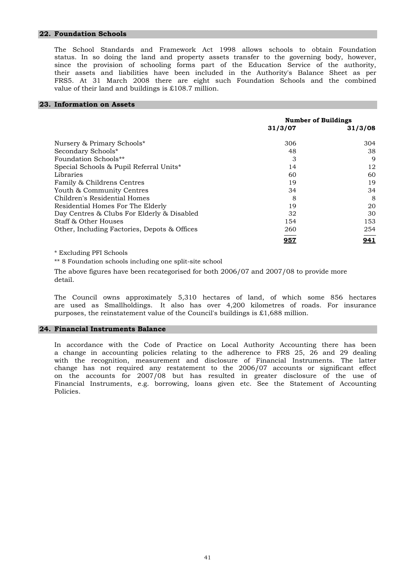#### **22. Foundation Schools**

value of their land and buildings is £108.7 million. their assets and liabilities have been included in the Authority's Balance Sheet as per FRS5. At 31 March 2008 there are eight such Foundation Schools and the combined The School Standards and Framework Act 1998 allows schools to obtain Foundation status. In so doing the land and property assets transfer to the governing body, however, since the provision of schooling forms part of the Education Service of the authority,

# **23. Information on Assets**

|                                              | <b>Number of Buildings</b> |         |
|----------------------------------------------|----------------------------|---------|
|                                              | 31/3/07                    | 31/3/08 |
| Nursery & Primary Schools*                   | 306                        | 304     |
| Secondary Schools*                           | 48                         | 38      |
| Foundation Schools**                         | 3                          | 9       |
| Special Schools & Pupil Referral Units*      | 14                         | 12      |
| Libraries                                    | 60                         | 60      |
| Family & Childrens Centres                   | 19                         | 19      |
| Youth & Community Centres                    | 34                         | 34      |
| Children's Residential Homes                 | 8                          | 8       |
| Residential Homes For The Elderly            | 19                         | 20      |
| Day Centres & Clubs For Elderly & Disabled   | 32                         | 30      |
| Staff & Other Houses                         | 154                        | 153     |
| Other, Including Factories, Depots & Offices | 260                        | 254     |
|                                              | 957                        | 941     |

\* Excluding PFI Schools

\*\* 8 Foundation schools including one split-site school

The above figures have been recategorised for both 2006/07 and 2007/08 to provide more detail.

purposes, the reinstatement value of the Council's buildings is £1,688 million. The Council owns approximately 5,310 hectares of land, of which some 856 hectares are used as Smallholdings. It also has over 4,200 kilometres of roads. For insurance

#### **24. Financial Instruments Balance**

Policies. on the accounts for 2007/08 but has resulted in greater disclosure of the use of Financial Instruments, e.g. borrowing, loans given etc. See the Statement of Accounting In accordance with the Code of Practice on Local Authority Accounting there has been a change in accounting policies relating to the adherence to FRS 25, 26 and 29 dealing with the recognition, measurement and disclosure of Financial Instruments. The latter change has not required any restatement to the 2006/07 accounts or significant effect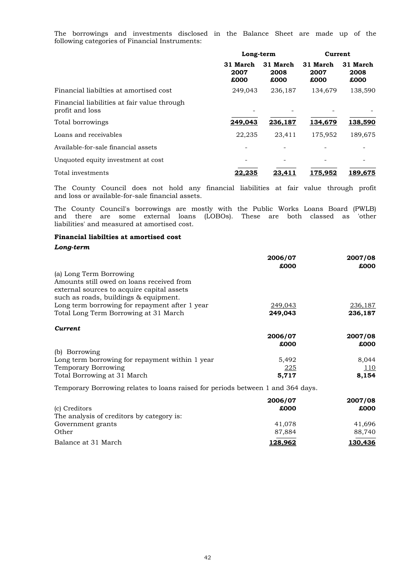following categories of Financial Instruments: The borrowings and investments disclosed in the Balance Sheet are made up of the

|                                                                | Long-term                |                          | Current                  |                          |
|----------------------------------------------------------------|--------------------------|--------------------------|--------------------------|--------------------------|
|                                                                | 31 March<br>2007<br>£000 | 31 March<br>2008<br>£000 | 31 March<br>2007<br>£000 | 31 March<br>2008<br>£000 |
| Financial liabilties at amortised cost                         | 249,043                  | 236,187                  | 134,679                  | 138,590                  |
| Financial liabilities at fair value through<br>profit and loss |                          |                          |                          |                          |
| Total borrowings                                               | 249,043                  | 236,187                  | 134,679                  | 138,590                  |
| Loans and receivables                                          | 22,235                   | 23.411                   | 175,952                  | 189,675                  |
| Available-for-sale financial assets                            | -                        |                          |                          |                          |
| Unquoted equity investment at cost                             | -                        |                          |                          |                          |
| Total investments                                              | 22,235                   | 23,411                   | 175,952                  | 189,675                  |

and loss or available-for-sale financial assets. The County Council does not hold any financial liabilities at fair value through profit

liabilities' and measured at amortised cost. The County Council's borrowings are mostly with the Public Works Loans Board (PWLB) and there are some external loans (LOBOs). These are both classed as 'other

#### **Financial liabilties at amortised cost**

#### *Long-term*

|                                                 | 2006/07 | 2007/08 |
|-------------------------------------------------|---------|---------|
|                                                 | £000    | £000    |
| (a) Long Term Borrowing                         |         |         |
| Amounts still owed on loans received from       |         |         |
| external sources to acquire capital assets      |         |         |
| such as roads, buildings & equipment.           |         |         |
| Long term borrowing for repayment after 1 year  | 249,043 | 236,187 |
| Total Long Term Borrowing at 31 March           | 249,043 | 236,187 |
| Current                                         |         |         |
|                                                 | 2006/07 | 2007/08 |
|                                                 | £000    | £000    |
| (b) Borrowing                                   |         |         |
| Long term borrowing for repayment within 1 year | 5,492   | 8,044   |
| Temporary Borrowing                             | 225     | 110     |

Temporary Borrowing relates to loans raised for periods between 1 and 364 days.

| (c) Creditors<br>The analysis of creditors by category is: | 2006/07<br>£000 | 2007/08<br>£000 |
|------------------------------------------------------------|-----------------|-----------------|
| Government grants                                          | 41.078          | 41.696          |
| Other                                                      | 87,884          | 88,740          |
| Balance at 31 March                                        | 128.962         | 130.436         |

Total Borrowing at 31 March **5,717** 8,154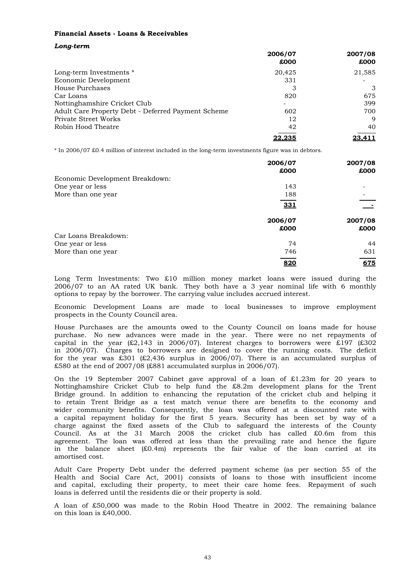# **Financial Assets - Loans & Receivables**

| Long-term |  |
|-----------|--|
|           |  |

|                                                    | 2006/07<br>£000 | 2007/08<br>£000 |
|----------------------------------------------------|-----------------|-----------------|
|                                                    |                 |                 |
| Long-term Investments *                            | 20.425          | 21,585          |
| Economic Development                               | 331             |                 |
| House Purchases                                    | 3               | 3               |
| Car Loans                                          | 820             | 675             |
| Nottinghamshire Cricket Club                       |                 | 399             |
| Adult Care Property Debt - Deferred Payment Scheme | 602             | 700             |
| Private Street Works                               | 12              | 9               |
| Robin Hood Theatre                                 | 42              | 40              |
|                                                    | 22.235          | 23.411          |

\* In 2006/07 £0.4 million of interest included in the long-term investments figure was in debtors.

|                                 | 2006/07 | 2007/08 |
|---------------------------------|---------|---------|
|                                 | £000    | £000    |
| Economic Development Breakdown: |         |         |
| One year or less                | 143     |         |
| More than one year              | 188     |         |
|                                 | 331     |         |
|                                 |         |         |
|                                 | 2006/07 | 2007/08 |
|                                 | £000    | £000    |
| Car Loans Breakdown:            |         |         |
| One year or less                | 74      | 44      |
| More than one year              | 746     | 631     |
|                                 | 820     | 675     |

options to repay by the borrower. The carrying value includes accrued interest. Long Term Investments: Two £10 million money market loans were issued during the 2006/07 to an AA rated UK bank. They both have a 3 year nominal life with 6 monthly

prospects in the County Council area. Economic Development Loans are made to local businesses to improve employment

£580 at the end of 2007/08 (£881 accumulated surplus in 2006/07). purchase. No new advances were made in the year. There were no net repayments of capital in the year  $\{£2,143 \text{ in } 2006/07\}$ . Interest charges to borrowers were £197 (£302) in 2006/07). Charges to borrowers are designed to cover the running costs. The deficit for the year was £301 (£2,436 surplus in 2006/07). There is an accumulated surplus of House Purchases are the amounts owed to the County Council on loans made for house

amortised cost. agreement. The loan was offered at less than the prevailing rate and hence the figure in the balance sheet  $(£0.4m)$  represents the fair value of the loan carried at its wider community benefits. Consequently, the loan was offered at a discounted rate with a capital repayment holiday for the first 5 years. Security has been set by way of a charge against the fixed assets of the Club to safeguard the interests of the County Council. As at the 31 March 2008 the cricket club has called £0.6m from this On the 19 September 2007 Cabinet gave approval of a loan of £1.23m for 20 years to Nottinghamshire Cricket Club to help fund the £8.2m development plans for the Trent Bridge ground. In addition to enhancing the reputation of the cricket club and helping it to retain Trent Bridge as a test match venue there are benefits to the economy and

loans is deferred until the residents die or their property is sold. and capital, excluding their property, to meet their care home fees. Repayment of such Adult Care Property Debt under the deferred payment scheme (as per section 55 of the Health and Social Care Act, 2001) consists of loans to those with insufficient income

on this loan is £40,000. A loan of £50,000 was made to the Robin Hood Theatre in 2002. The remaining balance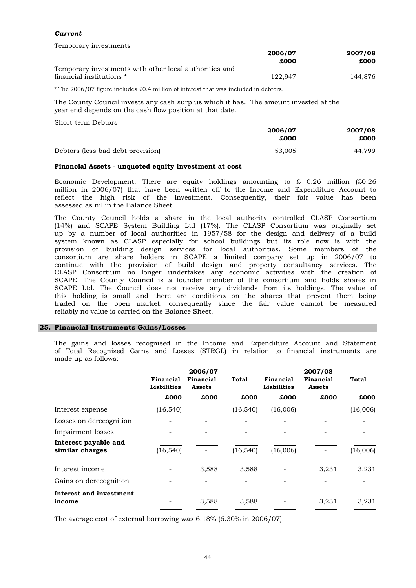# *Current*

Temporary investments

|                                                        | 2006/07<br>£000 | 2007/08<br>£000 |
|--------------------------------------------------------|-----------------|-----------------|
|                                                        |                 |                 |
| Temporary investments with other local authorities and |                 |                 |
| financial institutions *                               | 122,947         | 144,876         |

\* The 2006/07 figure includes £0.4 million of interest that was included in debtors.

The County Council invests any cash surplus which it has. The amount invested at the year end depends on the cash flow position at that date.

Short-term Debtors

|                                   | 2006/07<br>£000 | 2007/08<br>£000 |
|-----------------------------------|-----------------|-----------------|
| Debtors (less bad debt provision) | 53,005          | 44,799          |

#### **Financial Assets - unquoted equity investment at cost**

assessed as nil in the Balance Sheet. Economic Development: There are equity holdings amounting to  $\&$  0.26 million (£0.26 million in 2006/07) that have been written off to the Income and Expenditure Account to reflect the high risk of the investment. Consequently, their fair value has been

reliably no value is carried on the Balance Sheet. SCAPE. The County Council is a founder member of the consortium and holds shares in SCAPE Ltd. The Council does not receive any dividends from its holdings. The value of this holding is small and there are conditions on the shares that prevent them being traded on the open market, consequently since the fair value cannot be measured provision of building design services for local authorities. Some members of the consortium are share holders in SCAPE a limited company set up in 2006/07 to continue with the provision of build design and property consultancy services. The CLASP Consortium no longer undertakes any economic activities with the creation of The County Council holds a share in the local authority controlled CLASP Consortium (14%) and SCAPE System Building Ltd (17%). The CLASP Consortium was originally set up by a number of local authorities in 1957/58 for the design and delivery of a build system known as CLASP especially for school buildings but its role now is with the

#### **25. Financial Instruments Gains/Losses**

made up as follows: The gains and losses recognised in the Income and Expenditure Account and Statement of Total Recognised Gains and Losses (STRGL) in relation to financial instruments are

|                                 | 2006/07                    |              |                                 | 2007/08                    |              |
|---------------------------------|----------------------------|--------------|---------------------------------|----------------------------|--------------|
| Financial<br><b>Liabilities</b> | Financial<br><b>Assets</b> | <b>Total</b> | Financial<br><b>Liabilities</b> | Financial<br><b>Assets</b> | <b>Total</b> |
| £000                            | £000                       | £000         | £000                            | £000                       | £000         |
| (16, 540)                       |                            | (16, 540)    | (16,006)                        |                            | (16,006)     |
|                                 |                            |              |                                 |                            |              |
|                                 |                            |              |                                 |                            |              |
| (16, 540)                       |                            | (16, 540)    | (16,006)                        |                            | (16,006)     |
|                                 | 3,588                      | 3,588        |                                 | 3,231                      | 3,231        |
|                                 |                            |              |                                 |                            |              |
|                                 | 3,588                      | 3,588        |                                 | 3,231                      | 3,231        |
|                                 |                            |              |                                 |                            |              |

The average cost of external borrowing was 6.18% (6.30% in 2006/07).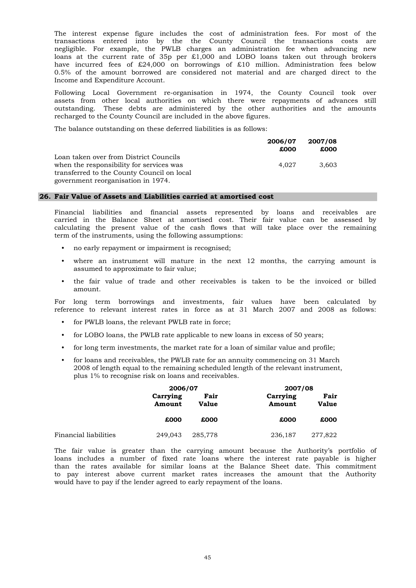Income and Expenditure Account. loans at the current rate of 35p per £1,000 and LOBO loans taken out through brokers have incurred fees of £24,000 on borrowings of £10 million. Administration fees below 0.5% of the amount borrowed are considered not material and are charged direct to the The interest expense figure includes the cost of administration fees. For most of the transactions entered into by the the County Council the transactions costs are negligible. For example, the PWLB charges an administration fee when advancing new

recharged to the County Council are included in the above figures. assets from other local authorities on which there were repayments of advances still outstanding. These debts are administered by the other authorities and the amounts Following Local Government re-organisation in 1974, the County Council took over

The balance outstanding on these deferred liabilities is as follows:

|                                            | 2006/07 | 2007/08 |
|--------------------------------------------|---------|---------|
|                                            | £000    | £000    |
| Loan taken over from District Councils     |         |         |
| when the responsibility for services was   | 4.027   | 3.603   |
| transferred to the County Council on local |         |         |
| government reorganisation in 1974.         |         |         |

#### **26. Fair Value of Assets and Liabilities carried at amortised cost**

term of the instruments, using the following assumptions: calculating the present value of the cash flows that will take place over the remaining Financial liabilities and financial assets represented by loans and receivables are carried in the Balance Sheet at amortised cost. Their fair value can be assessed by

- no early repayment or impairment is recognised;
- assumed to approximate to fair value; where an instrument will mature in the next 12 months, the carrying amount is
- amount. the fair value of trade and other receivables is taken to be the invoiced or billed

reference to relevant interest rates in force as at 31 March 2007 and 2008 as follows: For long term borrowings and investments, fair values have been calculated by

- for PWLB loans, the relevant PWLB rate in force;
- for LOBO loans, the PWLB rate applicable to new loans in excess of 50 years;
- for long term investments, the market rate for a loan of similar value and profile;
- for loans and receivables, the PWLB rate for an annuity commencing on 31 March 2008 of length equal to the remaining scheduled length of the relevant instrument, plus 1% to recognise risk on loans and receivables.

|                       | 2006/07            |                      | 2007/08            |                      |
|-----------------------|--------------------|----------------------|--------------------|----------------------|
|                       | Carrying<br>Amount | Fair<br><b>Value</b> | Carrying<br>Amount | Fair<br><b>Value</b> |
|                       | £000               | £000                 | £000               | £000                 |
| Financial liabilities | 249,043            | 285,778              | 236,187            | 277,822              |

would have to pay if the lender agreed to early repayment of the loans. The fair value is greater than the carrying amount because the Authority's portfolio of loans includes a number of fixed rate loans where the interest rate payable is higher than the rates available for similar loans at the Balance Sheet date. This commitment to pay interest above current market rates increases the amount that the Authority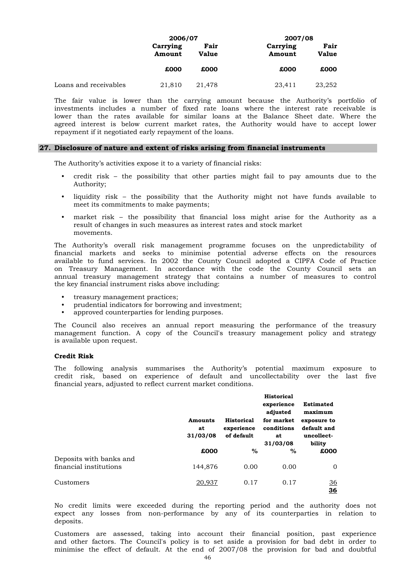|                       | 2006/07            |                      | 2007/08            |                      |  |
|-----------------------|--------------------|----------------------|--------------------|----------------------|--|
|                       | Carrying<br>Amount | Fair<br><b>Value</b> | Carrying<br>Amount | Fair<br><b>Value</b> |  |
|                       | £000               | £000                 | £000               | £000                 |  |
| Loans and receivables | 21,810             | 21,478               | 23,411             | 23,252               |  |

repayment if it negotiated early repayment of the loans. agreed interest is below current market rates, the Authority would have to accept lower investments includes a number of fixed rate loans where the interest rate receivable is lower than the rates available for similar loans at the Balance Sheet date. Where the The fair value is lower than the carrying amount because the Authority's portfolio of

#### **27. Disclosure of nature and extent of risks arising from financial instruments**

The Authority's activities expose it to a variety of financial risks:

- Authority; credit risk – the possibility that other parties might fail to pay amounts due to the
- liquidity risk the possibility that the Authority might not have funds available to meet its commitments to make payments;
- result of changes in such measures as interest rates and stock market movements. market risk – the possibility that financial loss might arise for the Authority as a

the key financial instrument risks above including: on Treasury Management. In accordance with the code the County Council sets an annual treasury management strategy that contains a number of measures to control The Authority's overall risk management programme focuses on the unpredictability of financial markets and seeks to minimise potential adverse effects on the resources available to fund services. In 2002 the County Council adopted a CIPFA Code of Practice

- treasury management practices;
- prudential indicators for borrowing and investment;
- approved counterparties for lending purposes.

is available upon request. The Council also receives an annual report measuring the performance of the treasury management function. A copy of the Council's treasury management policy and strategy

# **Credit Risk**

financial years, adjusted to reflect current market conditions. The following analysis summarises the Authority's potential maximum exposure to credit risk, based on experience of default and uncollectability over the last five

|                         | <b>Amounts</b><br>at<br>31/03/08 | <b>Historical</b><br>experience<br>of default | <b>Historical</b><br>experience<br>adjusted<br>for market<br>conditions<br>at<br>31/03/08 | <b>Estimated</b><br>maximum<br>exposure to<br>default and<br>uncollect-<br>bility |
|-------------------------|----------------------------------|-----------------------------------------------|-------------------------------------------------------------------------------------------|-----------------------------------------------------------------------------------|
| Deposits with banks and | £000                             | $\%$                                          | %                                                                                         | £000                                                                              |
| financial institutions  | 144,876                          | 0.00                                          | 0.00                                                                                      | 0                                                                                 |
| Customers               | 20,937                           | 0.17                                          | 0.17                                                                                      | <u>36</u><br>36                                                                   |

deposits. No credit limits were exceeded during the reporting period and the authority does not expect any losses from non-performance by any of its counterparties in relation to

minimise the effect of default. At the end of 2007/08 the provision for bad and doubtful Customers are assessed, taking into account their financial position, past experience and other factors. The Council's policy is to set aside a provision for bad debt in order to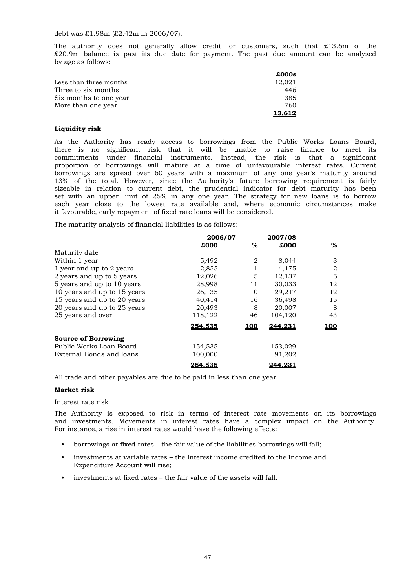debt was £1.98m (£2.42m in 2006/07).

by age as follows: The authority does not generally allow credit for customers, such that £13.6m of the £20.9m balance is past its due date for payment. The past due amount can be analysed

|                        | £000s  |
|------------------------|--------|
| Less than three months | 12,021 |
| Three to six months    | 446    |
| Six months to one year | 385    |
| More than one year     | 760    |
|                        | 13.612 |

#### **Liquidity risk**

it favourable, early repayment of fixed rate loans will be considered. 13% of the total. However, since the Authority's future borrowing requirement is fairly sizeable in relation to current debt, the prudential indicator for debt maturity has been set with an upper limit of 25% in any one year. The strategy for new loans is to borrow each year close to the lowest rate available and, where economic circumstances make there is no significant risk that it will be unable to raise finance to meet its commitments under financial instruments. Instead, the risk is that a significant proportion of borrowings will mature at a time of unfavourable interest rates. Current borrowings are spread over 60 years with a maximum of any one year's maturity around As the Authority has ready access to borrowings from the Public Works Loans Board,

The maturity analysis of financial liabilities is as follows:

|                             | 2006/07 |            | 2007/08 |             |  |
|-----------------------------|---------|------------|---------|-------------|--|
|                             | £000    | %          | £000    | $\%$        |  |
| Maturity date               |         |            |         |             |  |
| Within 1 year               | 5,492   | 2          | 8,044   | 3           |  |
| 1 year and up to 2 years    | 2,855   |            | 4,175   | 2           |  |
| 2 years and up to 5 years   | 12,026  | 5          | 12,137  | 5           |  |
| 5 years and up to 10 years  | 28,998  | 11         | 30.033  | 12          |  |
| 10 years and up to 15 years | 26,135  | 10         | 29,217  | 12          |  |
| 15 years and up to 20 years | 40,414  | 16         | 36,498  | 15          |  |
| 20 years and up to 25 years | 20,493  | 8          | 20,007  | 8           |  |
| 25 years and over           | 118,122 | 46         | 104,120 | 43          |  |
|                             | 254.535 | <b>100</b> | 244.231 | <u> 100</u> |  |
| <b>Source of Borrowing</b>  |         |            |         |             |  |
| Public Works Loan Board     | 154,535 |            | 153,029 |             |  |
| External Bonds and loans    | 100,000 |            | 91,202  |             |  |
|                             | 254.535 |            | 244.231 |             |  |

All trade and other payables are due to be paid in less than one year.

#### **Market risk**

#### Interest rate risk

For instance, a rise in interest rates would have the following effects: The Authority is exposed to risk in terms of interest rate movements on its borrowings and investments. Movements in interest rates have a complex impact on the Authority.

- borrowings at fixed rates the fair value of the liabilities borrowings will fall;
- investments at variable rates the interest income credited to the Income and Expenditure Account will rise;
- investments at fixed rates the fair value of the assets will fall.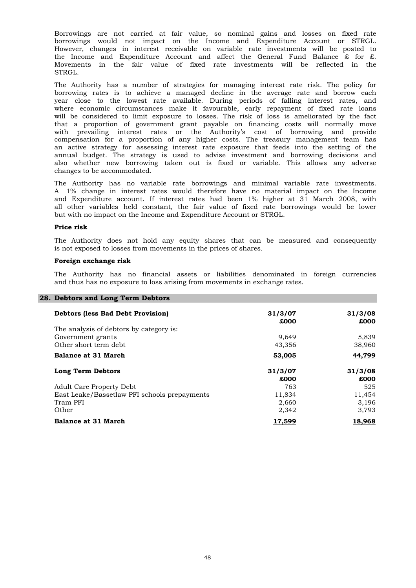STRGL. borrowings would not impact on the Income and Expenditure Account or STRGL. However, changes in interest receivable on variable rate investments will be posted to the Income and Expenditure Account and affect the General Fund Balance  $\hat{x}$  for  $\hat{x}$ . Movements in the fair value of fixed rate investments will be reflected in the Borrowings are not carried at fair value, so nominal gains and losses on fixed rate

changes to be accommodated. an active strategy for assessing interest rate exposure that feeds into the setting of the annual budget. The strategy is used to advise investment and borrowing decisions and also whether new borrowing taken out is fixed or variable. This allows any adverse will be considered to limit exposure to losses. The risk of loss is ameliorated by the fact that a proportion of government grant payable on financing costs will normally move with prevailing interest rates or the Authority's cost of borrowing and provide compensation for a proportion of any higher costs. The treasury management team has The Authority has a number of strategies for managing interest rate risk. The policy for borrowing rates is to achieve a managed decline in the average rate and borrow each year close to the lowest rate available. During periods of falling interest rates, and where economic circumstances make it favourable, early repayment of fixed rate loans

but with no impact on the Income and Expenditure Account or STRGL. all other variables held constant, the fair value of fixed rate borrowings would be lower and Expenditure account. If interest rates had been 1% higher at 31 March 2008, with The Authority has no variable rate borrowings and minimal variable rate investments. A 1% change in interest rates would therefore have no material impact on the Income

#### **Price risk**

is not exposed to losses from movements in the prices of shares. The Authority does not hold any equity shares that can be measured and consequently

#### **Foreign exchange risk**

and thus has no exposure to loss arising from movements in exchange rates. The Authority has no financial assets or liabilities denominated in foreign currencies

| 28. Debtors and Long Term Debtors            |                 |                 |
|----------------------------------------------|-----------------|-----------------|
| <b>Debtors (less Bad Debt Provision)</b>     | 31/3/07<br>£000 | 31/3/08<br>£000 |
| The analysis of debtors by category is:      |                 |                 |
| Government grants                            | 9.649           | 5,839           |
| Other short term debt.                       | 43,356          | 38,960          |
| <b>Balance at 31 March</b>                   | 53,005          | 44,799          |
| Long Term Debtors                            | 31/3/07         | 31/3/08         |
|                                              | £000            | £000            |
| <b>Adult Care Property Debt</b>              | 763             | 525             |
| East Leake/Bassetlaw PFI schools prepayments | 11,834          | 11,454          |
| Tram PFI                                     | 2,660           | 3,196           |
| Other                                        | 2,342           | 3,793           |
| <b>Balance at 31 March</b>                   | 17,599          | 18,968          |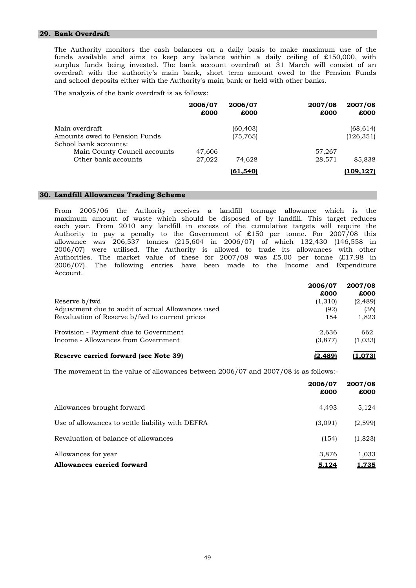# **29. Bank Overdraft**

and school deposits either with the Authority's main bank or held with other banks. surplus funds being invested. The bank account overdraft at 31 March will consist of an overdraft with the authority's main bank, short term amount owed to the Pension Funds The Authority monitors the cash balances on a daily basis to make maximum use of the funds available and aims to keep any balance within a daily ceiling of £150,000, with

The analysis of the bank overdraft is as follows:

|                               | 2006/07<br>£000 | 2006/07<br>£000 | 2007/08<br>£000 | 2007/08<br>£000 |
|-------------------------------|-----------------|-----------------|-----------------|-----------------|
| Main overdraft                |                 | (60, 403)       |                 | (68, 614)       |
| Amounts owed to Pension Funds |                 | (75, 765)       |                 | (126, 351)      |
| School bank accounts:         |                 |                 |                 |                 |
| Main County Council accounts  | 47,606          |                 | 57,267          |                 |
| Other bank accounts           | 27,022          | 74,628          | 28,571          | 85,838          |
|                               |                 | (61.540)        |                 | (109.127)       |

#### **30. Landfill Allowances Trading Scheme**

Account. Authorities. The market value of these for 2007/08 was £5.00 per tonne (£17.98 in 2006/07). The following entries have been made to the Income and Expenditure each year. From 2010 any landfill in excess of the cumulative targets will require the Authority to pay a penalty to the Government of £150 per tonne. For 2007/08 this allowance was 206,537 tonnes (215,604 in 2006/07) of which 132,430 (146,558 in 2006/07) were utilised. The Authority is allowed to trade its allowances with other From 2005/06 the Authority receives a landfill tonnage allowance which is the maximum amount of waste which should be disposed of by landfill. This target reduces

| Reserve b/fwd                                                                                       | 2006/07<br>£000        | 2007/08<br>£000           |
|-----------------------------------------------------------------------------------------------------|------------------------|---------------------------|
| Adjustment due to audit of actual Allowances used<br>Revaluation of Reserve b/fwd to current prices | (1,310)<br>(92)<br>154 | (2, 489)<br>(36)<br>1,823 |
| Provision - Payment due to Government<br>Income - Allowances from Government                        | 2,636<br>(3,877)       | 662<br>(1,033)            |
| Reserve carried forward (see Note 39)                                                               | <u>12.4891</u>         | <u>(1.073)</u>            |

The movement in the value of allowances between 2006/07 and 2007/08 is as follows:-

|                                                  | 2006/07<br>£000 | 2007/08<br>£000 |
|--------------------------------------------------|-----------------|-----------------|
| Allowances brought forward                       | 4.493           | 5,124           |
| Use of allowances to settle liability with DEFRA | (3,091)         | (2,599)         |
| Revaluation of balance of allowances             | (154)           | (1,823)         |
| Allowances for year                              | 3,876           | 1,033           |
| <b>Allowances carried forward</b>                | <u>5.124</u>    | <u>1,735</u>    |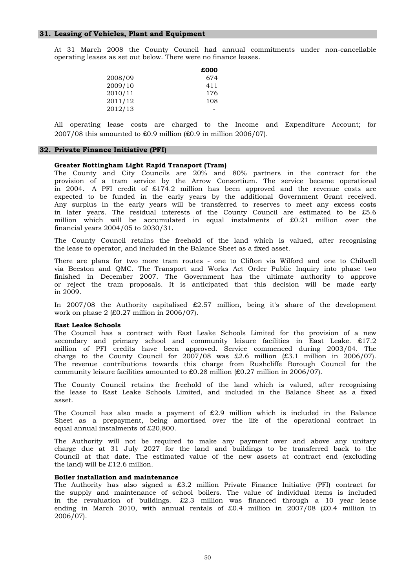operating leases as set out below. There were no finance leases. At 31 March 2008 the County Council had annual commitments under non-cancellable

|         | £000 |
|---------|------|
| 2008/09 | 674  |
| 2009/10 | 411  |
| 2010/11 | 176  |
| 2011/12 | 108  |
| 2012/13 |      |

2007/08 this amounted to £0.9 million (£0.9 in million 2006/07). All operating lease costs are charged to the Income and Expenditure Account; for

#### **32. Private Finance Initiative (PFI)**

## **Greater Nottingham Light Rapid Transport (Tram)**

financial years 2004/05 to 2030/31. in later years. The residual interests of the County Council are estimated to be £5.6 million which will be accumulated in equal instalments of £0.21 million over the provision of a tram service by the Arrow Consortium. The service became operational in 2004. A PFI credit of £174.2 million has been approved and the revenue costs are expected to be funded in the early years by the additional Government Grant received. Any surplus in the early years will be transferred to reserves to meet any excess costs The County and City Councils are 20% and 80% partners in the contract for the

the lease to operator, and included in the Balance Sheet as a fixed asset. The County Council retains the freehold of the land which is valued, after recognising

in 2009. via Beeston and QMC. The Transport and Works Act Order Public Inquiry into phase two finished in December 2007. The Government has the ultimate authority to approve or reject the tram proposals. It is anticipated that this decision will be made early There are plans for two more tram routes - one to Clifton via Wilford and one to Chilwell

work on phase 2 (£0.27 million in 2006/07). In 2007/08 the Authority capitalised  $\text{\pounds}2.57$  million, being it's share of the development

#### **East Leake Schools**

community leisure facilities amounted to  $\text{\pounds}0.28$  million ( $\text{\pounds}0.27$  million in 2006/07). The revenue contributions towards this charge from Rushcliffe Borough Council for the The Council has a contract with East Leake Schools Limited for the provision of a new secondary and primary school and community leisure facilities in East Leake. £17.2 million of PFI credits have been approved. Service commenced during 2003/04. The charge to the County Council for  $2007/08$  was £2.6 million (£3.1 million in 2006/07).

asset. The County Council retains the freehold of the land which is valued, after recognising the lease to East Leake Schools Limited, and included in the Balance Sheet as a fixed

equal annual instalments of £20,800. Sheet as a prepayment, being amortised over the life of the operational contract in The Council has also made a payment of  $£2.9$  million which is included in the Balance

the land) will be £12.6 million. The Authority will not be required to make any payment over and above any unitary charge due at 31 July 2027 for the land and buildings to be transferred back to the Council at that date. The estimated value of the new assets at contract end (excluding

#### **Boiler installation and maintenance**

2006/07). The Authority has also signed a £3.2 million Private Finance Initiative (PFI) contract for the supply and maintenance of school boilers. The value of individual items is included in the revaluation of buildings. £2.3 million was financed through a 10 year lease ending in March 2010, with annual rentals of £0.4 million in 2007/08 (£0.4 million in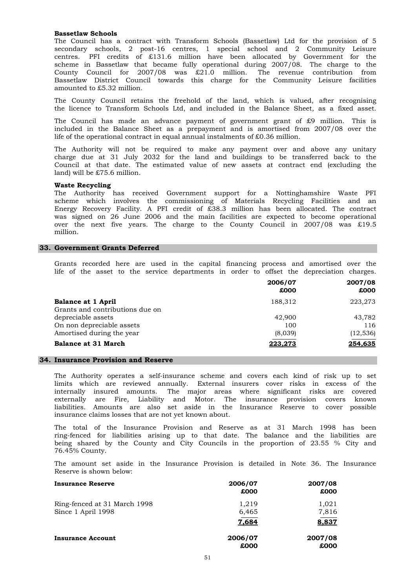#### **Bassetlaw Schools**

amounted to £5.32 million. County Council for 2007/08 was £21.0 million. The revenue contribution from Bassetlaw District Council towards this charge for the Community Leisure facilities The Council has a contract with Transform Schools (Bassetlaw) Ltd for the provision of 5 secondary schools, 2 post-16 centres, 1 special school and 2 Community Leisure centres. PFI credits of £131.6 million have been allocated by Government for the scheme in Bassetlaw that became fully operational during 2007/08. The charge to the

The County Council retains the freehold of the land, which is valued, after recognising the licence to Transform Schools Ltd, and included in the Balance Sheet, as a fixed asset.

life of the operational contract in equal annual instalments of £0.36 million. The Council has made an advance payment of government grant of £9 million. This is included in the Balance Sheet as a prepayment and is amortised from 2007/08 over the

land) will be £75.6 million. charge due at 31 July 2032 for the land and buildings to be transferred back to the Council at that date. The estimated value of new assets at contract end (excluding the The Authority will not be required to make any payment over and above any unitary

#### **Waste Recycling**

million. was signed on 26 June 2006 and the main facilities are expected to become operational over the next five years. The charge to the County Council in 2007/08 was £19.5 The Authority has received Government support for a Nottinghamshire Waste PFI scheme which involves the commissioning of Materials Recycling Facilities and an Energy Recovery Facility. A PFI credit of £38.3 million has been allocated. The contract

### **33. Government Grants Deferred**

Grants recorded here are used in the capital financing process and amortised over the life of the asset to the service departments in order to offset the depreciation charges.

|                                 | 2006/07<br>£000 | 2007/08<br>£000 |
|---------------------------------|-----------------|-----------------|
| <b>Balance at 1 April</b>       | 188.312         | 223,273         |
| Grants and contributions due on |                 |                 |
| depreciable assets              | 42,900          | 43,782          |
| On non depreciable assets       | 100             | 116             |
| Amortised during the year       | (8,039)         | (12, 536)       |
| <b>Balance at 31 March</b>      | 223.273         | 254.635         |

#### **34. Insurance Provision and Reserve**

insurance claims losses that are not yet known about. internally insured amounts. The major areas where significant risks are covered externally are Fire, Liability and Motor. The insurance provision covers known liabilities. Amounts are also set aside in the Insurance Reserve to cover possible The Authority operates a self-insurance scheme and covers each kind of risk up to set limits which are reviewed annually. External insurers cover risks in excess of the

76.45% County. ring-fenced for liabilities arising up to that date. The balance and the liabilities are being shared by the County and City Councils in the proportion of 23.55 % City and The total of the Insurance Provision and Reserve as at 31 March 1998 has been

Reserve is shown below: The amount set aside in the Insurance Provision is detailed in Note 36. The Insurance

| <b>Insurance Reserve</b>                           | 2006/07<br>£000         | 2007/08<br>£000         |
|----------------------------------------------------|-------------------------|-------------------------|
| Ring-fenced at 31 March 1998<br>Since 1 April 1998 | 1,219<br>6,465<br>7.684 | 1,021<br>7,816<br>8,837 |
| <b>Insurance Account</b>                           | 2006/07<br>£000         | 2007/08<br>£000         |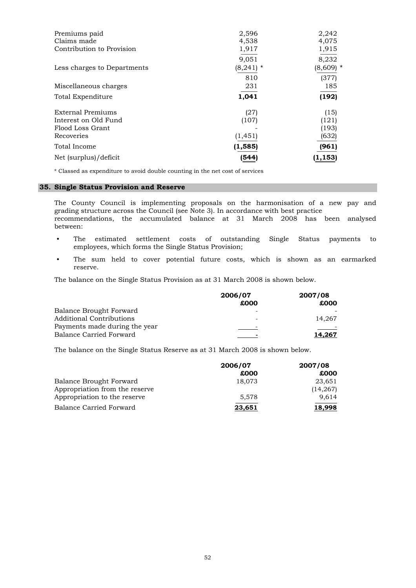| Premiums paid               | 2,596       | 2,242       |
|-----------------------------|-------------|-------------|
| Claims made                 | 4,538       | 4,075       |
| Contribution to Provision   | 1,917       | 1,915       |
|                             | 9,051       | 8,232       |
| Less charges to Departments | $(8,241)$ * | $(8,609)$ * |
|                             | 810         | (377)       |
| Miscellaneous charges       | 231         | 185         |
| Total Expenditure           | 1,041       | (192)       |
| External Premiums           | (27)        | (15)        |
| Interest on Old Fund        | (107)       | (121)       |
| Flood Loss Grant            |             | (193)       |
| Recoveries                  | (1, 451)    | (632)       |
| Total Income                | (1, 585)    | (961)       |
| Net (surplus)/deficit       | (544)       | (1, 153)    |

\* Classed as expenditure to avoid double counting in the net cost of services

# **35. Single Status Provision and Reserve**

between: grading structure across the Council (see Note 3). In accordance with best practice recommendations, the accumulated balance at 31 March 2008 has been analysed The County Council is implementing proposals on the harmonisation of a new pay and

- employees, which forms the Single Status Provision; The estimated settlement costs of outstanding Single Status payments to
- reserve. The sum held to cover potential future costs, which is shown as an earmarked

The balance on the Single Status Provision as at 31 March 2008 is shown below.

|                                | 2006/07 | 2007/08 |
|--------------------------------|---------|---------|
|                                | £000    | £000    |
| <b>Balance Brought Forward</b> |         |         |
| Additional Contributions       |         | 14.267  |
| Payments made during the year  |         |         |
| <b>Balance Carried Forward</b> | -       | 14.267  |

The balance on the Single Status Reserve as at 31 March 2008 is shown below.

|                                | 2006/07 | 2007/08  |
|--------------------------------|---------|----------|
|                                | £000    | £000     |
| Balance Brought Forward        | 18,073  | 23,651   |
| Appropriation from the reserve |         | (14,267) |
| Appropriation to the reserve   | 5.578   | 9.614    |
| Balance Carried Forward        | 23,651  | 18,998   |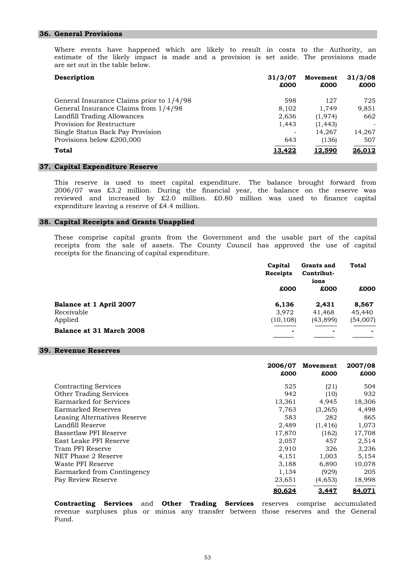#### **36. General Provisions**

are set out in the table below. estimate of the likely impact is made and a provision is set aside. The provisions made Where events have happened which are likely to result in costs to the Authority, an

| Description                              | 31/3/07<br>£000 | Movement<br>£000 | 31/3/08<br>£000 |
|------------------------------------------|-----------------|------------------|-----------------|
| General Insurance Claims prior to 1/4/98 | 598             | 127              | 725             |
| General Insurance Claims from 1/4/98     | 8,102           | 1,749            | 9,851           |
| Landfill Trading Allowances              | 2,636           | (1, 974)         | 662             |
| Provision for Restructure                | 1,443           | (1, 443)         |                 |
| Single Status Back Pay Provision         |                 | 14.267           | 14,267          |
| Provisions below £200,000                | 643             | (136)            | 507             |
| Total                                    | 13.422          | 12.590           | 26,012          |

#### **37. Capital Expenditure Reserve**

expenditure leaving a reserve of £4.4 million. reviewed and increased by £2.0 million. £0.80 million was used to finance capital This reserve is used to meet capital expenditure. The balance brought forward from 2006/07 was £3.2 million. During the financial year, the balance on the reserve was

## **38. Capital Receipts and Grants Unapplied**

receipts for the financing of capital expenditure. receipts from the sale of assets. The County Council has approved the use of capital These comprise capital grants from the Government and the usable part of the capital

|                                                  | Capital<br>Receipts<br>£000 | Grants and<br>Contribut-<br>ions<br>£000 | <b>Total</b><br>£000        |
|--------------------------------------------------|-----------------------------|------------------------------------------|-----------------------------|
| Balance at 1 April 2007<br>Receivable<br>Applied | 6,136<br>3,972<br>(10, 108) | 2,431<br>41,468<br>(43,899)              | 8,567<br>45,440<br>(54,007) |
| Balance at 31 March 2008                         | $\blacksquare$              | $\blacksquare$                           | $\overline{\phantom{0}}$    |

#### **39. Revenue Reserves**

|                               | 2006/07<br>£000 | Movement<br>£000 | 2007/08<br>£000 |
|-------------------------------|-----------------|------------------|-----------------|
| <b>Contracting Services</b>   | 525             | (21)             | 504             |
| <b>Other Trading Services</b> | 942             | (10)             | 932             |
| Earmarked for Services        | 13,361          | 4,945            | 18,306          |
| Earmarked Reserves            | 7,763           | (3,265)          | 4,498           |
| Leasing Alternatives Reserve  | 583             | 282              | 865             |
| Landfill Reserve              | 2.489           | (1, 416)         | 1,073           |
| Bassetlaw PFI Reserve         | 17,870          | (162)            | 17,708          |
| East Leake PFI Reserve        | 2,057           | 457              | 2,514           |
| Tram PFI Reserve              | 2,910           | 326              | 3,236           |
| NET Phase 2 Reserve           | 4,151           | 1,003            | 5,154           |
| Waste PFI Reserve             | 3,188           | 6,890            | 10,078          |
| Earmarked from Contingency    | 1,134           | (929)            | 205             |
| Pay Review Reserve            | 23,651          | (4,653)          | 18,998          |
|                               | 80,624          | 3.447            | 84,071          |

Fund. **Contracting Services** and **Other Trading Services** reserves comprise accumulated revenue surpluses plus or minus any transfer between those reserves and the General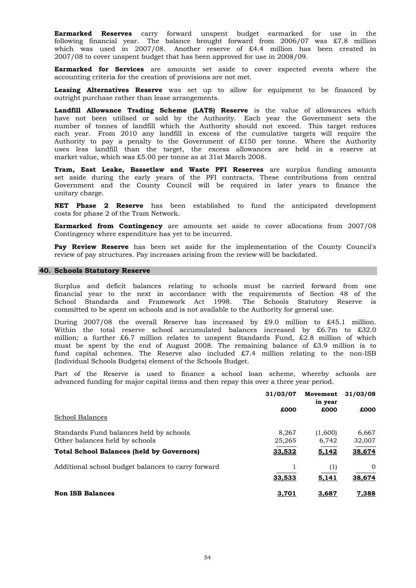2007/08 to cover unspent budget that has been approved for use in 2008/09. following financial year. The balance brought forward from 2006/07 was £7.8 million which was used in 2007/08. Another reserve of £4.4 million has been created in **Earmarked Reserves** carry forward unspent budget earmarked for use in the

accounting criteria for the creation of provisions are not met. **Earmarked for Services** are amounts set aside to cover expected events where the

outright purchase rather than lease arrangements. **Leasing Alternatives Reserve** was set up to allow for equipment to be financed by

market value, which was £5.00 per tonne as at 31st March 2008. Authority to pay a penalty to the Government of £150 per tonne. Where the Authority uses less landfill than the target, the excess allowances are held in a reserve at **Landfill Allowance Trading Scheme (LATS) Reserve** is the value of allowances which have not been utilised or sold by the Authority. Each year the Government sets the number of tonnes of landfill which the Authority should not exceed. This target reduces each year. From 2010 any landfill in excess of the cumulative targets will require the

unitary charge. Government and the County Council will be required in later years to finance the **Tram, East Leake, Bassetlaw and Waste PFI Reserves** are surplus funding amounts set aside during the early years of the PFI contracts. These contributions from central

costs for phase 2 of the Tram Network. **NET Phase 2 Reserve** has been established to fund the anticipated development

Contingency where expenditure has yet to be incurred. **Earmarked from Contingency** are amounts set aside to cover allocations from 2007/08

review of pay structures. Pay increases arising from the review will be backdated. **Pay Review Reserve** has been set aside for the implementation of the County Council's

#### **40. Schools Statutory Reserve**

committed to be spent on schools and is not available to the Authority for general use. Surplus and deficit balances relating to schools must be carried forward from one financial year to the next in accordance with the requirements of Section 48 of the School Standards and Framework Act 1998. The Schools Statutory Reserve is

(Individual Schools Budgets) element of the Schools Budget. Within the total reserve school accumulated balances increased by £6.7m to £32.0 million; a further £6.7 million relates to unspent Standards Fund, £2.8 million of which must be spent by the end of August 2008. The remaining balance of £3.9 million is to fund capital schemes. The Reserve also included £7.4 million relating to the non-ISB During 2007/08 the overall Reserve has increased by  $\text{\pounds}9.0$  million to  $\text{\pounds}45.1$  million.

advanced funding for major capital items and then repay this over a three year period. Part of the Reserve is used to finance a school loan scheme, whereby schools are

|                                                                           | 31/03/07        | Movement<br>in year | 31/03/08           |
|---------------------------------------------------------------------------|-----------------|---------------------|--------------------|
| School Balances                                                           | £000            | £000                | £000               |
| Standards Fund balances held by schools<br>Other balances held by schools | 8.267<br>25,265 | (1,600)<br>6,742    | 6.667<br>32,007    |
| <b>Total School Balances (held by Governors)</b>                          | 33,532          | 5,142               | 38,674             |
| Additional school budget balances to carry forward                        | 33,533          | (1)<br>5,141        | $\Omega$<br>38,674 |
| <b>Non ISB Balances</b>                                                   | 3,701           | 3,687               | 7,388              |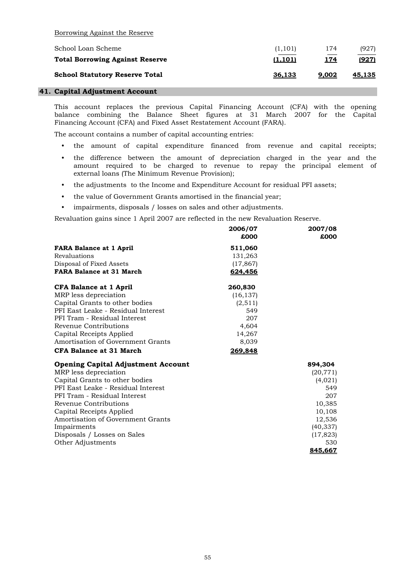Borrowing Against the Reserve

| School Loan Scheme                     | (1, 101) | 174         | (927)         |
|----------------------------------------|----------|-------------|---------------|
| <b>Total Borrowing Against Reserve</b> | (1, 101) | <u> 174</u> | (927)         |
| <b>School Statutory Reserve Total</b>  | 36.133   | 9.002       | <u>45.135</u> |
|                                        |          |             |               |

# **41. Capital Adjustment Account**

Financing Account (CFA) and Fixed Asset Restatement Account (FARA). This account replaces the previous Capital Financing Account (CFA) with the opening balance combining the Balance Sheet figures at 31 March 2007 for the Capital

The account contains a number of capital accounting entries:

- the amount of capital expenditure financed from revenue and capital receipts;
- the difference between the amount of depreciation charged in the year and the external loans (The Minimum Revenue Provision); amount required to be charged to revenue to repay the principal element of
- the adjustments to the Income and Expenditure Account for residual PFI assets;
- the value of Government Grants amortised in the financial year;
- impairments, disposals / losses on sales and other adjustments.

Revaluation gains since 1 April 2007 are reflected in the new Revaluation Reserve.

|                                           | 2006/07   | 2007/08   |
|-------------------------------------------|-----------|-----------|
|                                           | £000      | £000      |
| <b>FARA Balance at 1 April</b>            | 511,060   |           |
| Revaluations                              | 131,263   |           |
| Disposal of Fixed Assets                  | (17, 867) |           |
| <b>FARA Balance at 31 March</b>           | 624,456   |           |
| <b>CFA Balance at 1 April</b>             | 260,830   |           |
| MRP less depreciation                     | (16, 137) |           |
| Capital Grants to other bodies            | (2, 511)  |           |
| PFI East Leake - Residual Interest        | 549       |           |
| PFI Tram - Residual Interest              | 207       |           |
| Revenue Contributions                     | 4,604     |           |
| Capital Receipts Applied                  | 14,267    |           |
| Amortisation of Government Grants         | 8,039     |           |
| <b>CFA Balance at 31 March</b>            | 269,848   |           |
| <b>Opening Capital Adjustment Account</b> |           | 894,304   |
| MRP less depreciation                     |           | (20, 771) |
| Capital Grants to other bodies            |           | (4,021)   |
| PFI East Leake - Residual Interest        |           | 549       |
| PFI Tram - Residual Interest              |           | 207       |
| Revenue Contributions                     |           | 10,385    |
| Capital Receipts Applied                  |           | 10,108    |
| Amortisation of Government Grants         |           | 12,536    |
| Impairments                               |           | (40, 337) |
| Disposals / Losses on Sales               |           | (17, 823) |
| Other Adjustments                         |           | 530       |
|                                           |           | 845.667   |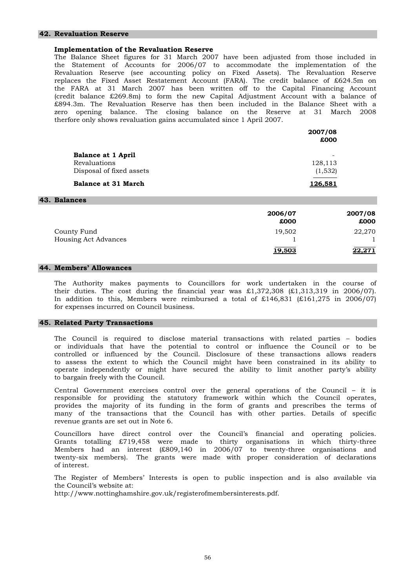#### **42. Revaluation Reserve**

#### **Implementation of the Revaluation Reserve**

therfore only shows revaluation gains accumulated since 1 April 2007. (credit balance £269.8m) to form the new Capital Adjustment Account with a balance of £894.3m. The Revaluation Reserve has then been included in the Balance Sheet with a zero opening balance. The closing balance on the Reserve at 31 March 2008 the Statement of Accounts for 2006/07 to accommodate the implementation of the Revaluation Reserve (see accounting policy on Fixed Assets). The Revaluation Reserve replaces the Fixed Asset Restatement Account (FARA). The credit balance of £624.5m on the FARA at 31 March 2007 has been written off to the Capital Financing Account The Balance Sheet figures for 31 March 2007 have been adjusted from those included in

|                            | 2007/08 | £000    |
|----------------------------|---------|---------|
| <b>Balance at 1 April</b>  |         | -       |
| Revaluations               |         | 128,113 |
| Disposal of fixed assets   |         | (1,532) |
| <b>Balance at 31 March</b> | 126,581 |         |
| 43. Balances               |         |         |
|                            | 2006/07 | 2007/08 |
|                            | £000    | £000    |

County Fund 19,502 22,270 Housing Act Advances  $\frac{1}{19.503}$   $\frac{1}{22.271}$ 

**19,503** 

# **44. Members' Allowances**

for expenses incurred on Council business. their duties. The cost during the financial year was  $\pounds1,372,308$   $(\pounds1,313,319)$  in 2006/07. In addition to this, Members were reimbursed a total of  $£146,831$  (£161,275 in 2006/07) The Authority makes payments to Councillors for work undertaken in the course of

#### **45. Related Party Transactions**

to bargain freely with the Council. to assess the extent to which the Council might have been constrained in its ability to operate independently or might have secured the ability to limit another party's ability or individuals that have the potential to control or influence the Council or to be controlled or influenced by the Council. Disclosure of these transactions allows readers The Council is required to disclose material transactions with related parties – bodies

revenue grants are set out in Note 6. provides the majority of its funding in the form of grants and prescribes the terms of many of the transactions that the Council has with other parties. Details of specific Central Government exercises control over the general operations of the Council – it is responsible for providing the statutory framework within which the Council operates,

of interest. Members had an interest (£809,140 in 2006/07 to twenty-three organisations and twenty-six members). The grants were made with proper consideration of declarations Councillors have direct control over the Council's financial and operating policies. Grants totalling £719,458 were made to thirty organisations in which thirty-three

the Council's website at: The Register of Members' Interests is open to public inspection and is also available via

http://www.nottinghamshire.gov.uk/registerofmembersinterests.pdf.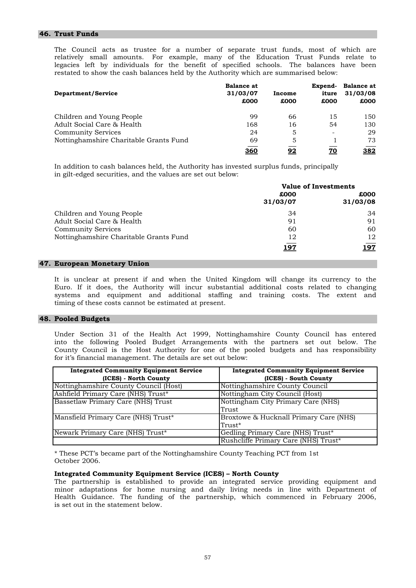# **46. Trust Funds**

restated to show the cash balances held by the Authority which are summarised below: legacies left by individuals for the benefit of specified schools. The balances have been The Council acts as trustee for a number of separate trust funds, most of which are relatively small amounts. For example, many of the Education Trust Funds relate to

| Department/Service                     | <b>Balance at</b><br>31/03/07<br>£000 | Income<br>£000 | Expend-<br>iture<br>£000 | <b>Balance at</b><br>31/03/08<br>£000 |
|----------------------------------------|---------------------------------------|----------------|--------------------------|---------------------------------------|
| Children and Young People              | 99                                    | 66             | 15                       | 150                                   |
| Adult Social Care & Health             | 168                                   | 16             | 54                       | 130                                   |
| <b>Community Services</b>              | 24                                    | 5              | $\overline{\phantom{a}}$ | 29                                    |
| Nottinghamshire Charitable Grants Fund | 69                                    | 5              |                          | 73                                    |
|                                        | <u>360</u>                            | 92             | <u>70</u>                | <u>382</u>                            |

In addition to cash balances held, the Authority has invested surplus funds, principally in gilt-edged securities, and the values are set out below:

|                                        | <b>Value of Investments</b> |          |
|----------------------------------------|-----------------------------|----------|
|                                        | £000                        | £000     |
|                                        | 31/03/07                    | 31/03/08 |
| Children and Young People              | 34                          | 34       |
| Adult Social Care & Health             | 91                          | 91       |
| <b>Community Services</b>              | 60                          | 60       |
| Nottinghamshire Charitable Grants Fund | 12                          | 12       |
|                                        | 197                         | !97      |

#### **47. European Monetary Union**

timing of these costs cannot be estimated at present. It is unclear at present if and when the United Kingdom will change its currency to the Euro. If it does, the Authority will incur substantial additional costs related to changing systems and equipment and additional staffing and training costs. The extent and

#### **48. Pooled Budgets**

for it's financial management. The details are set out below: Under Section 31 of the Health Act 1999, Nottinghamshire County Council has entered into the following Pooled Budget Arrangements with the partners set out below. The County Council is the Host Authority for one of the pooled budgets and has responsibility

| <b>Integrated Community Equipment Service</b> | <b>Integrated Community Equipment Service</b> |
|-----------------------------------------------|-----------------------------------------------|
| (ICES) - North County                         | (ICES) - South County                         |
| Nottinghamshire County Council (Host)         | Nottinghamshire County Council                |
| Ashfield Primary Care (NHS) Trust*            | Nottingham City Council (Host)                |
| Bassetlaw Primary Care (NHS) Trust            | Nottingham City Primary Care (NHS)            |
|                                               | Trust                                         |
| Mansfield Primary Care (NHS) Trust*           | Broxtowe & Hucknall Primary Care (NHS)        |
|                                               | Trust*                                        |
| Newark Primary Care (NHS) Trust*              | Gedling Primary Care (NHS) Trust*             |
|                                               | Rushcliffe Primary Care (NHS) Trust*          |

\* These PCT's became part of the Nottinghamshire County Teaching PCT from 1st October 2006.

#### **Integrated Community Equipment Service (ICES) – North County**

is set out in the statement below. minor adaptations for home nursing and daily living needs in line with Department of Health Guidance. The funding of the partnership, which commenced in February 2006, The partnership is established to provide an integrated service providing equipment and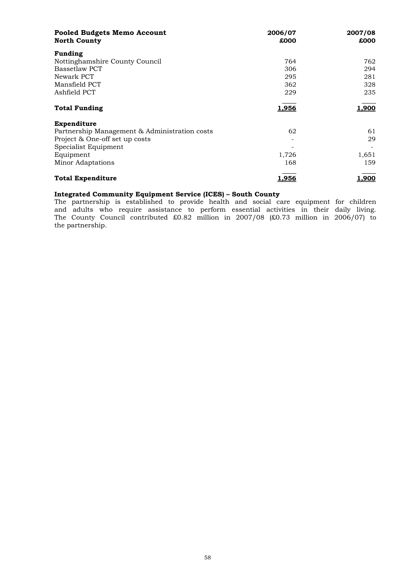| <b>Pooled Budgets Memo Account</b><br><b>North County</b> | 2006/07<br>£000 | 2007/08<br>£000 |
|-----------------------------------------------------------|-----------------|-----------------|
| Funding                                                   |                 |                 |
| Nottinghamshire County Council                            | 764             | 762             |
| Bassetlaw PCT                                             | 306             | 294             |
| Newark PCT                                                | 295             | 281             |
| Mansfield PCT                                             | 362             | 328             |
| Ashfield PCT                                              | 229             | 235             |
| <b>Total Funding</b>                                      | 1,956           | 1,900           |
| Expenditure                                               |                 |                 |
| Partnership Management & Administration costs             | 62              | 61              |
| Project & One-off set up costs                            |                 | 29              |
| Specialist Equipment                                      |                 |                 |
| Equipment                                                 | 1,726           | 1,651           |
| Minor Adaptations                                         | 168             | 159             |
| <b>Total Expenditure</b>                                  | 1,956           | 1,900           |

# **Integrated Community Equipment Service (ICES) – South County**

the partnership. and adults who require assistance to perform essential activities in their daily living. The County Council contributed £0.82 million in 2007/08 (£0.73 million in 2006/07) to The partnership is established to provide health and social care equipment for children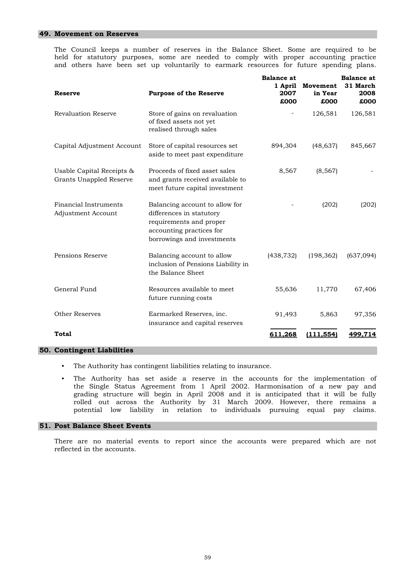#### **49. Movement on Reserves**

The Council keeps a number of reserves in the Balance Sheet. Some are required to be held for statutory purposes, some are needed to comply with proper accounting practice and others have been set up voluntarily to earmark resources for future spending plans.

| <b>Reserve</b>                                       |                                                                                                                                                 | <b>Balance</b> at<br>1 April<br>2007 | Movement<br>in Year | <b>Balance</b> at<br>31 March<br>2008 |
|------------------------------------------------------|-------------------------------------------------------------------------------------------------------------------------------------------------|--------------------------------------|---------------------|---------------------------------------|
|                                                      | <b>Purpose of the Reserve</b>                                                                                                                   | £000                                 | £000                | £000                                  |
| <b>Revaluation Reserve</b>                           | Store of gains on revaluation<br>of fixed assets not yet<br>realised through sales                                                              |                                      | 126,581             | 126,581                               |
| Capital Adjustment Account                           | Store of capital resources set<br>aside to meet past expenditure                                                                                | 894,304                              | (48, 637)           | 845,667                               |
| Usable Capital Receipts &<br>Grants Unappled Reserve | Proceeds of fixed asset sales<br>and grants received available to<br>meet future capital investment                                             | 8,567                                | (8, 567)            |                                       |
| Financial Instruments<br>Adjustment Account          | Balancing account to allow for<br>differences in statutory<br>requirements and proper<br>accounting practices for<br>borrowings and investments |                                      | (202)               | (202)                                 |
| Pensions Reserve                                     | Balancing account to allow<br>inclusion of Pensions Liability in<br>the Balance Sheet                                                           | (438, 732)                           | (198, 362)          | (637,094)                             |
| General Fund                                         | Resources available to meet<br>future running costs                                                                                             | 55,636                               | 11,770              | 67,406                                |
| <b>Other Reserves</b>                                | Earmarked Reserves, inc.<br>insurance and capital reserves                                                                                      | 91,493                               | 5,863               | 97,356                                |
| Total                                                |                                                                                                                                                 | 611,268                              | (111, 554)          | 499.714                               |

# **50. Contingent Liabilities**

- The Authority has contingent liabilities relating to insurance.
- potential low liability in relation to individuals pursuing equal pay claims. The Authority has set aside a reserve in the accounts for the implementation of the Single Status Agreement from 1 April 2002. Harmonisation of a new pay and grading structure will begin in April 2008 and it is anticipated that it will be fully rolled out across the Authority by 31 March 2009. However, there remains a

#### **51. Post Balance Sheet Events**

reflected in the accounts. There are no material events to report since the accounts were prepared which are not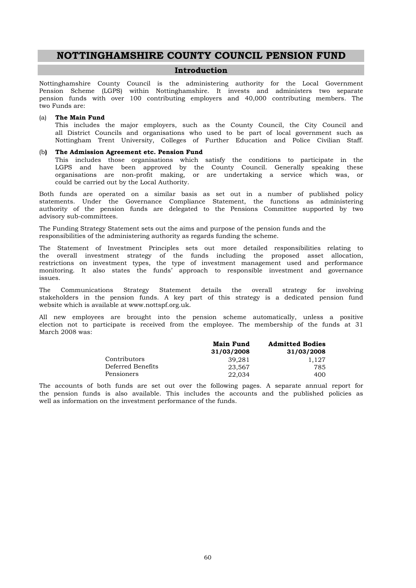# **NOTTINGHAMSHIRE COUNTY COUNCIL PENSION FUND**

# **Introduction**

two Funds are: Nottinghamshire County Council is the administering authority for the Local Government Pension Scheme (LGPS) within Nottinghamshire. It invests and administers two separate pension funds with over 100 contributing employers and 40,000 contributing members. The

#### (a) **The Main Fund**

This includes the major employers, such as the County Council, the City Council and all District Councils and organisations who used to be part of local government such as Nottingham Trent University, Colleges of Further Education and Police Civilian Staff.

# (b**) The Admission Agreement etc. Pension Fund**

could be carried out by the Local Authority. LGPS and have been approved by the County Council. Generally speaking these organisations are non-profit making, or are undertaking a service which was, or This includes those organisations which satisfy the conditions to participate in the

advisory sub-committees. authority of the pension funds are delegated to the Pensions Committee supported by two Both funds are operated on a similar basis as set out in a number of published policy statements. Under the Governance Compliance Statement, the functions as administering

The Funding Strategy Statement sets out the aims and purpose of the pension funds and the responsibilities of the administering authority as regards funding the scheme.

issues. monitoring. It also states the funds' approach to responsible investment and governance The Statement of Investment Principles sets out more detailed responsibilities relating to the overall investment strategy of the funds including the proposed asset allocation, restrictions on investment types, the type of investment management used and performance

website which is available at www.nottspf.org.uk. The Communications Strategy Statement details the overall strategy for involving stakeholders in the pension funds. A key part of this strategy is a dedicated pension fund

March 2008 was: election not to participate is received from the employee. The membership of the funds at 31 All new employees are brought into the pension scheme automatically, unless a positive

|                   | <b>Main Fund</b> | <b>Admitted Bodies</b> |
|-------------------|------------------|------------------------|
|                   | 31/03/2008       | 31/03/2008             |
| Contributors      | 39.281           | 1.127                  |
| Deferred Benefits | 23.567           | 785                    |
| Pensioners        | 22,034           | 400                    |

well as information on the investment performance of the funds. The accounts of both funds are set out over the following pages. A separate annual report for the pension funds is also available. This includes the accounts and the published policies as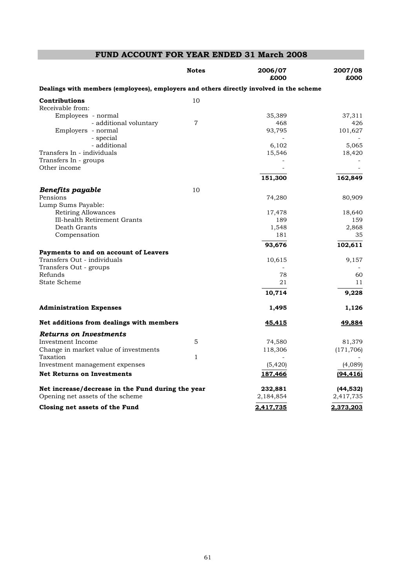# **FUND ACCOUNT FOR YEAR ENDED 31 March 2008**

|                                                                                         | <b>Notes</b>   | 2006/07<br>£000 | 2007/08<br>£000 |
|-----------------------------------------------------------------------------------------|----------------|-----------------|-----------------|
| Dealings with members (employees), employers and others directly involved in the scheme |                |                 |                 |
| Contributions                                                                           | 10             |                 |                 |
| Receivable from:                                                                        |                |                 |                 |
| Employees - normal                                                                      |                | 35,389          | 37,311          |
| - additional voluntary                                                                  | $\overline{7}$ | 468             | 426             |
| Employers - normal                                                                      |                | 93,795          | 101,627         |
| - special                                                                               |                |                 |                 |
| - additional                                                                            |                | 6,102           | 5,065           |
| Transfers In - individuals                                                              |                | 15,546          | 18,420          |
| Transfers In - groups                                                                   |                |                 |                 |
| Other income                                                                            |                |                 |                 |
|                                                                                         |                | 151,300         | 162,849         |
| <b>Benefits payable</b>                                                                 | 10             |                 |                 |
| Pensions                                                                                |                | 74,280          | 80,909          |
| Lump Sums Payable:                                                                      |                |                 |                 |
| <b>Retiring Allowances</b>                                                              |                | 17,478          | 18,640          |
| Ill-health Retirement Grants                                                            |                | 189             | 159             |
| Death Grants                                                                            |                | 1,548           | 2,868           |
| Compensation                                                                            |                | 181             | 35              |
|                                                                                         |                | 93,676          | 102,611         |
| Payments to and on account of Leavers                                                   |                |                 |                 |
| Transfers Out - individuals                                                             |                | 10,615          | 9,157           |
| Transfers Out - groups                                                                  |                |                 |                 |
| Refunds                                                                                 |                | 78              | 60              |
| <b>State Scheme</b>                                                                     |                | 21              | 11              |
|                                                                                         |                | 10,714          | 9,228           |
| <b>Administration Expenses</b>                                                          |                | 1,495           | 1,126           |
| Net additions from dealings with members                                                |                | <u>45,415</u>   | <u>49,884</u>   |
| <b>Returns on Investments</b>                                                           |                |                 |                 |
| Investment Income                                                                       | 5              | 74,580          | 81,379          |
| Change in market value of investments                                                   |                | 118,306         | (171, 706)      |
| Taxation                                                                                | $\mathbf{1}$   |                 |                 |
| Investment management expenses                                                          |                | (5, 420)        | (4,089)         |
| <b>Net Returns on Investments</b>                                                       |                | 187,466         | (94, 416)       |
| Net increase/decrease in the Fund during the year                                       |                | 232,881         | (44, 532)       |
| Opening net assets of the scheme                                                        |                | 2,184,854       | 2,417,735       |
| Closing net assets of the Fund                                                          |                | 2,417,735       | 2,373,203       |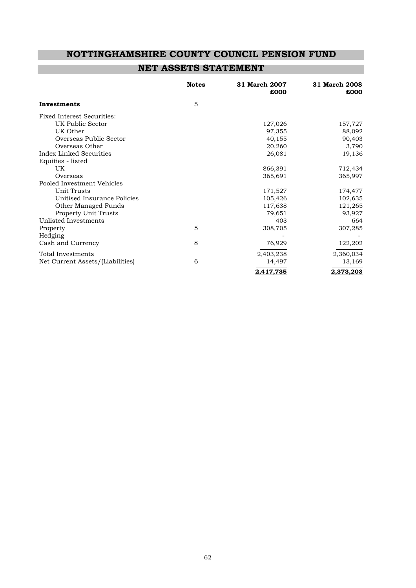# **NOTTINGHAMSHIRE COUNTY COUNCIL PENSION FUND**

# **NET ASSETS STATEMENT**

|                                   | <b>Notes</b> | 31 March 2007<br>£000 | 31 March 2008<br>£000 |
|-----------------------------------|--------------|-----------------------|-----------------------|
| Investments                       | 5            |                       |                       |
| <b>Fixed Interest Securities:</b> |              |                       |                       |
| UK Public Sector                  |              | 127,026               | 157,727               |
| UK Other                          |              | 97,355                | 88,092                |
| Overseas Public Sector            |              | 40,155                | 90,403                |
| Overseas Other                    |              | 20,260                | 3,790                 |
| Index Linked Securities           |              | 26,081                | 19,136                |
| Equities - listed                 |              |                       |                       |
| UK                                |              | 866,391               | 712,434               |
| Overseas                          |              | 365,691               | 365,997               |
| Pooled Investment Vehicles        |              |                       |                       |
| Unit Trusts                       |              | 171,527               | 174,477               |
| Unitised Insurance Policies       |              | 105,426               | 102,635               |
| Other Managed Funds               |              | 117,638               | 121,265               |
| <b>Property Unit Trusts</b>       |              | 79,651                | 93,927                |
| Unlisted Investments              |              | 403                   | 664                   |
| Property                          | 5            | 308,705               | 307,285               |
| Hedging                           |              |                       |                       |
| Cash and Currency                 | 8            | 76,929                | 122,202               |
| Total Investments                 |              | 2,403,238             | 2,360,034             |
| Net Current Assets/(Liabilities)  | 6            | 14,497                | 13,169                |
|                                   |              | 2.417.735             | 2.373.203             |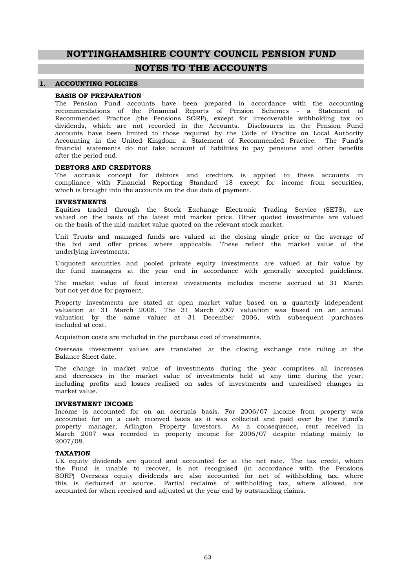# **NOTTINGHAMSHIRE COUNTY COUNCIL PENSION FUND**

# **NOTES TO THE ACCOUNTS**

#### **1. ACCOUNTING POLICIES**

#### **BASIS OF PREPARATION**

after the period end. dividends, which are not recorded in the Accounts. Disclosures in the Pension Fund accounts have been limited to those required by the Code of Practice on Local Authority Accounting in the United Kingdom: a Statement of Recommended Practice. The Fund's financial statements do not take account of liabilities to pay pensions and other benefits recommendations of the Financial Reports of Pension Schemes - a Statement of Recommended Practice (the Pensions SORP), except for irrecoverable withholding tax on The Pension Fund accounts have been prepared in accordance with the accounting

#### **DEBTORS AND CREDITORS**

which is brought into the accounts on the due date of payment. The accruals concept for debtors and creditors is applied to these accounts in compliance with Financial Reporting Standard 18 except for income from securities,

#### **INVESTMENTS**

on the basis of the mid-market value quoted on the relevant stock market. Equities traded through the Stock Exchange Electronic Trading Service (SETS), are valued on the basis of the latest mid market price. Other quoted investments are valued

underlying investments. Unit Trusts and managed funds are valued at the closing single price or the average of the bid and offer prices where applicable. These reflect the market value of the

Unquoted securities and pooled private equity investments are valued at fair value by the fund managers at the year end in accordance with generally accepted guidelines.

but not yet due for payment. The market value of fixed interest investments includes income accrued at 31 March

included at cost. Property investments are stated at open market value based on a quarterly independent valuation at 31 March 2008. The 31 March 2007 valuation was based on an annual valuation by the same valuer at 31 December 2006, with subsequent purchases

Acquisition costs are included in the purchase cost of investments.

Balance Sheet date. Overseas investment values are translated at the closing exchange rate ruling at the

market value. The change in market value of investments during the year comprises all increases and decreases in the market value of investments held at any time during the year, including profits and losses realised on sales of investments and unrealised changes in

#### **INVESTMENT INCOME**

2007/08. Income is accounted for on an accruals basis. For 2006/07 income from property was accounted for on a cash received basis as it was collected and paid over by the Fund's property manager, Arlington Property Investors. As a consequence, rent received in March 2007 was recorded in property income for 2006/07 despite relating mainly to

#### **TAXATION**

accounted for when received and adjusted at the year end by outstanding claims. UK equity dividends are quoted and accounted for at the net rate. The tax credit, which the Fund is unable to recover, is not recognised (in accordance with the Pensions SORP) Overseas equity dividends are also accounted for net of withholding tax, where this is deducted at source. Partial reclaims of withholding tax, where allowed, are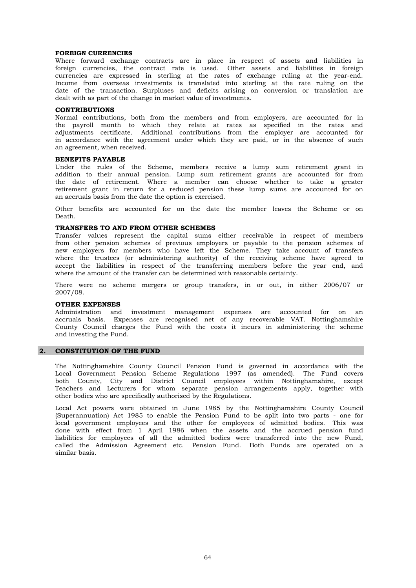#### **FOREIGN CURRENCIES**

dealt with as part of the change in market value of investments. date of the transaction. Surpluses and deficits arising on conversion or translation are Where forward exchange contracts are in place in respect of assets and liabilities in foreign currencies, the contract rate is used. Other assets and liabilities in foreign currencies are expressed in sterling at the rates of exchange ruling at the year-end. Income from overseas investments is translated into sterling at the rate ruling on the

#### **CONTRIBUTIONS**

an agreement, when received. in accordance with the agreement under which they are paid, or in the absence of such Normal contributions, both from the members and from employers, are accounted for in the payroll month to which they relate at rates as specified in the rates and adjustments certificate. Additional contributions from the employer are accounted for

#### **BENEFITS PAYABLE**

an accruals basis from the date the option is exercised. retirement grant in return for a reduced pension these lump sums are accounted for on Under the rules of the Scheme, members receive a lump sum retirement grant in addition to their annual pension. Lump sum retirement grants are accounted for from the date of retirement. Where a member can choose whether to take a greater

Death. Other benefits are accounted for on the date the member leaves the Scheme or on

#### **TRANSFERS TO AND FROM OTHER SCHEMES**

where the amount of the transfer can be determined with reasonable certainty. new employers for members who have left the Scheme. They take account of transfers where the trustees (or administering authority) of the receiving scheme have agreed to accept the liabilities in respect of the transferring members before the year end, and Transfer values represent the capital sums either receivable in respect of members from other pension schemes of previous employers or payable to the pension schemes of

2007/08. There were no scheme mergers or group transfers, in or out, in either 2006/07 or

#### **OTHER EXPENSES**

and investing the Fund. County Council charges the Fund with the costs it incurs in administering the scheme accruals basis. Expenses are recognised net of any recoverable VAT. Nottinghamshire Administration and investment management expenses are accounted for on an

#### **2. CONSTITUTION OF THE FUND**

other bodies who are specifically authorised by the Regulations. both County, City and District Council employees within Nottinghamshire, except Teachers and Lecturers for whom separate pension arrangements apply, together with The Nottinghamshire County Council Pension Fund is governed in accordance with the Local Government Pension Scheme Regulations 1997 (as amended). The Fund covers

similar basis. local government employees and the other for employees of admitted bodies. This was done with effect from 1 April 1986 when the assets and the accrued pension fund liabilities for employees of all the admitted bodies were transferred into the new Fund, called the Admission Agreement etc. Pension Fund. Both Funds are operated on a Local Act powers were obtained in June 1985 by the Nottinghamshire County Council (Superannuation) Act 1985 to enable the Pension Fund to be split into two parts - one for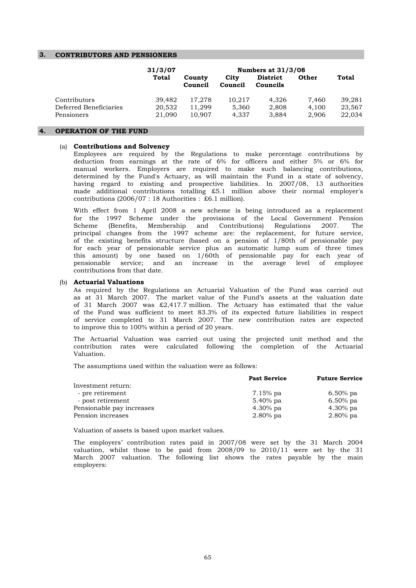#### **3. CONTRIBUTORS AND PENSIONERS**

|                        | 31/3/07 |                   |                 | Numbers at 31/3/08          |              |        |
|------------------------|---------|-------------------|-----------------|-----------------------------|--------------|--------|
|                        | Total   | County<br>Council | City<br>Council | <b>District</b><br>Councils | <b>Other</b> | Total  |
| Contributors           | 39,482  | 17.278            | 10.217          | 4.326                       | 7.460        | 39,281 |
| Deferred Beneficiaries | 20,532  | 11.299            | 5.360           | 2.808                       | 4.100        | 23,567 |
| Pensioners             | 21,090  | 10.907            | 4.337           | 3.884                       | 2.906        | 22,034 |

## **4. OPERATION OF THE FUND**

#### (a) **Contributions and Solvency**

contributions (2006/07 : 18 Authorities : £6.1 million). made additional contributions totalling £5.1 million above their normal employer's determined by the Fund's Actuary, as will maintain the Fund in a state of solvency, having regard to existing and prospective liabilities. In 2007/08, 13 authorities Employees are required by the Regulations to make percentage contributions by deduction from earnings at the rate of 6% for officers and either 5% or 6% for manual workers. Employers are required to make such balancing contributions,

contributions from that date. pensionable service; and an increase in the average level of employee principal changes from the 1997 scheme are: the replacement, for future service, of the existing benefits structure (based on a pension of 1/80th of pensionable pay for each year of pensionable service plus an automatic lump sum of three times this amount) by one based on 1/60th of pensionable pay for each year of With effect from 1 April 2008 a new scheme is being introduced as a replacement for the 1997 Scheme under the provisions of the Local Government Pension Scheme (Benefits, Membership and Contributions) Regulations 2007. The

#### (b) **Actuarial Valuations**

to improve this to 100% within a period of 20 years. of the Fund was sufficient to meet 83.3% of its expected future liabilities in respect of service completed to 31 March 2007. The new contribution rates are expected As required by the Regulations an Actuarial Valuation of the Fund was carried out as at 31 March 2007. The market value of the Fund's assets at the valuation date of 31 March 2007 was £2,417.7 million. The Actuary has estimated that the value

Valuation. The Actuarial Valuation was carried out using the projected unit method and the contribution rates were calculated following the completion of the Actuarial

The assumptions used within the valuation were as follows:

|                           | <b>Past Service</b> | <b>Future Service</b> |
|---------------------------|---------------------|-----------------------|
| Investment return:        |                     |                       |
| - pre retirement          | 7.15% pa            | $6.50\%$ pa           |
| - post retirement         | 5.40% pa            | $6.50\%$ pa           |
| Pensionable pay increases | $4.30\%$ pa         | $4.30\%$ pa           |
| Pension increases         | $2.80\%$ pa         | $2.80\%$ pa           |

Valuation of assets is based upon market values.

employers: The employers' contribution rates paid in 2007/08 were set by the 31 March 2004 valuation, whilst those to be paid from 2008/09 to 2010/11 were set by the 31 March 2007 valuation. The following list shows the rates payable by the main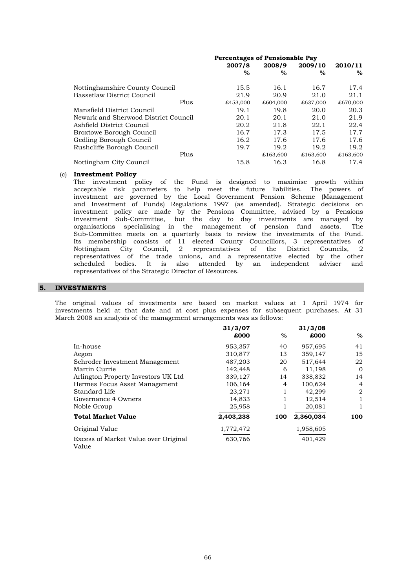|                                      | <b>Percentages of Pensionable Pay</b> |          |          |          |
|--------------------------------------|---------------------------------------|----------|----------|----------|
|                                      | 2007/8                                | 2008/9   | 2009/10  | 2010/11  |
|                                      | $\%$                                  | $\%$     | $\%$     | %        |
| Nottinghamshire County Council       | 15.5                                  | 16.1     | 16.7     | 17.4     |
| Bassetlaw District Council           | 21.9                                  | 20.9     | 21.0     | 21.1     |
| Plus                                 | £453,000                              | £604,000 | £637,000 | £670,000 |
| Mansfield District Council           | 19.1                                  | 19.8     | 20.0     | 20.3     |
| Newark and Sherwood District Council | 20.1                                  | 20.1     | 21.0     | 21.9     |
| Ashfield District Council            | 20.2                                  | 21.8     | 22.1     | 22.4     |
| Broxtowe Borough Council             | 16.7                                  | 17.3     | 17.5     | 17.7     |
| Gedling Borough Council              | 16.2                                  | 17.6     | 17.6     | 17.6     |
| Rushcliffe Borough Council           | 19.7                                  | 19.2     | 19.2     | 19.2     |
| Plus                                 |                                       | £163,600 | £163,600 | £163,600 |
| Nottingham City Council              | 15.8                                  | 16.3     | 16.8     | 17.4     |

#### (c) **Investment Policy**

representatives of the Strategic Director of Resources. Nottingham City Council, 2 representatives of the District Councils, 2 representatives of the trade unions, and a representative elected by the other scheduled bodies. It is also attended by an independent adviser and Investment Sub-Committee, but the day to day investments are managed by organisations specialising in the management of pension fund assets. The Sub-Committee meets on a quarterly basis to review the investments of the Fund. Its membership consists of 11 elected County Councillors, 3 representatives of acceptable risk parameters to help meet the future liabilities. The powers of investment are governed by the Local Government Pension Scheme (Management and Investment of Funds) Regulations 1997 (as amended). Strategic decisions on investment policy are made by the Pensions Committee, advised by a Pensions The investment policy of the Fund is designed to maximise growth within

#### **5. INVESTMENTS**

March 2008 an analysis of the management arrangements was as follows: investments held at that date and at cost plus expenses for subsequent purchases. At 31 The original values of investments are based on market values at 1 April 1974 for

|                                               | 31/3/07   |      | 31/3/08   |          |
|-----------------------------------------------|-----------|------|-----------|----------|
|                                               | £000      | $\%$ | £000      | $\%$     |
| In-house                                      | 953,357   | 40   | 957,695   | 41       |
| Aegon                                         | 310,877   | 13   | 359,147   | 15       |
| Schroder Investment Management                | 487,203   | 20   | 517,644   | 22       |
| Martin Currie                                 | 142,448   | 6    | 11,198    | $\Omega$ |
| Arlington Property Investors UK Ltd.          | 339,127   | 14   | 338,832   | 14       |
| Hermes Focus Asset Management                 | 106,164   | 4    | 100,624   | 4        |
| Standard Life                                 | 23,271    |      | 42,299    | 2        |
| Governance 4 Owners                           | 14,833    |      | 12,514    | 1        |
| Noble Group                                   | 25,958    |      | 20,081    | 1        |
| <b>Total Market Value</b>                     | 2,403,238 | 100  | 2,360,034 | 100      |
| Original Value                                | 1,772,472 |      | 1,958,605 |          |
| Excess of Market Value over Original<br>Value | 630,766   |      | 401,429   |          |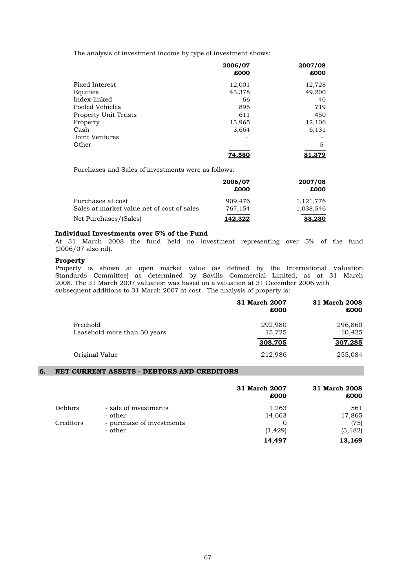The analysis of investment income by type of investment shows:

|                             | 2006/07 | 2007/08 |
|-----------------------------|---------|---------|
|                             | £000    | £000    |
| Fixed Interest              | 12,001  | 12,728  |
| Equities                    | 43,378  | 49,200  |
| Index-linked                | 66      | 40      |
| Pooled Vehicles             | 895     | 719     |
| <b>Property Unit Trusts</b> | 611     | 450     |
| Property                    | 13,965  | 12,106  |
| Cash                        | 3,664   | 6,131   |
| Joint Ventures              |         |         |
| Other                       |         | 5       |
|                             | 74,580  | 81,379  |

Purchases and Sales of investments were as follows:

|                                                                     | 2006/07<br>£000    | 2007/08<br>£000     |
|---------------------------------------------------------------------|--------------------|---------------------|
| Purchases at cost                                                   | 909.476            | 1,121,776           |
| Sales at market value net of cost of sales<br>Net Purchases/(Sales) | 767.154<br>142.322 | 1.038.546<br>83,230 |

#### **Individual Investments over 5% of the Fund**

(2006/07 also nil). At 31 March 2008 the fund held no investment representing over 5% of the fund

#### **Property**

2008. The 31 March 2007 valuation was based on a valuation at 31 December 2006 with subsequent additions to 31 March 2007 at cost. The analysis of property is: Property is shown at open market value (as defined by the International Valuation Standards Committee) as determined by Savills Commercial Limited, as at 31 March

|                                          | 31 March 2007<br>£000 | 31 March 2008<br>£000 |
|------------------------------------------|-----------------------|-----------------------|
| Freehold<br>Leasehold more than 50 years | 292,980<br>15,725     | 296,860<br>10,425     |
|                                          | 308,705               | 307.285               |
| Original Value                           | 212,986               | 255,084               |

# **6. NET CURRENT ASSETS - DEBTORS AND CREDITORS**

|                |                           | 31 March 2007<br>£000 | 31 March 2008<br>£000 |
|----------------|---------------------------|-----------------------|-----------------------|
| <b>Debtors</b> | - sale of investments     | 1,263                 | 561                   |
|                | - other                   | 14,663                | 17,865                |
| Creditors      | - purchase of investments |                       | (75)                  |
|                | - other                   | (1, 429)              | (5, 182)              |
|                |                           | L4.497                | <u>13.169</u>         |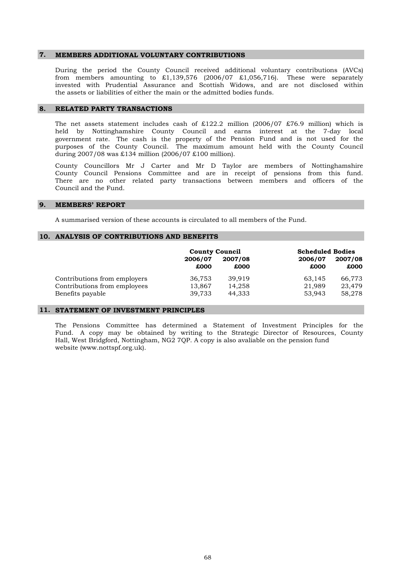#### **7. MEMBERS ADDITIONAL VOLUNTARY CONTRIBUTIONS**

the assets or liabilities of either the main or the admitted bodies funds. During the period the County Council received additional voluntary contributions (AVCs) from members amounting to  $\text{\pounds}1,139,576$  (2006/07  $\text{\pounds}1,056,716$ ). These were separately invested with Prudential Assurance and Scottish Widows, and are not disclosed within

#### **8. RELATED PARTY TRANSACTIONS**

during 2007/08 was £134 million (2006/07 £100 million). held by Nottinghamshire County Council and earns interest at the 7-day local government rate. The cash is the property of the Pension Fund and is not used for the purposes of the County Council. The maximum amount held with the County Council The net assets statement includes cash of £122.2 million (2006/07 £76.9 million) which is

Council and the Fund. County Council Pensions Committee and are in receipt of pensions from this fund. There are no other related party transactions between members and officers of the County Councillors Mr J Carter and Mr D Taylor are members of Nottinghamshire

#### **9. MEMBERS' REPORT**

A summarised version of these accounts is circulated to all members of the Fund.

#### **10. ANALYSIS OF CONTRIBUTIONS AND BENEFITS**

|                              | <b>County Council</b> |         | <b>Scheduled Bodies</b> |         |
|------------------------------|-----------------------|---------|-------------------------|---------|
|                              | 2006/07               | 2007/08 | 2006/07                 | 2007/08 |
|                              | £000                  | £000    | £000                    | £000    |
| Contributions from employers | 36,753                | 39.919  | 63,145                  | 66,773  |
| Contributions from employees | 13,867                | 14,258  | 21,989                  | 23,479  |
| Benefits payable             | 39.733                | 44.333  | 53.943                  | 58,278  |

#### **11. STATEMENT OF INVESTMENT PRINCIPLES**

Hall, West Bridgford, Nottingham, NG2 7QP. A copy is also avaliable on the pension fund website (www.nottspf.org.uk). The Pensions Committee has determined a Statement of Investment Principles for the Fund. A copy may be obtained by writing to the Strategic Director of Resources, County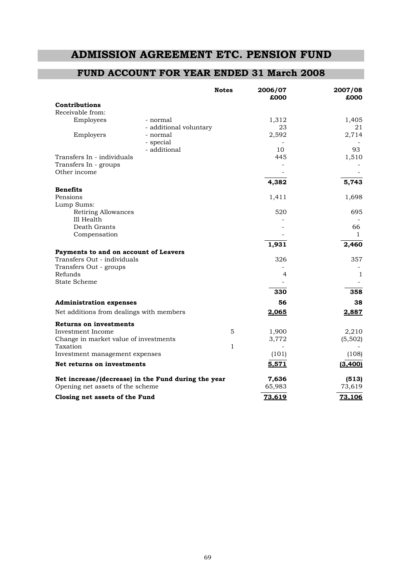# **ADMISSION AGREEMENT ETC. PENSION FUND**

# **FUND ACCOUNT FOR YEAR ENDED 31 March 2008**

|                                                     |                        | <b>Notes</b> | 2006/07<br>£000 | 2007/08<br>£000 |
|-----------------------------------------------------|------------------------|--------------|-----------------|-----------------|
| Contributions                                       |                        |              |                 |                 |
| Receivable from:                                    |                        |              |                 |                 |
| Employees                                           | - normal               |              | 1,312           | 1,405           |
|                                                     | - additional voluntary |              | 23              | 21              |
| Employers                                           | - normal               |              | 2,592           | 2,714           |
|                                                     | - special              |              |                 |                 |
|                                                     | - additional           |              | 10              | 93              |
| Transfers In - individuals                          |                        |              | 445             | 1,510           |
| Transfers In - groups                               |                        |              |                 |                 |
| Other income                                        |                        |              |                 |                 |
|                                                     |                        |              | 4,382           | 5,743           |
| <b>Benefits</b><br>Pensions                         |                        |              |                 |                 |
| Lump Sums:                                          |                        |              | 1,411           | 1,698           |
| Retiring Allowances                                 |                        |              | 520             | 695             |
| Ill Health                                          |                        |              |                 |                 |
| Death Grants                                        |                        |              |                 | 66              |
| Compensation                                        |                        |              |                 | $\mathbf{1}$    |
|                                                     |                        |              | 1,931           | 2,460           |
| Payments to and on account of Leavers               |                        |              |                 |                 |
| Transfers Out - individuals                         |                        |              | 326             | 357             |
| Transfers Out - groups                              |                        |              |                 |                 |
| Refunds                                             |                        |              | 4               | 1               |
| <b>State Scheme</b>                                 |                        |              |                 |                 |
|                                                     |                        |              | 330             | 358             |
| <b>Administration expenses</b>                      |                        |              | 56              | 38              |
| Net additions from dealings with members            |                        |              | 2,065           | 2,887           |
| <b>Returns on investments</b>                       |                        |              |                 |                 |
| Investment Income                                   |                        | 5            | 1,900           | 2,210           |
| Change in market value of investments               |                        |              | 3,772           | (5,502)         |
| Taxation                                            |                        | $\mathbf{1}$ |                 |                 |
| Investment management expenses                      |                        |              | (101)           | (108)           |
| Net returns on investments                          |                        |              | 5,571           | (3, 400)        |
| Net increase/(decrease) in the Fund during the year |                        |              | 7,636           | (513)           |
| Opening net assets of the scheme                    |                        |              | 65,983          | 73,619          |
| Closing net assets of the Fund                      |                        |              | 73,619          | 73.106          |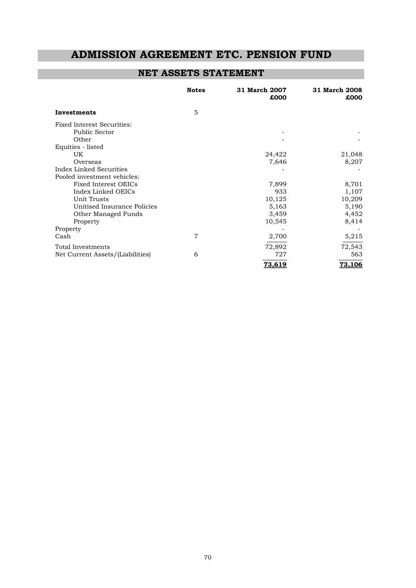# **ADMISSION AGREEMENT ETC. PENSION FUND**

# **NET ASSETS STATEMENT**

|                                   | <b>Notes</b>   | 31 March 2007<br>£000 | 31 March 2008<br>£000 |
|-----------------------------------|----------------|-----------------------|-----------------------|
| Investments                       | 5              |                       |                       |
| <b>Fixed Interest Securities:</b> |                |                       |                       |
| Public Sector                     |                |                       |                       |
| Other                             |                |                       |                       |
| Equities - listed                 |                |                       |                       |
| UK                                |                | 24,422                | 21,048                |
| Overseas                          |                | 7,646                 | 8,207                 |
| Index Linked Securities           |                |                       |                       |
| Pooled investment vehicles:       |                |                       |                       |
| <b>Fixed Interest OEICs</b>       |                | 7,899                 | 8,701                 |
| Index Linked OEICs                |                | 933                   | 1,107                 |
| Unit Trusts                       |                | 10,125                | 10,209                |
| Unitised Insurance Policies       |                | 5,163                 | 5,190                 |
| Other Managed Funds               |                | 3,459                 | 4,452                 |
| Property                          |                | 10,545                | 8,414                 |
| Property                          |                |                       |                       |
| Cash                              | $\overline{7}$ | 2,700                 | 5,215                 |
| Total Investments                 |                | 72,892                | 72,543                |
| Net Current Assets/(Liabilities)  | 6              | 727                   | 563                   |
|                                   |                | <u>73.619</u>         | 73,106                |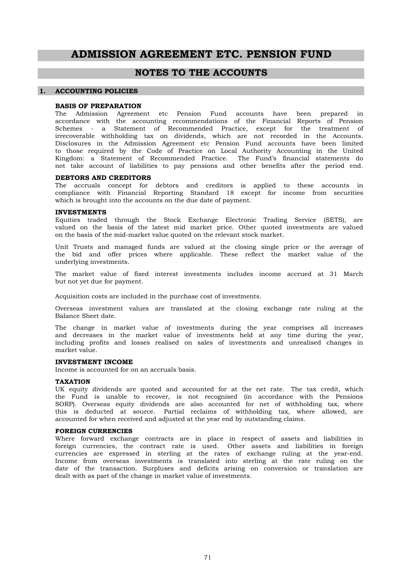# **ADMISSION AGREEMENT ETC. PENSION FUND**

# **NOTES TO THE ACCOUNTS**

#### **1. ACCOUNTING POLICIES**

#### **BASIS OF PREPARATION**

Kingdom: a Statement of Recommended Practice. The Fund's financial statements do not take account of liabilities to pay pensions and other benefits after the period end. Schemes - a Statement of Recommended Practice, except for the treatment of irrecoverable withholding tax on dividends, which are not recorded in the Accounts. Disclosures in the Admission Agreement etc Pension Fund accounts have been limited to those required by the Code of Practice on Local Authority Accounting in the United The Admission Agreement etc Pension Fund accounts have been prepared in accordance with the accounting recommendations of the Financial Reports of Pension

#### **DEBTORS AND CREDITORS**

which is brought into the accounts on the due date of payment. The accruals concept for debtors and creditors is applied to these accounts in compliance with Financial Reporting Standard 18 except for income from securities

#### **INVESTMENTS**

on the basis of the mid-market value quoted on the relevant stock market. Equities traded through the Stock Exchange Electronic Trading Service (SETS), are valued on the basis of the latest mid market price. Other quoted investments are valued

underlying investments. Unit Trusts and managed funds are valued at the closing single price or the average of the bid and offer prices where applicable. These reflect the market value of the

but not yet due for payment. The market value of fixed interest investments includes income accrued at 31 March

Acquisition costs are included in the purchase cost of investments.

Balance Sheet date. Overseas investment values are translated at the closing exchange rate ruling at the

market value. including profits and losses realised on sales of investments and unrealised changes in The change in market value of investments during the year comprises all increases and decreases in the market value of investments held at any time during the year,

#### **INVESTMENT INCOME**

Income is accounted for on an accruals basis.

#### **TAXATION**

accounted for when received and adjusted at the year end by outstanding claims. this is deducted at source. Partial reclaims of withholding tax, where allowed, are UK equity dividends are quoted and accounted for at the net rate. The tax credit, which the Fund is unable to recover, is not recognised (in accordance with the Pensions SORP). Overseas equity dividends are also accounted for net of withholding tax, where

#### **FOREIGN CURRENCIES**

dealt with as part of the change in market value of investments. Income from overseas investments is translated into sterling at the rate ruling on the date of the transaction. Surpluses and deficits arising on conversion or translation are Where forward exchange contracts are in place in respect of assets and liabilities in foreign currencies, the contract rate is used. Other assets and liabilities in foreign currencies are expressed in sterling at the rates of exchange ruling at the year-end.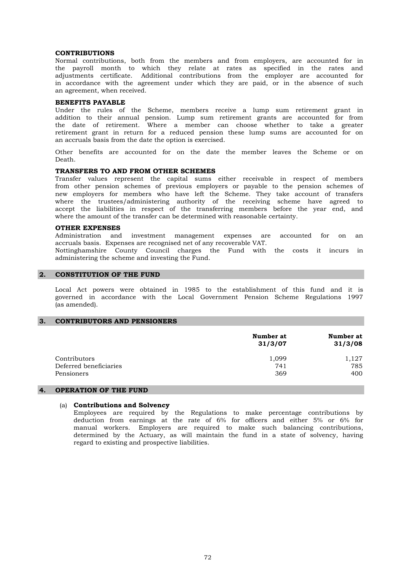## **CONTRIBUTIONS**

an agreement, when received. adjustments certificate. Additional contributions from the employer are accounted for in accordance with the agreement under which they are paid, or in the absence of such Normal contributions, both from the members and from employers, are accounted for in the payroll month to which they relate at rates as specified in the rates and

#### **BENEFITS PAYABLE**

an accruals basis from the date the option is exercised. the date of retirement. Where a member can choose whether to take a greater retirement grant in return for a reduced pension these lump sums are accounted for on Under the rules of the Scheme, members receive a lump sum retirement grant in addition to their annual pension. Lump sum retirement grants are accounted for from

Death. Other benefits are accounted for on the date the member leaves the Scheme or on

# **TRANSFERS TO AND FROM OTHER SCHEMES**

where the amount of the transfer can be determined with reasonable certainty. from other pension schemes of previous employers or payable to the pension schemes of new employers for members who have left the Scheme. They take account of transfers where the trustees/administering authority of the receiving scheme have agreed to accept the liabilities in respect of the transferring members before the year end, and Transfer values represent the capital sums either receivable in respect of members

## **OTHER EXPENSES**

accruals basis. Expenses are recognised net of any recoverable VAT. Administration and investment management expenses are accounted for on an

administering the scheme and investing the Fund. Nottinghamshire County Council charges the Fund with the costs it incurs in

#### **2. CONSTITUTION OF THE FUND**

(as amended). Local Act powers were obtained in 1985 to the establishment of this fund and it is governed in accordance with the Local Government Pension Scheme Regulations 1997

#### **3. CONTRIBUTORS AND PENSIONERS**

|                        | Number at<br>31/3/07 | Number at<br>31/3/08 |
|------------------------|----------------------|----------------------|
| Contributors           | 1,099                | 1,127                |
| Deferred beneficiaries | 741                  | 785                  |
| Pensioners             | 369                  | 400                  |

# **4. OPERATION OF THE FUND**

#### (a) **Contributions and Solvency**

regard to existing and prospective liabilities. Employees are required by the Regulations to make percentage contributions by deduction from earnings at the rate of 6% for officers and either 5% or 6% for manual workers. Employers are required to make such balancing contributions, determined by the Actuary, as will maintain the fund in a state of solvency, having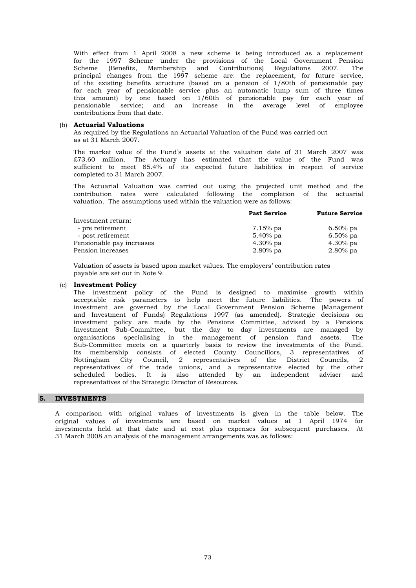contributions from that date. of the existing benefits structure (based on a pension of 1/80th of pensionable pay for each year of pensionable service plus an automatic lump sum of three times this amount) by one based on 1/60th of pensionable pay for each year of pensionable service; and an increase in the average level of employee With effect from 1 April 2008 a new scheme is being introduced as a replacement for the 1997 Scheme under the provisions of the Local Government Pension Scheme (Benefits, Membership and Contributions) Regulations 2007. The principal changes from the 1997 scheme are: the replacement, for future service,

## (b) **Actuarial Valuations**

As required by the Regulations an Actuarial Valuation of the Fund was carried out as at 31 March 2007.

completed to 31 March 2007. The market value of the Fund's assets at the valuation date of 31 March 2007 was £73.60 million. The Actuary has estimated that the value of the Fund was sufficient to meet 85.4% of its expected future liabilities in respect of service

valuation. The assumptions used within the valuation were as follows: contribution rates were calculated following the completion of the actuarial The Actuarial Valuation was carried out using the projected unit method and the

|                           | <b>Past Service</b> | <b>Future Service</b> |
|---------------------------|---------------------|-----------------------|
| Investment return:        |                     |                       |
| - pre retirement          | 7.15% pa            | $6.50\%$ pa           |
| - post retirement         | 5.40% pa            | $6.50\%$ pa           |
| Pensionable pay increases | $4.30\%$ pa         | $4.30\%$ pa           |
| Pension increases         | $2.80\%$ pa         | $2.80\%$ pa           |
|                           |                     |                       |

Valuation of assets is based upon market values. The employers' contribution rates payable are set out in Note 9.

# (c) **Investment Policy**

representatives of the Strategic Director of Resources. scheduled bodies. It is also attended by an independent adviser and Sub-Committee meets on a quarterly basis to review the investments of the Fund. Its membership consists of elected County Councillors, 3 representatives of Nottingham City Council, 2 representatives of the District Councils, 2 representatives of the trade unions, and a representative elected by the other and Investment of Funds) Regulations 1997 (as amended). Strategic decisions on investment policy are made by the Pensions Committee, advised by a Pensions Investment Sub-Committee, but the day to day investments are managed by organisations specialising in the management of pension fund assets. The The investment policy of the Fund is designed to maximise growth within acceptable risk parameters to help meet the future liabilities. The powers of investment are governed by the Local Government Pension Scheme (Management

# **5. INVESTMENTS**

31 March 2008 an analysis of the management arrangements was as follows: A comparison with original values of investments is given in the table below. The original values of investments are based on market values at 1 April 1974 for investments held at that date and at cost plus expenses for subsequent purchases. At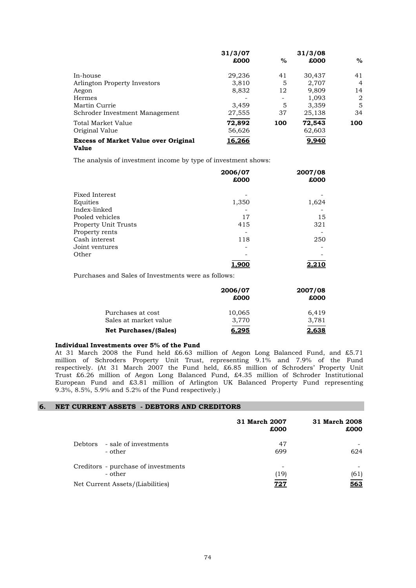|                                                      | 31/3/07 |      | 31/3/08 |                |
|------------------------------------------------------|---------|------|---------|----------------|
|                                                      | £000    | $\%$ | £000    | %              |
| In-house                                             | 29,236  | 41   | 30,437  | 41             |
| Arlington Property Investors                         | 3.810   | 5    | 2,707   | $\overline{4}$ |
| Aegon                                                | 8,832   | 12   | 9,809   | 14             |
| Hermes                                               |         |      | 1,093   | 2              |
| Martin Currie                                        | 3,459   | 5    | 3,359   | 5              |
| Schroder Investment Management                       | 27,555  | 37   | 25,138  | 34             |
| Total Market Value                                   | 72,892  | 100  | 72,543  | 100            |
| Original Value                                       | 56,626  |      | 62,603  |                |
| <b>Excess of Market Value over Original</b><br>Value | 16,266  |      | 9,940   |                |

The analysis of investment income by type of investment shows:

|                             | 2006/07 | 2007/08 |
|-----------------------------|---------|---------|
|                             | £000    | £000    |
| Fixed Interest              |         |         |
| Equities                    | 1,350   | 1,624   |
| Index-linked                |         |         |
| Pooled vehicles             | 17      | 15      |
| <b>Property Unit Trusts</b> | 415     | 321     |
| Property rents              |         |         |
| Cash interest               | 118     | 250     |
| Joint ventures              |         |         |
| Other                       |         |         |
|                             | 1,900   | 2,210   |

Purchases and Sales of Investments were as follows:

|                              | 2006/07<br>£000 | 2007/08<br>£000 |
|------------------------------|-----------------|-----------------|
| Purchases at cost            | 10,065          | 6.419           |
| Sales at market value        | 3.770           | 3,781           |
| <b>Net Purchases/(Sales)</b> | 6,295           | 2.638           |

# **Individual Investments over 5% of the Fund**

9.3%, 8.5%, 5.9% and 5.2% of the Fund respectively.) European Fund and £3.81 million of Arlington UK Balanced Property Fund representing At 31 March 2008 the Fund held £6.63 million of Aegon Long Balanced Fund, and £5.71 million of Schroders Property Unit Trust, representing 9.1% and 7.9% of the Fund respectively. (At 31 March 2007 the Fund held, £6.85 million of Schroders' Property Unit Trust £6.26 million of Aegon Long Balanced Fund, £4.35 million of Schroder Institutional

# **6. NET CURRENT ASSETS - DEBTORS AND CREDITORS**

|                                                | 31 March 2007<br>£000 | 31 March 2008<br>£000 |
|------------------------------------------------|-----------------------|-----------------------|
| - sale of investments<br>Debtors<br>- other    | 47<br>699             | 624                   |
| Creditors - purchase of investments<br>- other | -<br>(19)             | (61)                  |
| Net Current Assets/(Liabilities)               | 727                   | 563                   |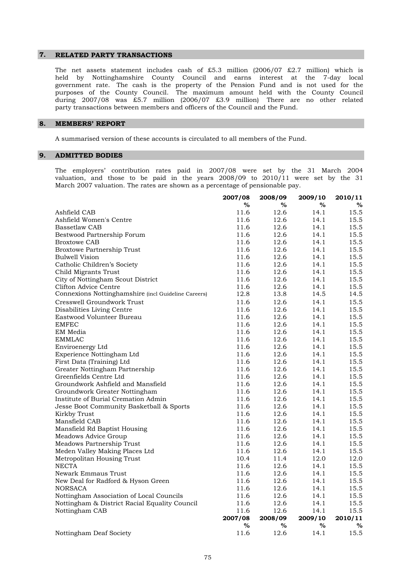#### **7. RELATED PARTY TRANSACTIONS**

party transactions between members and officers of the Council and the Fund. purposes of the County Council. The maximum amount held with the County Council during 2007/08 was £5.7 million (2006/07 £3.9 million) There are no other related The net assets statement includes cash of £5.3 million (2006/07 £2.7 million) which is held by Nottinghamshire County Council and earns interest at the 7-day local government rate. The cash is the property of the Pension Fund and is not used for the

#### **8. MEMBERS' REPORT**

A summarised version of these accounts is circulated to all members of the Fund.

# **9. ADMITTED BODIES**

March 2007 valuation. The rates are shown as a percentage of pensionable pay. The employers' contribution rates paid in 2007/08 were set by the 31 March 2004 valuation, and those to be paid in the years 2008/09 to 2010/11 were set by the 31

|                                                     | 2007/08 | 2008/09 | 2009/10 | 2010/11 |
|-----------------------------------------------------|---------|---------|---------|---------|
|                                                     | $\%$    | %       | %       | %       |
| Ashfield CAB                                        | 11.6    | 12.6    | 14.1    | 15.5    |
| Ashfield Women's Centre                             | 11.6    | 12.6    | 14.1    | 15.5    |
| <b>Bassetlaw CAB</b>                                | 11.6    | 12.6    | 14.1    | 15.5    |
| Bestwood Partnership Forum                          | 11.6    | 12.6    | 14.1    | 15.5    |
| <b>Broxtowe CAB</b>                                 | 11.6    | 12.6    | 14.1    | 15.5    |
| <b>Broxtowe Partnership Trust</b>                   | 11.6    | 12.6    | 14.1    | 15.5    |
| Bulwell Vision                                      | 11.6    | 12.6    | 14.1    | 15.5    |
| Catholic Children's Society                         | 11.6    | 12.6    | 14.1    | 15.5    |
| Child Migrants Trust                                | 11.6    | 12.6    | 14.1    | 15.5    |
| City of Nottingham Scout District                   | 11.6    | 12.6    | 14.1    | 15.5    |
| Clifton Advice Centre                               | 11.6    | 12.6    | 14.1    | 15.5    |
| Connexions Nottinghamshire (incl Guideline Careers) | 12.8    | 13.8    | 14.5    | 14.5    |
| Cresswell Groundwork Trust                          | 11.6    | 12.6    | 14.1    | 15.5    |
| Disabilities Living Centre                          | 11.6    | 12.6    | 14.1    | 15.5    |
| Eastwood Volunteer Bureau                           | 11.6    | 12.6    | 14.1    | 15.5    |
| <b>EMFEC</b>                                        | 11.6    | 12.6    | 14.1    | 15.5    |
| EM Media                                            | 11.6    | 12.6    | 14.1    | 15.5    |
| <b>EMMLAC</b>                                       | 11.6    | 12.6    | 14.1    | 15.5    |
| Enviroenergy Ltd                                    | 11.6    | 12.6    | 14.1    | 15.5    |
| Experience Nottingham Ltd                           | 11.6    | 12.6    | 14.1    | 15.5    |
| First Data (Training) Ltd                           | 11.6    | 12.6    | 14.1    | 15.5    |
| Greater Nottingham Partnership                      | 11.6    | 12.6    | 14.1    | 15.5    |
| Greenfields Centre Ltd                              | 11.6    | 12.6    | 14.1    | 15.5    |
| Groundwork Ashfield and Mansfield                   | 11.6    | 12.6    | 14.1    | 15.5    |
| Groundwork Greater Nottingham                       | 11.6    | 12.6    | 14.1    | 15.5    |
| Institute of Burial Cremation Admin                 | 11.6    | 12.6    | 14.1    | 15.5    |
| Jesse Boot Community Basketball & Sports            | 11.6    | 12.6    | 14.1    | 15.5    |
| Kirkby Trust                                        | 11.6    | 12.6    | 14.1    | 15.5    |
| Mansfield CAB                                       | 11.6    | 12.6    | 14.1    | 15.5    |
| Mansfield Rd Baptist Housing                        | 11.6    | 12.6    | 14.1    | 15.5    |
| Meadows Advice Group                                | 11.6    | 12.6    | 14.1    | 15.5    |
| Meadows Partnership Trust                           | 11.6    | 12.6    | 14.1    | 15.5    |
| Meden Valley Making Places Ltd                      | 11.6    | 12.6    | 14.1    | 15.5    |
| Metropolitan Housing Trust                          | 10.4    | 11.4    | 12.0    | 12.0    |
| <b>NECTA</b>                                        | 11.6    | 12.6    | 14.1    | 15.5    |
| Newark Emmaus Trust                                 | 11.6    | 12.6    | 14.1    | 15.5    |
| New Deal for Radford & Hyson Green                  | 11.6    | 12.6    | 14.1    | 15.5    |
| <b>NORSACA</b>                                      | 11.6    | 12.6    | 14.1    | 15.5    |
| Nottingham Association of Local Councils            | 11.6    | 12.6    | 14.1    | 15.5    |
| Nottingham & District Racial Equality Council       | 11.6    | 12.6    | 14.1    | 15.5    |
| Nottingham CAB                                      | 11.6    | 12.6    | 14.1    | 15.5    |
|                                                     | 2007/08 | 2008/09 | 2009/10 | 2010/11 |
|                                                     | $\%$    | %       | %       | %       |
| Nottingham Deaf Society                             | 11.6    | 12.6    | 14.1    | 15.5    |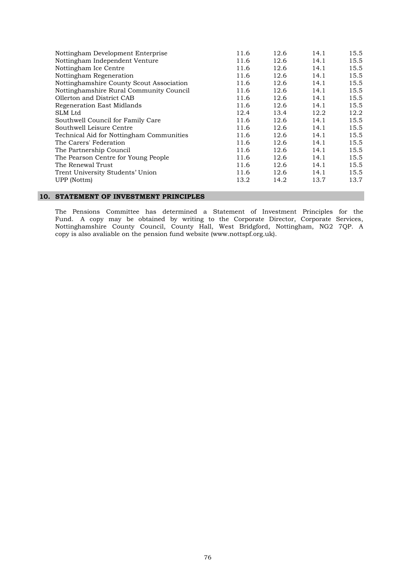| Nottingham Development Enterprise        | 11.6 | 12.6 | 14.1 | 15.5 |
|------------------------------------------|------|------|------|------|
| Nottingham Independent Venture           | 11.6 | 12.6 | 14.1 | 15.5 |
| Nottingham Ice Centre                    | 11.6 | 12.6 | 14.1 | 15.5 |
| Nottingham Regeneration                  | 11.6 | 12.6 | 14.1 | 15.5 |
| Nottinghamshire County Scout Association | 11.6 | 12.6 | 14.1 | 15.5 |
| Nottinghamshire Rural Community Council  | 11.6 | 12.6 | 14.1 | 15.5 |
| Ollerton and District CAB                | 11.6 | 12.6 | 14.1 | 15.5 |
| Regeneration East Midlands               | 11.6 | 12.6 | 14.1 | 15.5 |
| SLM Ltd                                  | 12.4 | 13.4 | 12.2 | 12.2 |
| Southwell Council for Family Care        | 11.6 | 12.6 | 14.1 | 15.5 |
| Southwell Leisure Centre                 | 11.6 | 12.6 | 14.1 | 15.5 |
| Technical Aid for Nottingham Communities | 11.6 | 12.6 | 14.1 | 15.5 |
| The Carers' Federation                   | 11.6 | 12.6 | 14.1 | 15.5 |
| The Partnership Council                  | 11.6 | 12.6 | 14.1 | 15.5 |
| The Pearson Centre for Young People      | 11.6 | 12.6 | 14.1 | 15.5 |
| The Renewal Trust                        | 11.6 | 12.6 | 14.1 | 15.5 |
| Trent University Students' Union         | 11.6 | 12.6 | 14.1 | 15.5 |
| UPP (Nottm)                              | 13.2 | 14.2 | 13.7 | 13.7 |
|                                          |      |      |      |      |

# **10. STATEMENT OF INVESTMENT PRINCIPLES**

copy is also avaliable on the pension fund website (www.nottspf.org.uk). The Pensions Committee has determined a Statement of Investment Principles for the Fund. A copy may be obtained by writing to the Corporate Director, Corporate Services, Nottinghamshire County Council, County Hall, West Bridgford, Nottingham, NG2 7QP. A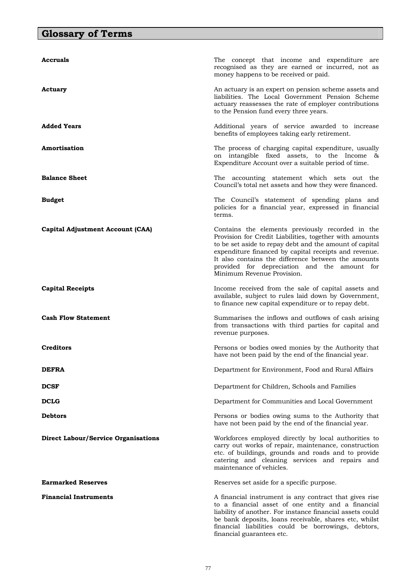# **Glossary of Terms**

| Accruals                                   | The concept that income and expenditure are<br>recognised as they are earned or incurred, not as<br>money happens to be received or paid.                                                                                                                                                                                                                            |
|--------------------------------------------|----------------------------------------------------------------------------------------------------------------------------------------------------------------------------------------------------------------------------------------------------------------------------------------------------------------------------------------------------------------------|
| Actuary                                    | An actuary is an expert on pension scheme assets and<br>liabilities. The Local Government Pension Scheme<br>actuary reassesses the rate of employer contributions<br>to the Pension fund every three years.                                                                                                                                                          |
| <b>Added Years</b>                         | Additional years of service awarded to increase<br>benefits of employees taking early retirement.                                                                                                                                                                                                                                                                    |
| Amortisation                               | The process of charging capital expenditure, usually<br>on intangible fixed assets, to the Income &<br>Expenditure Account over a suitable period of time.                                                                                                                                                                                                           |
| <b>Balance Sheet</b>                       | The accounting statement which sets out the<br>Council's total net assets and how they were financed.                                                                                                                                                                                                                                                                |
| <b>Budget</b>                              | The Council's statement of spending plans and<br>policies for a financial year, expressed in financial<br>terms.                                                                                                                                                                                                                                                     |
| <b>Capital Adjustment Account (CAA)</b>    | Contains the elements previously recorded in the<br>Provision for Credit Liabilities, together with amounts<br>to be set aside to repay debt and the amount of capital<br>expenditure financed by capital receipts and revenue.<br>It also contains the difference between the amounts<br>provided for depreciation and the amount for<br>Minimum Revenue Provision. |
| <b>Capital Receipts</b>                    | Income received from the sale of capital assets and<br>available, subject to rules laid down by Government,<br>to finance new capital expenditure or to repay debt.                                                                                                                                                                                                  |
| <b>Cash Flow Statement</b>                 | Summarises the inflows and outflows of cash arising<br>from transactions with third parties for capital and<br>revenue purposes.                                                                                                                                                                                                                                     |
| Creditors                                  | Persons or bodies owed monies by the Authority that<br>have not been paid by the end of the financial year.                                                                                                                                                                                                                                                          |
| <b>DEFRA</b>                               | Department for Environment, Food and Rural Affairs                                                                                                                                                                                                                                                                                                                   |
| <b>DCSF</b>                                | Department for Children, Schools and Families                                                                                                                                                                                                                                                                                                                        |
| <b>DCLG</b>                                | Department for Communities and Local Government                                                                                                                                                                                                                                                                                                                      |
| <b>Debtors</b>                             | Persons or bodies owing sums to the Authority that<br>have not been paid by the end of the financial year.                                                                                                                                                                                                                                                           |
| <b>Direct Labour/Service Organisations</b> | Workforces employed directly by local authorities to<br>carry out works of repair, maintenance, construction<br>etc. of buildings, grounds and roads and to provide<br>catering and cleaning services and repairs and<br>maintenance of vehicles.                                                                                                                    |
| <b>Earmarked Reserves</b>                  | Reserves set aside for a specific purpose.                                                                                                                                                                                                                                                                                                                           |
| <b>Financial Instruments</b>               | A financial instrument is any contract that gives rise<br>to a financial asset of one entity and a financial<br>liability of another. For instance financial assets could<br>be bank deposits, loans receivable, shares etc, whilst<br>financial liabilities could be borrowings, debtors,<br>financial guarantees etc.                                              |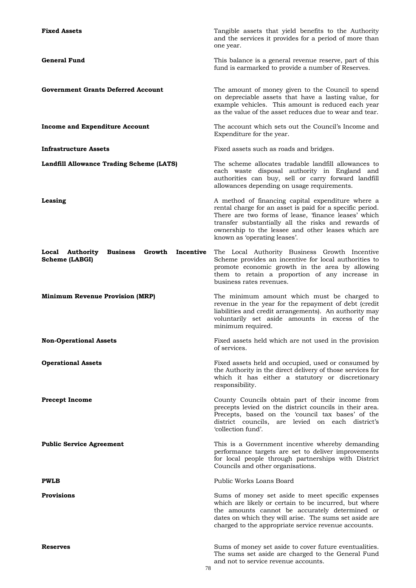| <b>Fixed Assets</b>                                                                | Tangible assets that yield benefits to the Authority<br>and the services it provides for a period of more than<br>one year.                                                                                                                                                                                         |
|------------------------------------------------------------------------------------|---------------------------------------------------------------------------------------------------------------------------------------------------------------------------------------------------------------------------------------------------------------------------------------------------------------------|
| <b>General Fund</b>                                                                | This balance is a general revenue reserve, part of this<br>fund is earmarked to provide a number of Reserves.                                                                                                                                                                                                       |
| <b>Government Grants Deferred Account</b>                                          | The amount of money given to the Council to spend<br>on depreciable assets that have a lasting value, for<br>example vehicles. This amount is reduced each year<br>as the value of the asset reduces due to wear and tear.                                                                                          |
| <b>Income and Expenditure Account</b>                                              | The account which sets out the Council's Income and<br>Expenditure for the year.                                                                                                                                                                                                                                    |
| <b>Infrastructure Assets</b>                                                       | Fixed assets such as roads and bridges.                                                                                                                                                                                                                                                                             |
| Landfill Allowance Trading Scheme (LATS)                                           | The scheme allocates tradable landfill allowances to<br>each waste disposal authority in England and<br>authorities can buy, sell or carry forward landfill<br>allowances depending on usage requirements.                                                                                                          |
| Leasing                                                                            | A method of financing capital expenditure where a<br>rental charge for an asset is paid for a specific period.<br>There are two forms of lease, 'finance leases' which<br>transfer substantially all the risks and rewards of<br>ownership to the lessee and other leases which are<br>known as 'operating leases'. |
| Local Authority<br><b>Business</b><br>Growth<br>Incentive<br><b>Scheme (LABGI)</b> | The Local Authority Business Growth Incentive<br>Scheme provides an incentive for local authorities to<br>promote economic growth in the area by allowing<br>them to retain a proportion of any increase in<br>business rates revenues.                                                                             |
| <b>Minimum Revenue Provision (MRP)</b>                                             | The minimum amount which must be charged to<br>revenue in the year for the repayment of debt (credit<br>liabilities and credit arrangements). An authority may<br>voluntarily set aside amounts in excess of the<br>minimum required.                                                                               |
| <b>Non-Operational Assets</b>                                                      | Fixed assets held which are not used in the provision<br>of services.                                                                                                                                                                                                                                               |
| <b>Operational Assets</b>                                                          | Fixed assets held and occupied, used or consumed by<br>the Authority in the direct delivery of those services for<br>which it has either a statutory or discretionary<br>responsibility.                                                                                                                            |
| <b>Precept Income</b>                                                              | County Councils obtain part of their income from<br>precepts levied on the district councils in their area.<br>Precepts, based on the 'council tax bases' of the<br>district councils, are levied on each district's<br>'collection fund'.                                                                          |
| <b>Public Service Agreement</b>                                                    | This is a Government incentive whereby demanding<br>performance targets are set to deliver improvements<br>for local people through partnerships with District<br>Councils and other organisations.                                                                                                                 |
| <b>PWLB</b>                                                                        | Public Works Loans Board                                                                                                                                                                                                                                                                                            |
| <b>Provisions</b>                                                                  | Sums of money set aside to meet specific expenses<br>which are likely or certain to be incurred, but where<br>the amounts cannot be accurately determined or<br>dates on which they will arise. The sums set aside are<br>charged to the appropriate service revenue accounts.                                      |
| Reserves                                                                           | Sums of money set aside to cover future eventualities.<br>The sums set aside are charged to the General Fund<br>and not to service revenue accounts.                                                                                                                                                                |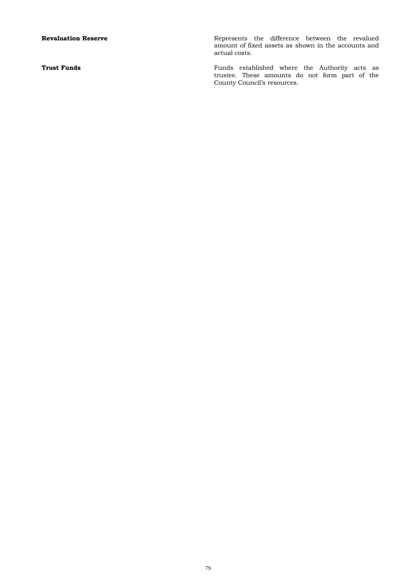**Revaluation Reserve Represents** the difference between the revalued amount of fixed assets as shown in the accounts and actual costs.

**Trust Funds Funds Funds Funds** established where the Authority acts as trustee. These amounts do not form part of the County Council's resources.